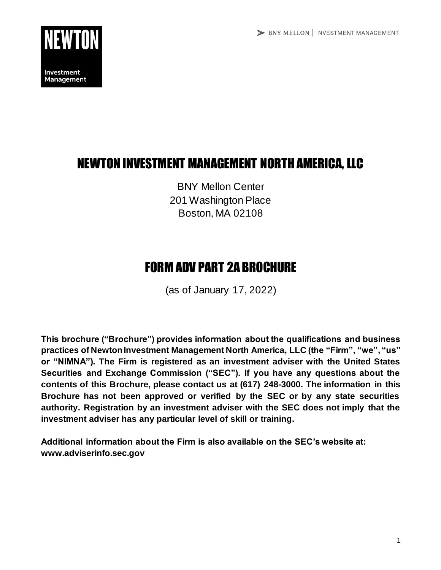

# NEWTON INVESTMENT MANAGEMENT NORTH AMERICA, LLC

BNY Mellon Center 201 Washington Place Boston, MA 02108

# FORM ADV PART 2A BROCHURE

(as of January 17, 2022)

**This brochure ("Brochure") provides information about the qualifications and business practices of Newton Investment Management North America, LLC (the "Firm", "we", "us" or "NIMNA"). The Firm is registered as an investment adviser with the United States Securities and Exchange Commission ("SEC"). If you have any questions about the contents of this Brochure, please contact us at (617) 248-3000. The information in this Brochure has not been approved or verified by the SEC or by any state securities authority. Registration by an investment adviser with the SEC does not imply that the investment adviser has any particular level of skill or training.**

**Additional information about the Firm is also available on the SEC's website at: www.adviserinfo.sec.gov**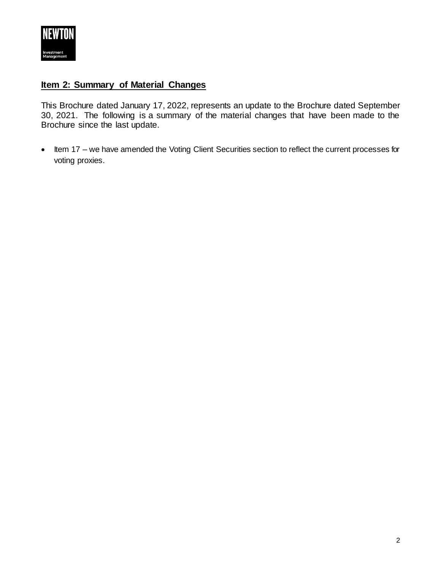

# <span id="page-1-0"></span>**Item 2: Summary of Material Changes**

This Brochure dated January 17, 2022, represents an update to the Brochure dated September 30, 2021. The following is a summary of the material changes that have been made to the Brochure since the last update.

• Item 17 – we have amended the Voting Client Securities section to reflect the current processes for voting proxies.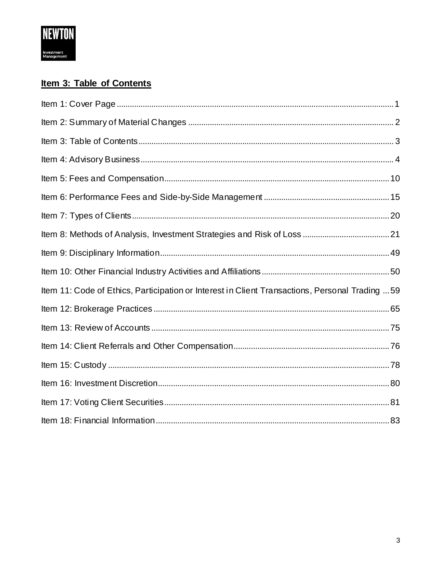

# <span id="page-2-0"></span>Item 3: Table of Contents

| Item 11: Code of Ethics, Participation or Interest in Client Transactions, Personal Trading  59 |  |
|-------------------------------------------------------------------------------------------------|--|
|                                                                                                 |  |
|                                                                                                 |  |
|                                                                                                 |  |
|                                                                                                 |  |
|                                                                                                 |  |
|                                                                                                 |  |
|                                                                                                 |  |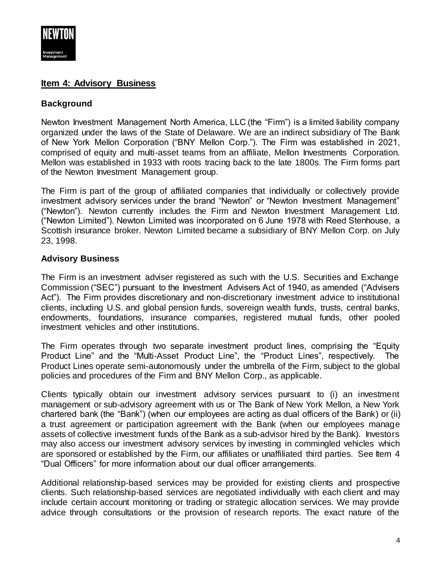

# <span id="page-3-0"></span>**Item 4: Advisory Business**

# **Background**

Newton Investment Management North America, LLC (the "Firm") is a limited liability company organized under the laws of the State of Delaware. We are an indirect subsidiary of The Bank of New York Mellon Corporation ("BNY Mellon Corp."). The Firm was established in 2021, comprised of equity and multi-asset teams from an affiliate, Mellon Investments Corporation. Mellon was established in 1933 with roots tracing back to the late 1800s. The Firm forms part of the Newton Investment Management group.

The Firm is part of the group of affiliated companies that individually or collectively provide investment advisory services under the brand "Newton" or "Newton Investment Management" ("Newton"). Newton currently includes the Firm and Newton Investment Management Ltd. ("Newton Limited"). Newton Limited was incorporated on 6 June 1978 with Reed Stenhouse, a Scottish insurance broker. Newton Limited became a subsidiary of BNY Mellon Corp. on July 23, 1998.

# **Advisory Business**

The Firm is an investment adviser registered as such with the U.S. Securities and Exchange Commission ("SEC") pursuant to the Investment Advisers Act of 1940, as amended ("Advisers Act"). The Firm provides discretionary and non-discretionary investment advice to institutional clients, including U.S. and global pension funds, sovereign wealth funds, trusts, central banks, endowments, foundations, insurance companies, registered mutual funds, other pooled investment vehicles and other institutions.

The Firm operates through two separate investment product lines, comprising the "Equity Product Line" and the "Multi-Asset Product Line", the "Product Lines", respectively. The Product Lines operate semi-autonomously under the umbrella of the Firm, subject to the global policies and procedures of the Firm and BNY Mellon Corp., as applicable.

Clients typically obtain our investment advisory services pursuant to (i) an investment management or sub-advisory agreement with us or The Bank of New York Mellon, a New York chartered bank (the "Bank") (when our employees are acting as dual officers of the Bank) or (ii) a trust agreement or participation agreement with the Bank (when our employees manage assets of collective investment funds of the Bank as a sub-advisor hired by the Bank). Investors may also access our investment advisory services by investing in commingled vehicles which are sponsored or established by the Firm, our affiliates or unaffiliated third parties. See Item 4 "Dual Officers" for more information about our dual officer arrangements.

Additional relationship-based services may be provided for existing clients and prospective clients. Such relationship-based services are negotiated individually with each client and may include certain account monitoring or trading or strategic allocation services. We may provide advice through consultations or the provision of research reports. The exact nature of the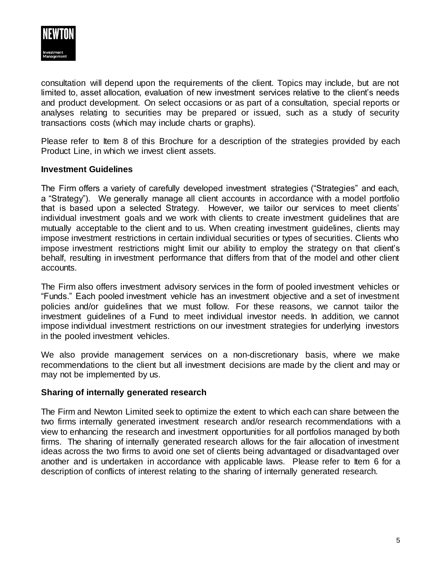

consultation will depend upon the requirements of the client. Topics may include, but are not limited to, asset allocation, evaluation of new investment services relative to the client's needs and product development. On select occasions or as part of a consultation, special reports or analyses relating to securities may be prepared or issued, such as a study of security transactions costs (which may include charts or graphs).

Please refer to Item 8 of this Brochure for a description of the strategies provided by each Product Line, in which we invest client assets.

#### **Investment Guidelines**

The Firm offers a variety of carefully developed investment strategies ("Strategies" and each, a "Strategy"). We generally manage all client accounts in accordance with a model portfolio that is based upon a selected Strategy. However, we tailor our services to meet clients' individual investment goals and we work with clients to create investment guidelines that are mutually acceptable to the client and to us. When creating investment guidelines, clients may impose investment restrictions in certain individual securities or types of securities. Clients who impose investment restrictions might limit our ability to employ the strategy on that client's behalf, resulting in investment performance that differs from that of the model and other client accounts.

The Firm also offers investment advisory services in the form of pooled investment vehicles or "Funds." Each pooled investment vehicle has an investment objective and a set of investment policies and/or guidelines that we must follow. For these reasons, we cannot tailor the investment guidelines of a Fund to meet individual investor needs. In addition, we cannot impose individual investment restrictions on our investment strategies for underlying investors in the pooled investment vehicles.

We also provide management services on a non-discretionary basis, where we make recommendations to the client but all investment decisions are made by the client and may or may not be implemented by us.

#### **Sharing of internally generated research**

The Firm and Newton Limited seek to optimize the extent to which each can share between the two firms internally generated investment research and/or research recommendations with a view to enhancing the research and investment opportunities for all portfolios managed by both firms. The sharing of internally generated research allows for the fair allocation of investment ideas across the two firms to avoid one set of clients being advantaged or disadvantaged over another and is undertaken in accordance with applicable laws. Please refer to Item 6 for a description of conflicts of interest relating to the sharing of internally generated research.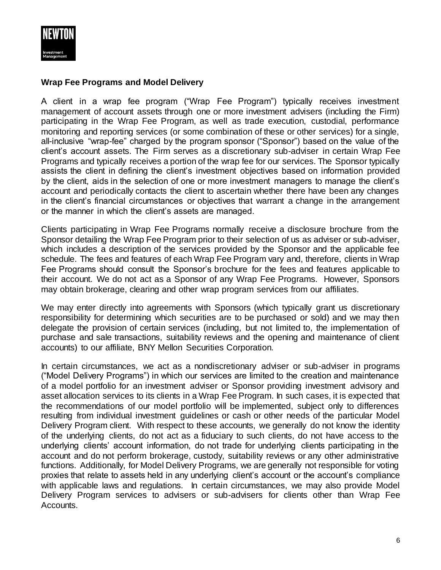

#### **Wrap Fee Programs and Model Delivery**

A client in a wrap fee program ("Wrap Fee Program") typically receives investment management of account assets through one or more investment advisers (including the Firm) participating in the Wrap Fee Program, as well as trade execution, custodial, performance monitoring and reporting services (or some combination of these or other services) for a single, all-inclusive "wrap-fee" charged by the program sponsor ("Sponsor") based on the value of the client's account assets. The Firm serves as a discretionary sub-adviser in certain Wrap Fee Programs and typically receives a portion of the wrap fee for our services. The Sponsor typically assists the client in defining the client's investment objectives based on information provided by the client, aids in the selection of one or more investment managers to manage the client's account and periodically contacts the client to ascertain whether there have been any changes in the client's financial circumstances or objectives that warrant a change in the arrangement or the manner in which the client's assets are managed.

Clients participating in Wrap Fee Programs normally receive a disclosure brochure from the Sponsor detailing the Wrap Fee Program prior to their selection of us as adviser or sub-adviser, which includes a description of the services provided by the Sponsor and the applicable fee schedule. The fees and features of each Wrap Fee Program vary and, therefore, clients in Wrap Fee Programs should consult the Sponsor's brochure for the fees and features applicable to their account. We do not act as a Sponsor of any Wrap Fee Programs. However, Sponsors may obtain brokerage, clearing and other wrap program services from our affiliates.

We may enter directly into agreements with Sponsors (which typically grant us discretionary responsibility for determining which securities are to be purchased or sold) and we may then delegate the provision of certain services (including, but not limited to, the implementation of purchase and sale transactions, suitability reviews and the opening and maintenance of client accounts) to our affiliate, BNY Mellon Securities Corporation.

In certain circumstances, we act as a nondiscretionary adviser or sub-adviser in programs ("Model Delivery Programs") in which our services are limited to the creation and maintenance of a model portfolio for an investment adviser or Sponsor providing investment advisory and asset allocation services to its clients in a Wrap Fee Program. In such cases, it is expected that the recommendations of our model portfolio will be implemented, subject only to differences resulting from individual investment guidelines or cash or other needs of the particular Model Delivery Program client. With respect to these accounts, we generally do not know the identity of the underlying clients, do not act as a fiduciary to such clients, do not have access to the underlying clients' account information, do not trade for underlying clients participating in the account and do not perform brokerage, custody, suitability reviews or any other administrative functions. Additionally, for Model Delivery Programs, we are generally not responsible for voting proxies that relate to assets held in any underlying client's account or the account's compliance with applicable laws and regulations. In certain circumstances, we may also provide Model Delivery Program services to advisers or sub-advisers for clients other than Wrap Fee Accounts.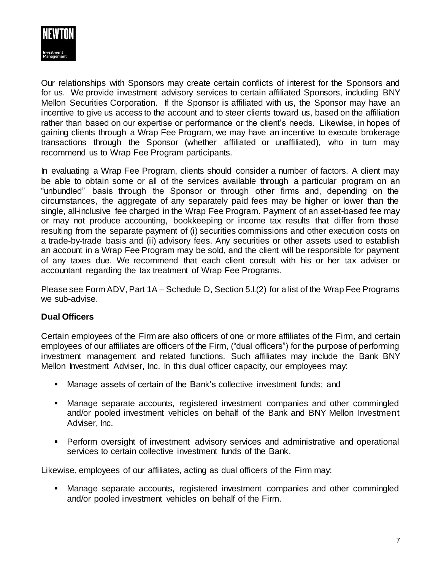

Our relationships with Sponsors may create certain conflicts of interest for the Sponsors and for us. We provide investment advisory services to certain affiliated Sponsors, including BNY Mellon Securities Corporation. If the Sponsor is affiliated with us, the Sponsor may have an incentive to give us access to the account and to steer clients toward us, based on the affiliation rather than based on our expertise or performance or the client's needs. Likewise, in hopes of gaining clients through a Wrap Fee Program, we may have an incentive to execute brokerage transactions through the Sponsor (whether affiliated or unaffiliated), who in turn may recommend us to Wrap Fee Program participants.

In evaluating a Wrap Fee Program, clients should consider a number of factors. A client may be able to obtain some or all of the services available through a particular program on an "unbundled" basis through the Sponsor or through other firms and, depending on the circumstances, the aggregate of any separately paid fees may be higher or lower than the single, all-inclusive fee charged in the Wrap Fee Program. Payment of an asset-based fee may or may not produce accounting, bookkeeping or income tax results that differ from those resulting from the separate payment of (i) securities commissions and other execution costs on a trade-by-trade basis and (ii) advisory fees. Any securities or other assets used to establish an account in a Wrap Fee Program may be sold, and the client will be responsible for payment of any taxes due. We recommend that each client consult with his or her tax adviser or accountant regarding the tax treatment of Wrap Fee Programs.

Please see Form ADV, Part 1A – Schedule D, Section 5.I.(2) for a list of the Wrap Fee Programs we sub-advise.

#### **Dual Officers**

Certain employees of the Firm are also officers of one or more affiliates of the Firm, and certain employees of our affiliates are officers of the Firm, ("dual officers") for the purpose of performing investment management and related functions. Such affiliates may include the Bank BNY Mellon Investment Adviser, Inc. In this dual officer capacity, our employees may:

- Manage assets of certain of the Bank's collective investment funds; and
- Manage separate accounts, registered investment companies and other commingled and/or pooled investment vehicles on behalf of the Bank and BNY Mellon Investment Adviser, Inc.
- Perform oversight of investment advisory services and administrative and operational services to certain collective investment funds of the Bank.

Likewise, employees of our affiliates, acting as dual officers of the Firm may:

 Manage separate accounts, registered investment companies and other commingled and/or pooled investment vehicles on behalf of the Firm.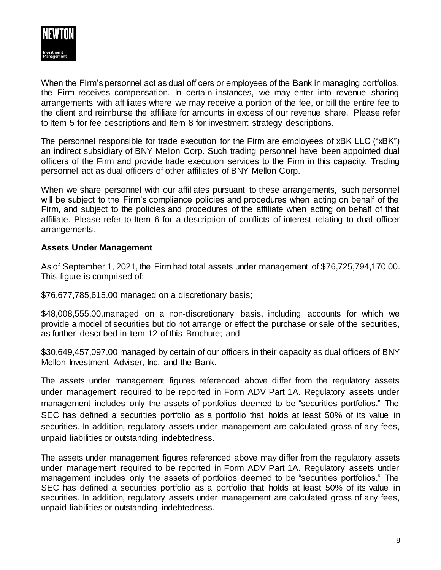

When the Firm's personnel act as dual officers or employees of the Bank in managing portfolios, the Firm receives compensation. In certain instances, we may enter into revenue sharing arrangements with affiliates where we may receive a portion of the fee, or bill the entire fee to the client and reimburse the affiliate for amounts in excess of our revenue share. Please refer to Item 5 for fee descriptions and Item 8 for investment strategy descriptions.

The personnel responsible for trade execution for the Firm are employees of xBK LLC ("xBK") an indirect subsidiary of BNY Mellon Corp. Such trading personnel have been appointed dual officers of the Firm and provide trade execution services to the Firm in this capacity. Trading personnel act as dual officers of other affiliates of BNY Mellon Corp.

When we share personnel with our affiliates pursuant to these arrangements, such personnel will be subject to the Firm's compliance policies and procedures when acting on behalf of the Firm, and subject to the policies and procedures of the affiliate when acting on behalf of that affiliate. Please refer to Item 6 for a description of conflicts of interest relating to dual officer arrangements.

#### **Assets Under Management**

As of September 1, 2021, the Firm had total assets under management of \$76,725,794,170.00. This figure is comprised of:

\$76,677,785,615.00 managed on a discretionary basis;

\$48,008,555.00,managed on a non-discretionary basis, including accounts for which we provide a model of securities but do not arrange or effect the purchase or sale of the securities, as further described in Item 12 of this Brochure; and

\$30,649,457,097.00 managed by certain of our officers in their capacity as dual officers of BNY Mellon Investment Adviser, Inc. and the Bank.

The assets under management figures referenced above differ from the regulatory assets under management required to be reported in Form ADV Part 1A. Regulatory assets under management includes only the assets of portfolios deemed to be "securities portfolios." The SEC has defined a securities portfolio as a portfolio that holds at least 50% of its value in securities. In addition, regulatory assets under management are calculated gross of any fees, unpaid liabilities or outstanding indebtedness.

The assets under management figures referenced above may differ from the regulatory assets under management required to be reported in Form ADV Part 1A. Regulatory assets under management includes only the assets of portfolios deemed to be "securities portfolios." The SEC has defined a securities portfolio as a portfolio that holds at least 50% of its value in securities. In addition, regulatory assets under management are calculated gross of any fees, unpaid liabilities or outstanding indebtedness.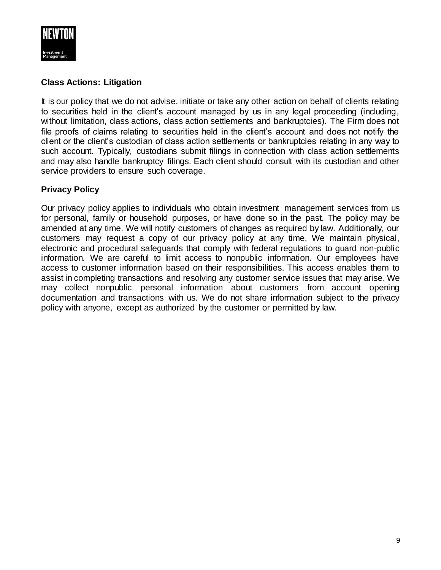

#### **Class Actions: Litigation**

It is our policy that we do not advise, initiate or take any other action on behalf of clients relating to securities held in the client's account managed by us in any legal proceeding (including, without limitation, class actions, class action settlements and bankruptcies). The Firm does not file proofs of claims relating to securities held in the client's account and does not notify the client or the client's custodian of class action settlements or bankruptcies relating in any way to such account. Typically, custodians submit filings in connection with class action settlements and may also handle bankruptcy filings. Each client should consult with its custodian and other service providers to ensure such coverage.

#### **Privacy Policy**

Our privacy policy applies to individuals who obtain investment management services from us for personal, family or household purposes, or have done so in the past. The policy may be amended at any time. We will notify customers of changes as required by law. Additionally, our customers may request a copy of our privacy policy at any time. We maintain physical, electronic and procedural safeguards that comply with federal regulations to guard non-public information. We are careful to limit access to nonpublic information. Our employees have access to customer information based on their responsibilities. This access enables them to assist in completing transactions and resolving any customer service issues that may arise. We may collect nonpublic personal information about customers from account opening documentation and transactions with us. We do not share information subject to the privacy policy with anyone, except as authorized by the customer or permitted by law.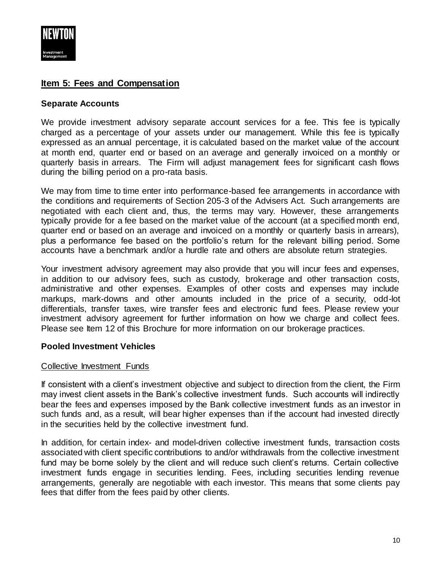

# <span id="page-9-0"></span>**Item 5: Fees and Compensation**

#### **Separate Accounts**

We provide investment advisory separate account services for a fee. This fee is typically charged as a percentage of your assets under our management. While this fee is typically expressed as an annual percentage, it is calculated based on the market value of the account at month end, quarter end or based on an average and generally invoiced on a monthly or quarterly basis in arrears. The Firm will adjust management fees for significant cash flows during the billing period on a pro-rata basis.

We may from time to time enter into performance-based fee arrangements in accordance with the conditions and requirements of Section 205-3 of the Advisers Act. Such arrangements are negotiated with each client and, thus, the terms may vary. However, these arrangements typically provide for a fee based on the market value of the account (at a specified month end, quarter end or based on an average and invoiced on a monthly or quarterly basis in arrears), plus a performance fee based on the portfolio's return for the relevant billing period. Some accounts have a benchmark and/or a hurdle rate and others are absolute return strategies.

Your investment advisory agreement may also provide that you will incur fees and expenses, in addition to our advisory fees, such as custody, brokerage and other transaction costs, administrative and other expenses. Examples of other costs and expenses may include markups, mark-downs and other amounts included in the price of a security, odd-lot differentials, transfer taxes, wire transfer fees and electronic fund fees. Please review your investment advisory agreement for further information on how we charge and collect fees. Please see Item 12 of this Brochure for more information on our brokerage practices.

#### **Pooled Investment Vehicles**

#### Collective Investment Funds

If consistent with a client's investment objective and subject to direction from the client, the Firm may invest client assets in the Bank's collective investment funds. Such accounts will indirectly bear the fees and expenses imposed by the Bank collective investment funds as an investor in such funds and, as a result, will bear higher expenses than if the account had invested directly in the securities held by the collective investment fund.

In addition, for certain index- and model-driven collective investment funds, transaction costs associated with client specific contributions to and/or withdrawals from the collective investment fund may be borne solely by the client and will reduce such client's returns. Certain collective investment funds engage in securities lending. Fees, including securities lending revenue arrangements, generally are negotiable with each investor. This means that some clients pay fees that differ from the fees paid by other clients.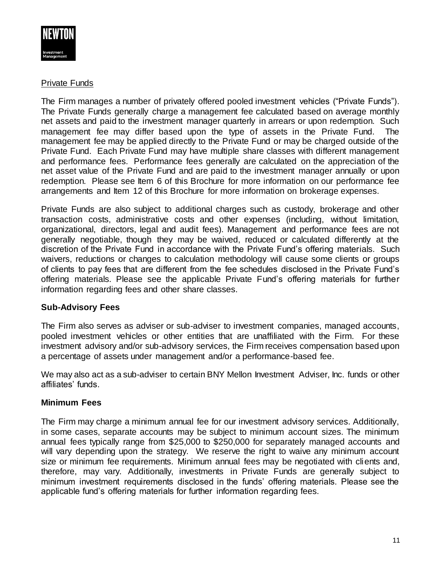

#### Private Funds

The Firm manages a number of privately offered pooled investment vehicles ("Private Funds"). The Private Funds generally charge a management fee calculated based on average monthly net assets and paid to the investment manager quarterly in arrears or upon redemption. Such management fee may differ based upon the type of assets in the Private Fund. The management fee may be applied directly to the Private Fund or may be charged outside of the Private Fund. Each Private Fund may have multiple share classes with different management and performance fees. Performance fees generally are calculated on the appreciation of the net asset value of the Private Fund and are paid to the investment manager annually or upon redemption. Please see Item 6 of this Brochure for more information on our performance fee arrangements and Item 12 of this Brochure for more information on brokerage expenses.

Private Funds are also subject to additional charges such as custody, brokerage and other transaction costs, administrative costs and other expenses (including, without limitation, organizational, directors, legal and audit fees). Management and performance fees are not generally negotiable, though they may be waived, reduced or calculated differently at the discretion of the Private Fund in accordance with the Private Fund's offering materials. Such waivers, reductions or changes to calculation methodology will cause some clients or groups of clients to pay fees that are different from the fee schedules disclosed in the Private Fund's offering materials. Please see the applicable Private Fund's offering materials for further information regarding fees and other share classes.

# **Sub-Advisory Fees**

The Firm also serves as adviser or sub-adviser to investment companies, managed accounts, pooled investment vehicles or other entities that are unaffiliated with the Firm. For these investment advisory and/or sub-advisory services, the Firm receives compensation based upon a percentage of assets under management and/or a performance-based fee.

We may also act as a sub-adviser to certain BNY Mellon Investment Adviser, Inc. funds or other affiliates' funds.

# **Minimum Fees**

The Firm may charge a minimum annual fee for our investment advisory services. Additionally, in some cases, separate accounts may be subject to minimum account sizes. The minimum annual fees typically range from \$25,000 to \$250,000 for separately managed accounts and will vary depending upon the strategy. We reserve the right to waive any minimum account size or minimum fee requirements. Minimum annual fees may be negotiated with clients and, therefore, may vary. Additionally, investments in Private Funds are generally subject to minimum investment requirements disclosed in the funds' offering materials. Please see the applicable fund's offering materials for further information regarding fees.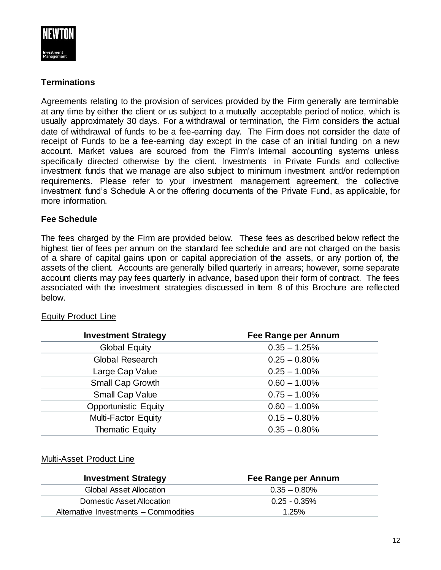

### **Terminations**

Agreements relating to the provision of services provided by the Firm generally are terminable at any time by either the client or us subject to a mutually acceptable period of notice, which is usually approximately 30 days. For a withdrawal or termination, the Firm considers the actual date of withdrawal of funds to be a fee-earning day. The Firm does not consider the date of receipt of Funds to be a fee-earning day except in the case of an initial funding on a new account. Market values are sourced from the Firm's internal accounting systems unless specifically directed otherwise by the client. Investments in Private Funds and collective investment funds that we manage are also subject to minimum investment and/or redemption requirements. Please refer to your investment management agreement, the collective investment fund's Schedule A or the offering documents of the Private Fund, as applicable, for more information.

#### **Fee Schedule**

The fees charged by the Firm are provided below. These fees as described below reflect the highest tier of fees per annum on the standard fee schedule and are not charged on the basis of a share of capital gains upon or capital appreciation of the assets, or any portion of, the assets of the client. Accounts are generally billed quarterly in arrears; however, some separate account clients may pay fees quarterly in advance, based upon their form of contract. The fees associated with the investment strategies discussed in Item 8 of this Brochure are reflected below.

#### Equity Product Line

| <b>Investment Strategy</b>  | Fee Range per Annum |
|-----------------------------|---------------------|
| <b>Global Equity</b>        | $0.35 - 1.25%$      |
| <b>Global Research</b>      | $0.25 - 0.80\%$     |
| Large Cap Value             | $0.25 - 1.00\%$     |
| Small Cap Growth            | $0.60 - 1.00\%$     |
| <b>Small Cap Value</b>      | $0.75 - 1.00\%$     |
| <b>Opportunistic Equity</b> | $0.60 - 1.00\%$     |
| <b>Multi-Factor Equity</b>  | $0.15 - 0.80\%$     |
| Thematic Equity             | $0.35 - 0.80\%$     |

#### Multi-Asset Product Line

| <b>Investment Strategy</b>            | Fee Range per Annum |
|---------------------------------------|---------------------|
| Global Asset Allocation               | $0.35 - 0.80\%$     |
| Domestic Asset Allocation             | $0.25 - 0.35\%$     |
| Alternative Investments - Commodities | 1.25%               |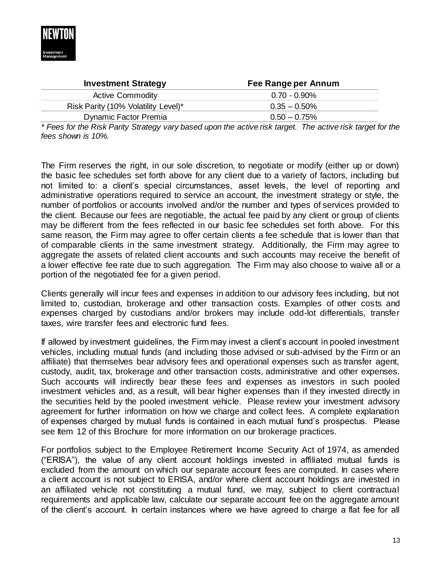

| Fee Range per Annum |
|---------------------|
| $0.70 - 0.90\%$     |
| $0.35 - 0.50\%$     |
| $0.50 - 0.75\%$     |
|                     |

*\* Fees for the Risk Parity Strategy vary based upon the active risk target. The active risk target for the fees shown is 10%.*

The Firm reserves the right, in our sole discretion, to negotiate or modify (either up or down) the basic fee schedules set forth above for any client due to a variety of factors, including but not limited to: a client's special circumstances, asset levels, the level of reporting and administrative operations required to service an account, the investment strategy or style, the number of portfolios or accounts involved and/or the number and types of services provided to the client. Because our fees are negotiable, the actual fee paid by any client or group of clients may be different from the fees reflected in our basic fee schedules set forth above. For this same reason, the Firm may agree to offer certain clients a fee schedule that is lower than that of comparable clients in the same investment strategy. Additionally, the Firm may agree to aggregate the assets of related client accounts and such accounts may receive the benefit of a lower effective fee rate due to such aggregation. The Firm may also choose to waive all or a portion of the negotiated fee for a given period.

Clients generally will incur fees and expenses in addition to our advisory fees including, but not limited to, custodian, brokerage and other transaction costs. Examples of other costs and expenses charged by custodians and/or brokers may include odd-lot differentials, transfer taxes, wire transfer fees and electronic fund fees.

If allowed by investment guidelines, the Firm may invest a client's account in pooled investment vehicles, including mutual funds (and including those advised or sub-advised by the Firm or an affiliate) that themselves bear advisory fees and operational expenses such as transfer agent, custody, audit, tax, brokerage and other transaction costs, administrative and other expenses. Such accounts will indirectly bear these fees and expenses as investors in such pooled investment vehicles and, as a result, will bear higher expenses than if they invested directly in the securities held by the pooled investment vehicle. Please review your investment advisory agreement for further information on how we charge and collect fees. A complete explanation of expenses charged by mutual funds is contained in each mutual fund's prospectus. Please see Item 12 of this Brochure for more information on our brokerage practices.

For portfolios subject to the Employee Retirement Income Security Act of 1974, as amended ("ERISA"), the value of any client account holdings invested in affiliated mutual funds is excluded from the amount on which our separate account fees are computed. In cases where a client account is not subject to ERISA, and/or where client account holdings are invested in an affiliated vehicle not constituting a mutual fund, we may, subject to client contractual requirements and applicable law, calculate our separate account fee on the aggregate amount of the client's account. In certain instances where we have agreed to charge a flat fee for all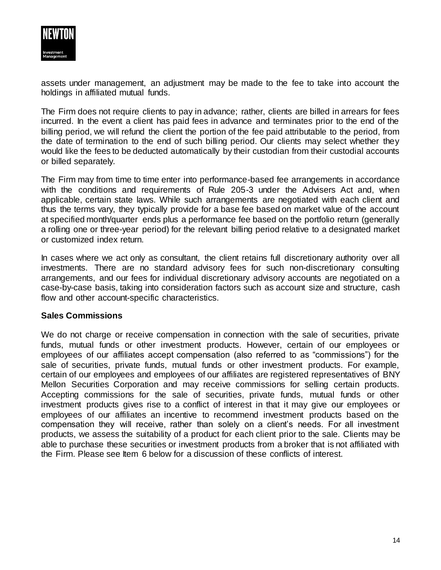

assets under management, an adjustment may be made to the fee to take into account the holdings in affiliated mutual funds.

The Firm does not require clients to pay in advance; rather, clients are billed in arrears for fees incurred. In the event a client has paid fees in advance and terminates prior to the end of the billing period, we will refund the client the portion of the fee paid attributable to the period, from the date of termination to the end of such billing period. Our clients may select whether they would like the fees to be deducted automatically by their custodian from their custodial accounts or billed separately.

The Firm may from time to time enter into performance-based fee arrangements in accordance with the conditions and requirements of Rule 205-3 under the Advisers Act and, when applicable, certain state laws. While such arrangements are negotiated with each client and thus the terms vary, they typically provide for a base fee based on market value of the account at specified month/quarter ends plus a performance fee based on the portfolio return (generally a rolling one or three-year period) for the relevant billing period relative to a designated market or customized index return.

In cases where we act only as consultant, the client retains full discretionary authority over all investments. There are no standard advisory fees for such non-discretionary consulting arrangements, and our fees for individual discretionary advisory accounts are negotiated on a case-by-case basis, taking into consideration factors such as account size and structure, cash flow and other account-specific characteristics.

#### **Sales Commissions**

We do not charge or receive compensation in connection with the sale of securities, private funds, mutual funds or other investment products. However, certain of our employees or employees of our affiliates accept compensation (also referred to as "commissions") for the sale of securities, private funds, mutual funds or other investment products. For example, certain of our employees and employees of our affiliates are registered representatives of BNY Mellon Securities Corporation and may receive commissions for selling certain products. Accepting commissions for the sale of securities, private funds, mutual funds or other investment products gives rise to a conflict of interest in that it may give our employees or employees of our affiliates an incentive to recommend investment products based on the compensation they will receive, rather than solely on a client's needs. For all investment products, we assess the suitability of a product for each client prior to the sale. Clients may be able to purchase these securities or investment products from a broker that is not affiliated with the Firm. Please see Item 6 below for a discussion of these conflicts of interest.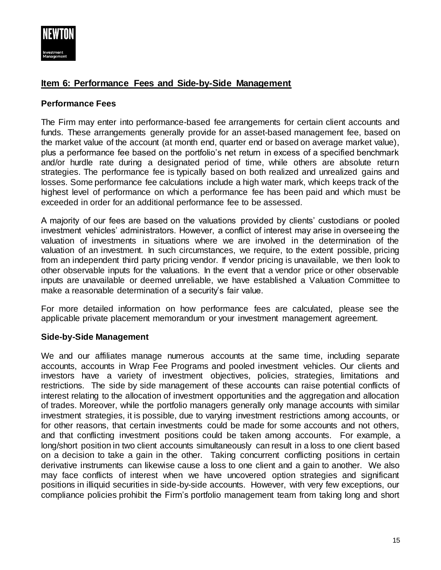

# <span id="page-14-0"></span>**Item 6: Performance Fees and Side-by-Side Management**

#### **Performance Fees**

The Firm may enter into performance-based fee arrangements for certain client accounts and funds. These arrangements generally provide for an asset-based management fee, based on the market value of the account (at month end, quarter end or based on average market value), plus a performance fee based on the portfolio's net return in excess of a specified benchmark and/or hurdle rate during a designated period of time, while others are absolute return strategies. The performance fee is typically based on both realized and unrealized gains and losses. Some performance fee calculations include a high water mark, which keeps track of the highest level of performance on which a performance fee has been paid and which must be exceeded in order for an additional performance fee to be assessed.

A majority of our fees are based on the valuations provided by clients' custodians or pooled investment vehicles' administrators. However, a conflict of interest may arise in overseeing the valuation of investments in situations where we are involved in the determination of the valuation of an investment. In such circumstances, we require, to the extent possible, pricing from an independent third party pricing vendor. If vendor pricing is unavailable, we then look to other observable inputs for the valuations. In the event that a vendor price or other observable inputs are unavailable or deemed unreliable, we have established a Valuation Committee to make a reasonable determination of a security's fair value.

For more detailed information on how performance fees are calculated, please see the applicable private placement memorandum or your investment management agreement.

#### **Side-by-Side Management**

We and our affiliates manage numerous accounts at the same time, including separate accounts, accounts in Wrap Fee Programs and pooled investment vehicles. Our clients and investors have a variety of investment objectives, policies, strategies, limitations and restrictions. The side by side management of these accounts can raise potential conflicts of interest relating to the allocation of investment opportunities and the aggregation and allocation of trades. Moreover, while the portfolio managers generally only manage accounts with similar investment strategies, it is possible, due to varying investment restrictions among accounts, or for other reasons, that certain investments could be made for some accounts and not others, and that conflicting investment positions could be taken among accounts. For example, a long/short position in two client accounts simultaneously can result in a loss to one client based on a decision to take a gain in the other. Taking concurrent conflicting positions in certain derivative instruments can likewise cause a loss to one client and a gain to another. We also may face conflicts of interest when we have uncovered option strategies and significant positions in illiquid securities in side-by-side accounts. However, with very few exceptions, our compliance policies prohibit the Firm's portfolio management team from taking long and short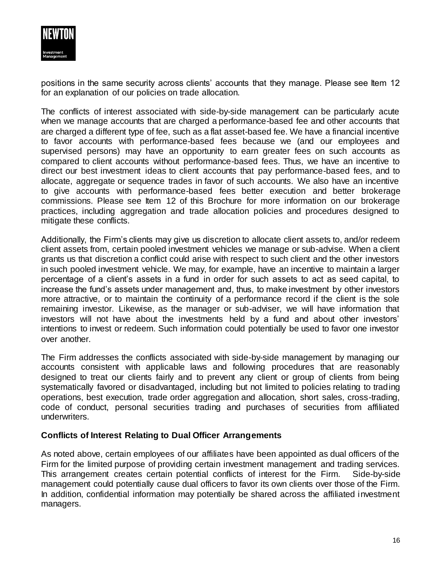

positions in the same security across clients' accounts that they manage. Please see Item 12 for an explanation of our policies on trade allocation.

The conflicts of interest associated with side-by-side management can be particularly acute when we manage accounts that are charged a performance-based fee and other accounts that are charged a different type of fee, such as a flat asset-based fee. We have a financial incentive to favor accounts with performance-based fees because we (and our employees and supervised persons) may have an opportunity to earn greater fees on such accounts as compared to client accounts without performance-based fees. Thus, we have an incentive to direct our best investment ideas to client accounts that pay performance-based fees, and to allocate, aggregate or sequence trades in favor of such accounts. We also have an incentive to give accounts with performance-based fees better execution and better brokerage commissions. Please see Item 12 of this Brochure for more information on our brokerage practices, including aggregation and trade allocation policies and procedures designed to mitigate these conflicts.

Additionally, the Firm's clients may give us discretion to allocate client assets to, and/or redeem client assets from, certain pooled investment vehicles we manage or sub-advise. When a client grants us that discretion a conflict could arise with respect to such client and the other investors in such pooled investment vehicle. We may, for example, have an incentive to maintain a larger percentage of a client's assets in a fund in order for such assets to act as seed capital, to increase the fund's assets under management and, thus, to make investment by other investors more attractive, or to maintain the continuity of a performance record if the client is the sole remaining investor. Likewise, as the manager or sub-adviser, we will have information that investors will not have about the investments held by a fund and about other investors' intentions to invest or redeem. Such information could potentially be used to favor one investor over another.

The Firm addresses the conflicts associated with side-by-side management by managing our accounts consistent with applicable laws and following procedures that are reasonably designed to treat our clients fairly and to prevent any client or group of clients from being systematically favored or disadvantaged, including but not limited to policies relating to trading operations, best execution, trade order aggregation and allocation, short sales, cross-trading, code of conduct, personal securities trading and purchases of securities from affiliated underwriters.

#### **Conflicts of Interest Relating to Dual Officer Arrangements**

As noted above, certain employees of our affiliates have been appointed as dual officers of the Firm for the limited purpose of providing certain investment management and trading services. This arrangement creates certain potential conflicts of interest for the Firm. Side-by-side management could potentially cause dual officers to favor its own clients over those of the Firm. In addition, confidential information may potentially be shared across the affiliated investment managers.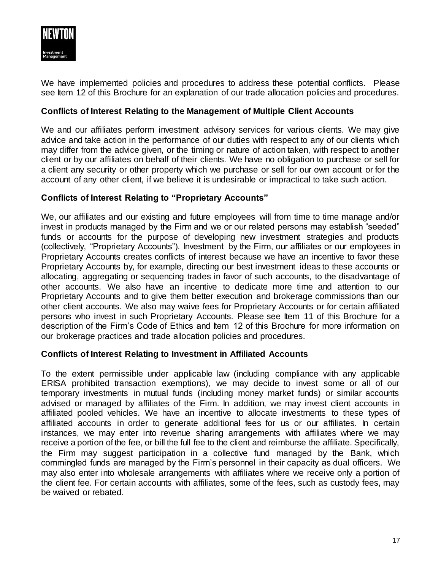

We have implemented policies and procedures to address these potential conflicts. Please see Item 12 of this Brochure for an explanation of our trade allocation policies and procedures.

#### **Conflicts of Interest Relating to the Management of Multiple Client Accounts**

We and our affiliates perform investment advisory services for various clients. We may give advice and take action in the performance of our duties with respect to any of our clients which may differ from the advice given, or the timing or nature of action taken, with respect to another client or by our affiliates on behalf of their clients. We have no obligation to purchase or sell for a client any security or other property which we purchase or sell for our own account or for the account of any other client, if we believe it is undesirable or impractical to take such action.

#### **Conflicts of Interest Relating to "Proprietary Accounts"**

We, our affiliates and our existing and future employees will from time to time manage and/or invest in products managed by the Firm and we or our related persons may establish "seeded" funds or accounts for the purpose of developing new investment strategies and products (collectively, "Proprietary Accounts"). Investment by the Firm, our affiliates or our employees in Proprietary Accounts creates conflicts of interest because we have an incentive to favor these Proprietary Accounts by, for example, directing our best investment ideas to these accounts or allocating, aggregating or sequencing trades in favor of such accounts, to the disadvantage of other accounts. We also have an incentive to dedicate more time and attention to our Proprietary Accounts and to give them better execution and brokerage commissions than our other client accounts. We also may waive fees for Proprietary Accounts or for certain affiliated persons who invest in such Proprietary Accounts. Please see Item 11 of this Brochure for a description of the Firm's Code of Ethics and Item 12 of this Brochure for more information on our brokerage practices and trade allocation policies and procedures.

#### **Conflicts of Interest Relating to Investment in Affiliated Accounts**

To the extent permissible under applicable law (including compliance with any applicable ERISA prohibited transaction exemptions), we may decide to invest some or all of our temporary investments in mutual funds (including money market funds) or similar accounts advised or managed by affiliates of the Firm. In addition, we may invest client accounts in affiliated pooled vehicles. We have an incentive to allocate investments to these types of affiliated accounts in order to generate additional fees for us or our affiliates. In certain instances, we may enter into revenue sharing arrangements with affiliates where we may receive a portion of the fee, or bill the full fee to the client and reimburse the affiliate. Specifically, the Firm may suggest participation in a collective fund managed by the Bank, which commingled funds are managed by the Firm's personnel in their capacity as dual officers. We may also enter into wholesale arrangements with affiliates where we receive only a portion of the client fee. For certain accounts with affiliates, some of the fees, such as custody fees, may be waived or rebated.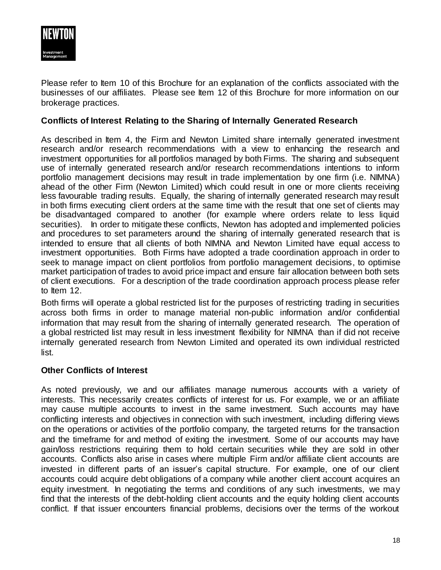

Please refer to Item 10 of this Brochure for an explanation of the conflicts associated with the businesses of our affiliates. Please see Item 12 of this Brochure for more information on our brokerage practices.

#### **Conflicts of Interest Relating to the Sharing of Internally Generated Research**

As described in Item 4, the Firm and Newton Limited share internally generated investment research and/or research recommendations with a view to enhancing the research and investment opportunities for all portfolios managed by both Firms. The sharing and subsequent use of internally generated research and/or research recommendations intentions to inform portfolio management decisions may result in trade implementation by one firm (i.e. NIMNA) ahead of the other Firm (Newton Limited) which could result in one or more clients receiving less favourable trading results. Equally, the sharing of internally generated research may result in both firms executing client orders at the same time with the result that one set of clients may be disadvantaged compared to another (for example where orders relate to less liquid securities). In order to mitigate these conflicts, Newton has adopted and implemented policies and procedures to set parameters around the sharing of internally generated research that is intended to ensure that all clients of both NIMNA and Newton Limited have equal access to investment opportunities. Both Firms have adopted a trade coordination approach in order to seek to manage impact on client portfolios from portfolio management decisions, to optimise market participation of trades to avoid price impact and ensure fair allocation between both sets of client executions. For a description of the trade coordination approach process please refer to Item 12.

Both firms will operate a global restricted list for the purposes of restricting trading in securities across both firms in order to manage material non-public information and/or confidential information that may result from the sharing of internally generated research. The operation of a global restricted list may result in less investment flexibility for NIMNA than if did not receive internally generated research from Newton Limited and operated its own individual restricted list.

#### **Other Conflicts of Interest**

As noted previously, we and our affiliates manage numerous accounts with a variety of interests. This necessarily creates conflicts of interest for us. For example, we or an affiliate may cause multiple accounts to invest in the same investment. Such accounts may have conflicting interests and objectives in connection with such investment, including differing views on the operations or activities of the portfolio company, the targeted returns for the transaction and the timeframe for and method of exiting the investment. Some of our accounts may have gain/loss restrictions requiring them to hold certain securities while they are sold in other accounts. Conflicts also arise in cases where multiple Firm and/or affiliate client accounts are invested in different parts of an issuer's capital structure. For example, one of our client accounts could acquire debt obligations of a company while another client account acquires an equity investment. In negotiating the terms and conditions of any such investments, we may find that the interests of the debt-holding client accounts and the equity holding client accounts conflict. If that issuer encounters financial problems, decisions over the terms of the workout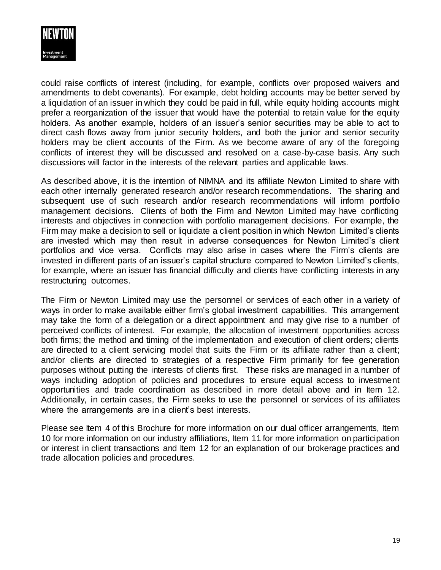

could raise conflicts of interest (including, for example, conflicts over proposed waivers and amendments to debt covenants). For example, debt holding accounts may be better served by a liquidation of an issuer in which they could be paid in full, while equity holding accounts might prefer a reorganization of the issuer that would have the potential to retain value for the equity holders. As another example, holders of an issuer's senior securities may be able to act to direct cash flows away from junior security holders, and both the junior and senior security holders may be client accounts of the Firm. As we become aware of any of the foregoing conflicts of interest they will be discussed and resolved on a case-by-case basis. Any such discussions will factor in the interests of the relevant parties and applicable laws.

As described above, it is the intention of NIMNA and its affiliate Newton Limited to share with each other internally generated research and/or research recommendations. The sharing and subsequent use of such research and/or research recommendations will inform portfolio management decisions. Clients of both the Firm and Newton Limited may have conflicting interests and objectives in connection with portfolio management decisions. For example, the Firm may make a decision to sell or liquidate a client position in which Newton Limited's clients are invested which may then result in adverse consequences for Newton Limited's client portfolios and vice versa. Conflicts may also arise in cases where the Firm's clients are invested in different parts of an issuer's capital structure compared to Newton Limited's clients, for example, where an issuer has financial difficulty and clients have conflicting interests in any restructuring outcomes.

The Firm or Newton Limited may use the personnel or services of each other in a variety of ways in order to make available either firm's global investment capabilities. This arrangement may take the form of a delegation or a direct appointment and may give rise to a number of perceived conflicts of interest. For example, the allocation of investment opportunities across both firms; the method and timing of the implementation and execution of client orders; clients are directed to a client servicing model that suits the Firm or its affiliate rather than a client; and/or clients are directed to strategies of a respective Firm primarily for fee generation purposes without putting the interests of clients first. These risks are managed in a number of ways including adoption of policies and procedures to ensure equal access to investment opportunities and trade coordination as described in more detail above and in Item 12. Additionally, in certain cases, the Firm seeks to use the personnel or services of its affiliates where the arrangements are in a client's best interests.

Please see Item 4 of this Brochure for more information on our dual officer arrangements, Item 10 for more information on our industry affiliations, Item 11 for more information on participation or interest in client transactions and Item 12 for an explanation of our brokerage practices and trade allocation policies and procedures.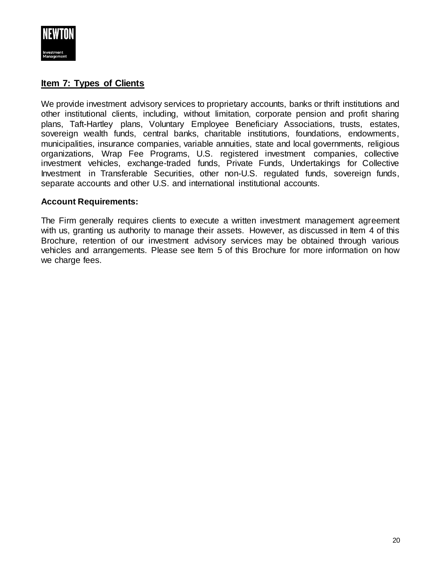

### <span id="page-19-0"></span>**Item 7: Types of Clients**

We provide investment advisory services to proprietary accounts, banks or thrift institutions and other institutional clients, including, without limitation, corporate pension and profit sharing plans, Taft-Hartley plans, Voluntary Employee Beneficiary Associations, trusts, estates, sovereign wealth funds, central banks, charitable institutions, foundations, endowments, municipalities, insurance companies, variable annuities, state and local governments, religious organizations, Wrap Fee Programs, U.S. registered investment companies, collective investment vehicles, exchange-traded funds, Private Funds, Undertakings for Collective Investment in Transferable Securities, other non-U.S. regulated funds, sovereign funds, separate accounts and other U.S. and international institutional accounts.

#### **Account Requirements:**

The Firm generally requires clients to execute a written investment management agreement with us, granting us authority to manage their assets. However, as discussed in Item 4 of this Brochure, retention of our investment advisory services may be obtained through various vehicles and arrangements. Please see Item 5 of this Brochure for more information on how we charge fees.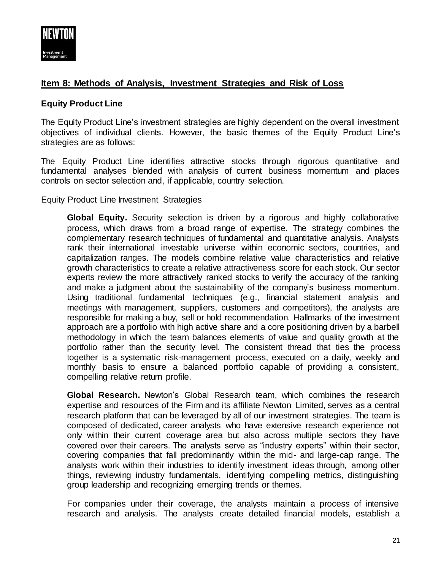

# <span id="page-20-0"></span>**Item 8: Methods of Analysis, Investment Strategies and Risk of Loss**

#### **Equity Product Line**

The Equity Product Line's investment strategies are highly dependent on the overall investment objectives of individual clients. However, the basic themes of the Equity Product Line's strategies are as follows:

The Equity Product Line identifies attractive stocks through rigorous quantitative and fundamental analyses blended with analysis of current business momentum and places controls on sector selection and, if applicable, country selection.

#### Equity Product Line Investment Strategies

**Global Equity.** Security selection is driven by a rigorous and highly collaborative process, which draws from a broad range of expertise. The strategy combines the complementary research techniques of fundamental and quantitative analysis. Analysts rank their international investable universe within economic sectors, countries, and capitalization ranges. The models combine relative value characteristics and relative growth characteristics to create a relative attractiveness score for each stock. Our sector experts review the more attractively ranked stocks to verify the accuracy of the ranking and make a judgment about the sustainability of the company's business momentum. Using traditional fundamental techniques (e.g., financial statement analysis and meetings with management, suppliers, customers and competitors), the analysts are responsible for making a buy, sell or hold recommendation. Hallmarks of the investment approach are a portfolio with high active share and a core positioning driven by a barbell methodology in which the team balances elements of value and quality growth at the portfolio rather than the security level. The consistent thread that ties the process together is a systematic risk-management process, executed on a daily, weekly and monthly basis to ensure a balanced portfolio capable of providing a consistent, compelling relative return profile.

**Global Research.** Newton's Global Research team, which combines the research expertise and resources of the Firm and its affiliate Newton Limited, serves as a central research platform that can be leveraged by all of our investment strategies. The team is composed of dedicated, career analysts who have extensive research experience not only within their current coverage area but also across multiple sectors they have covered over their careers. The analysts serve as "industry experts" within their sector, covering companies that fall predominantly within the mid- and large-cap range. The analysts work within their industries to identify investment ideas through, among other things, reviewing industry fundamentals, identifying compelling metrics, distinguishing group leadership and recognizing emerging trends or themes.

For companies under their coverage, the analysts maintain a process of intensive research and analysis. The analysts create detailed financial models, establish a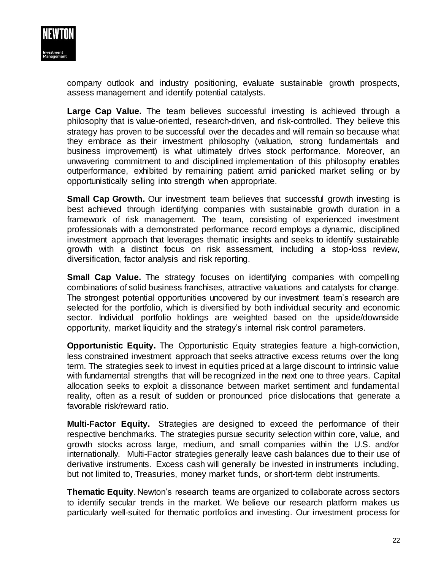

company outlook and industry positioning, evaluate sustainable growth prospects, assess management and identify potential catalysts.

**Large Cap Value.** The team believes successful investing is achieved through a philosophy that is value-oriented, research-driven, and risk-controlled. They believe this strategy has proven to be successful over the decades and will remain so because what they embrace as their investment philosophy (valuation, strong fundamentals and business improvement) is what ultimately drives stock performance. Moreover, an unwavering commitment to and disciplined implementation of this philosophy enables outperformance, exhibited by remaining patient amid panicked market selling or by opportunistically selling into strength when appropriate.

**Small Cap Growth.** Our investment team believes that successful growth investing is best achieved through identifying companies with sustainable growth duration in a framework of risk management. The team, consisting of experienced investment professionals with a demonstrated performance record employs a dynamic, disciplined investment approach that leverages thematic insights and seeks to identify sustainable growth with a distinct focus on risk assessment, including a stop-loss review, diversification, factor analysis and risk reporting.

**Small Cap Value.** The strategy focuses on identifying companies with compelling combinations of solid business franchises, attractive valuations and catalysts for change. The strongest potential opportunities uncovered by our investment team's research are selected for the portfolio, which is diversified by both individual security and economic sector. Individual portfolio holdings are weighted based on the upside/downside opportunity, market liquidity and the strategy's internal risk control parameters.

**Opportunistic Equity.** The Opportunistic Equity strategies feature a high-conviction, less constrained investment approach that seeks attractive excess returns over the long term. The strategies seek to invest in equities priced at a large discount to intrinsic value with fundamental strengths that will be recognized in the next one to three years. Capital allocation seeks to exploit a dissonance between market sentiment and fundamental reality, often as a result of sudden or pronounced price dislocations that generate a favorable risk/reward ratio.

**Multi-Factor Equity.** Strategies are designed to exceed the performance of their respective benchmarks. The strategies pursue security selection within core, value, and growth stocks across large, medium, and small companies within the U.S. and/or internationally.Multi-Factor strategies generally leave cash balances due to their use of derivative instruments. Excess cash will generally be invested in instruments including, but not limited to, Treasuries, money market funds, or short-term debt instruments.

**Thematic Equity**. Newton's research teams are organized to collaborate across sectors to identify secular trends in the market. We believe our research platform makes us particularly well-suited for thematic portfolios and investing. Our investment process for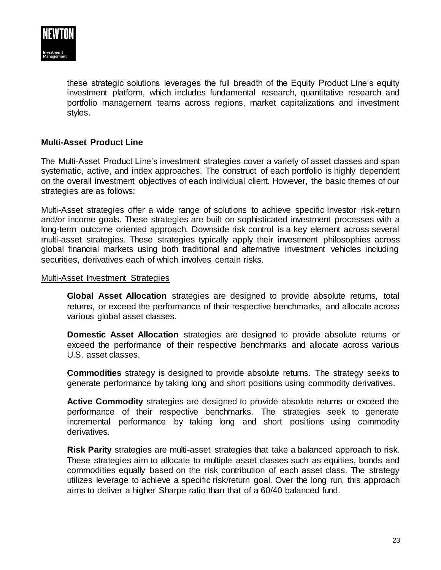

these strategic solutions leverages the full breadth of the Equity Product Line's equity investment platform, which includes fundamental research, quantitative research and portfolio management teams across regions, market capitalizations and investment styles.

#### **Multi-Asset Product Line**

The Multi-Asset Product Line's investment strategies cover a variety of asset classes and span systematic, active, and index approaches. The construct of each portfolio is highly dependent on the overall investment objectives of each individual client. However, the basic themes of our strategies are as follows:

Multi-Asset strategies offer a wide range of solutions to achieve specific investor risk-return and/or income goals. These strategies are built on sophisticated investment processes with a long-term outcome oriented approach. Downside risk control is a key element across several multi-asset strategies. These strategies typically apply their investment philosophies across global financial markets using both traditional and alternative investment vehicles including securities, derivatives each of which involves certain risks.

#### Multi-Asset Investment Strategies

**Global Asset Allocation** strategies are designed to provide absolute returns, total returns, or exceed the performance of their respective benchmarks, and allocate across various global asset classes.

**Domestic Asset Allocation** strategies are designed to provide absolute returns or exceed the performance of their respective benchmarks and allocate across various U.S. asset classes.

**Commodities** strategy is designed to provide absolute returns. The strategy seeks to generate performance by taking long and short positions using commodity derivatives.

**Active Commodity** strategies are designed to provide absolute returns or exceed the performance of their respective benchmarks. The strategies seek to generate incremental performance by taking long and short positions using commodity derivatives.

**Risk Parity** strategies are multi-asset strategies that take a balanced approach to risk. These strategies aim to allocate to multiple asset classes such as equities, bonds and commodities equally based on the risk contribution of each asset class. The strategy utilizes leverage to achieve a specific risk/return goal. Over the long run, this approach aims to deliver a higher Sharpe ratio than that of a 60/40 balanced fund.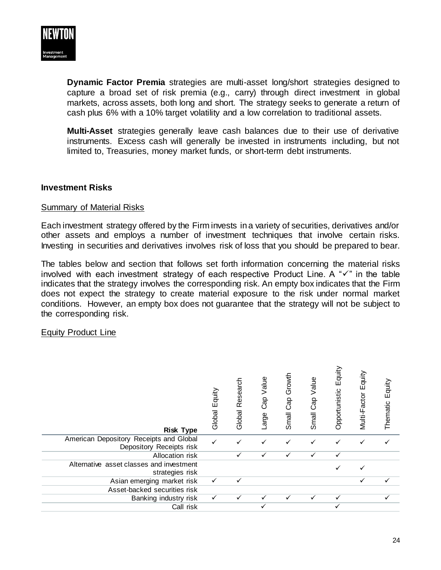

**Dynamic Factor Premia** strategies are multi-asset long/short strategies designed to capture a broad set of risk premia (e.g., carry) through direct investment in global markets, across assets, both long and short. The strategy seeks to generate a return of cash plus 6% with a 10% target volatility and a low correlation to traditional assets.

**Multi-Asset** strategies generally leave cash balances due to their use of derivative instruments. Excess cash will generally be invested in instruments including, but not limited to, Treasuries, money market funds, or short-term debt instruments.

#### **Investment Risks**

#### Summary of Material Risks

Each investment strategy offered by the Firm invests in a variety of securities, derivatives and/or other assets and employs a number of investment techniques that involve certain risks. Investing in securities and derivatives involves risk of loss that you should be prepared to bear.

The tables below and section that follows set forth information concerning the material risks involved with each investment strategy of each respective Product Line. A " $\checkmark$ " in the table indicates that the strategy involves the corresponding risk. An empty box indicates that the Firm does not expect the strategy to create material exposure to the risk under normal market conditions. However, an empty box does not guarantee that the strategy will not be subject to the corresponding risk.

#### Equity Product Line

| <b>Risk Type</b>                                                    | Equity<br>Global | Research<br>Global | Cap Value<br>Large | Growth<br>Cap<br>Small | Value<br>Cap<br>Small | Equity<br>Opportunistic | Equity<br>Multi-Factor | Equity<br>Thematic |
|---------------------------------------------------------------------|------------------|--------------------|--------------------|------------------------|-----------------------|-------------------------|------------------------|--------------------|
| American Depository Receipts and Global<br>Depository Receipts risk |                  |                    |                    |                        |                       |                         |                        |                    |
| Allocation risk                                                     |                  | ✓                  | ✓                  | ✓                      | ✓                     | ✓                       |                        |                    |
| Alternative asset classes and investment<br>strategies risk         |                  |                    |                    |                        |                       | ✓                       |                        |                    |
| Asian emerging market risk                                          | ✓                | $\checkmark$       |                    |                        |                       |                         | ✓                      |                    |
| Asset-backed securities risk                                        |                  |                    |                    |                        |                       |                         |                        |                    |
| Banking industry risk                                               | ✓                |                    |                    |                        |                       |                         |                        |                    |
| Call risk                                                           |                  |                    |                    |                        |                       |                         |                        |                    |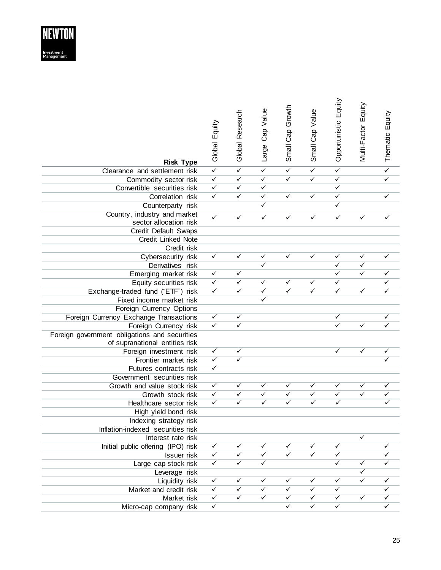

| <b>Risk Type</b>                              | Global Equity                | Global Research         | Large Cap Value         | Small Cap Growth        | Small Cap Value | Opportunistic Equity        | Multi-Factor Equity     | Thematic Equity |
|-----------------------------------------------|------------------------------|-------------------------|-------------------------|-------------------------|-----------------|-----------------------------|-------------------------|-----------------|
| Clearance and settlement risk                 | $\overline{\checkmark}$      | $\overline{\checkmark}$ | $\checkmark$            | $\overline{\checkmark}$ | $\checkmark$    | $\checkmark$                |                         | $\checkmark$    |
| Commodity sector risk                         | $\overline{\checkmark}$      | $\checkmark$            | $\checkmark$            | $\checkmark$            | $\checkmark$    | ✓                           |                         | $\checkmark$    |
| Convertible securities risk                   | $\checkmark$                 | $\checkmark$            | $\checkmark$            |                         |                 | ✓                           |                         |                 |
| Correlation risk                              | $\checkmark$                 | $\checkmark$            | $\checkmark$            | $\checkmark$            | $\checkmark$    | $\checkmark$                |                         | ✓               |
|                                               |                              |                         | ✓                       |                         |                 | ✓                           |                         |                 |
| Counterparty risk                             |                              |                         |                         |                         |                 |                             |                         |                 |
| Country, industry and market                  | $\checkmark$                 | $\checkmark$            | $\checkmark$            | ✓                       | ✓               | ✓                           | ✓                       | ✓               |
| sector allocation risk                        |                              |                         |                         |                         |                 |                             |                         |                 |
| Credit Default Swaps                          |                              |                         |                         |                         |                 |                             |                         |                 |
| Credit Linked Note                            |                              |                         |                         |                         |                 |                             |                         |                 |
| Credit risk                                   | $\checkmark$                 | $\checkmark$            | ✓                       | $\checkmark$            | ✓               | $\mathcal{L}_{\mathcal{A}}$ | ✓                       | ✓               |
| Cybersecurity risk<br>Derivatives risk        |                              |                         | ✓                       |                         |                 | ✓                           | $\checkmark$            |                 |
|                                               |                              | $\checkmark$            |                         |                         |                 | ✓                           | $\checkmark$            |                 |
| Emerging market risk                          | $\checkmark$<br>$\checkmark$ | $\checkmark$            | ✓                       | $\checkmark$            | $\checkmark$    | ✓                           |                         |                 |
| Equity securities risk                        | $\checkmark$                 | $\overline{\checkmark}$ |                         | $\checkmark$            | $\checkmark$    | $\checkmark$                | ✓                       |                 |
| Exchange-traded fund ("ETF") risk             |                              |                         | $\checkmark$<br>✓       |                         |                 |                             |                         |                 |
| Fixed income market risk                      |                              |                         |                         |                         |                 |                             |                         |                 |
| Foreign Currency Options                      |                              |                         |                         |                         |                 |                             |                         |                 |
| Foreign Currency Exchange Transactions        | $\checkmark$                 | $\checkmark$            |                         |                         |                 | $\checkmark$                |                         | ✓               |
| Foreign Currency risk                         | $\checkmark$                 | $\checkmark$            |                         |                         |                 | ✓                           | ✓                       | ✓               |
| Foreign government obligations and securities |                              |                         |                         |                         |                 |                             |                         |                 |
| of supranational entities risk                |                              |                         |                         |                         |                 |                             |                         |                 |
| Foreign investment risk                       | $\checkmark$                 | ✓                       |                         |                         |                 | ✓                           | ✓                       |                 |
| Frontier market risk                          | $\overline{\checkmark}$      | $\overline{\checkmark}$ |                         |                         |                 |                             |                         |                 |
| Futures contracts risk                        | $\overline{\checkmark}$      |                         |                         |                         |                 |                             |                         |                 |
| Government securities risk                    |                              |                         |                         |                         |                 |                             |                         |                 |
| Growth and value stock risk                   | $\checkmark$                 | $\overline{\checkmark}$ | ✓                       | $\checkmark$            | ✓               | ✓                           | ✓                       | ✓               |
| Growth stock risk                             | $\checkmark$                 | $\checkmark$            | $\checkmark$            | $\checkmark$            | $\checkmark$    | $\checkmark$                | $\checkmark$            | ✓               |
| Healthcare sector risk                        | $\checkmark$                 | $\checkmark$            | $\checkmark$            | $\checkmark$            | $\checkmark$    | $\checkmark$                |                         |                 |
| High yield bond risk                          |                              |                         |                         |                         |                 |                             |                         |                 |
| Indexing strategy risk                        |                              |                         |                         |                         |                 |                             |                         |                 |
| Inflation-indexed securities risk             |                              |                         |                         |                         |                 |                             |                         |                 |
| Interest rate risk                            |                              |                         |                         |                         |                 |                             | ✓                       |                 |
| Initial public offering (IPO) risk            | $\checkmark$                 | ✓                       | ✓                       | ✓                       | ✓               | $\checkmark$                |                         | ✓               |
| <b>Issuer</b> risk                            | $\checkmark$                 | $\overline{\checkmark}$ | $\checkmark$            | $\overline{\checkmark}$ | $\checkmark$    | ✓                           |                         |                 |
| Large cap stock risk                          | $\checkmark$                 | $\overline{\checkmark}$ | $\overline{\checkmark}$ |                         |                 | $\checkmark$                | $\checkmark$            |                 |
| Leverage risk                                 |                              |                         |                         |                         |                 |                             | $\checkmark$            |                 |
| Liquidity risk                                | $\checkmark$                 | ✓                       | ✓                       | ✓                       | $\checkmark$    | $\checkmark$                | $\overline{\checkmark}$ | ✓               |
| Market and credit risk                        | $\checkmark$                 | $\checkmark$            | $\checkmark$            | $\checkmark$            | $\checkmark$    | $\checkmark$                |                         |                 |
| Market risk                                   | $\checkmark$                 | $\overline{\checkmark}$ | $\overline{\checkmark}$ | $\checkmark$            | $\checkmark$    | $\checkmark$                | $\checkmark$            |                 |
| Micro-cap company risk                        | $\checkmark$                 |                         |                         | $\checkmark$            | $\checkmark$    | $\checkmark$                |                         |                 |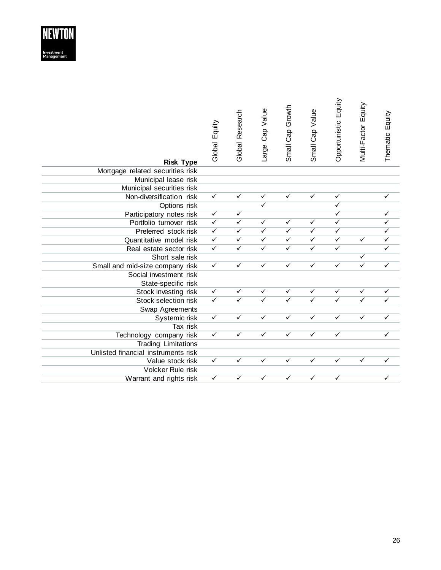

| <b>Risk Type</b>                    | Global Equity           | Global Research         | Large Cap Value         | Small Cap Growth        | Small Cap Value         | Opportunistic Equity    | Multi-Factor Equity     | Thematic Equity |
|-------------------------------------|-------------------------|-------------------------|-------------------------|-------------------------|-------------------------|-------------------------|-------------------------|-----------------|
| Mortgage related securities risk    |                         |                         |                         |                         |                         |                         |                         |                 |
| Municipal lease risk                |                         |                         |                         |                         |                         |                         |                         |                 |
| Municipal securities risk           |                         |                         |                         |                         |                         |                         |                         |                 |
| Non-diversification risk            | $\checkmark$            | $\overline{\checkmark}$ | $\checkmark$            | $\checkmark$            | $\checkmark$            | $\checkmark$            |                         | ✓               |
| Options risk                        |                         |                         | ✓                       |                         |                         | ✓                       |                         |                 |
| Participatory notes risk            | $\checkmark$            | $\checkmark$            |                         |                         |                         | $\checkmark$            |                         |                 |
| Portfolio turnover risk             | $\checkmark$            | $\overline{\checkmark}$ | $\checkmark$            | $\checkmark$            | $\checkmark$            | $\checkmark$            |                         |                 |
| Preferred stock risk                | $\checkmark$            | $\checkmark$            | $\checkmark$            | $\checkmark$            | $\checkmark$            | $\checkmark$            |                         |                 |
| Quantitative model risk             | $\overline{\checkmark}$ | $\checkmark$            | $\checkmark$            | $\checkmark$            | ✓                       | $\checkmark$            | $\checkmark$            | ✓               |
| Real estate sector risk             | $\overline{\checkmark}$ | $\overline{\checkmark}$ | $\overline{\checkmark}$ | $\overline{\checkmark}$ | $\overline{\checkmark}$ | $\overline{\checkmark}$ |                         | $\checkmark$    |
| Short sale risk                     |                         |                         |                         |                         |                         |                         | $\checkmark$            |                 |
| Small and mid-size company risk     | $\overline{\checkmark}$ | $\checkmark$            | $\checkmark$            | $\checkmark$            | $\checkmark$            | $\checkmark$            | $\checkmark$            | $\checkmark$    |
| Social investment risk              |                         |                         |                         |                         |                         |                         |                         |                 |
| State-specific risk                 |                         |                         |                         |                         |                         |                         |                         |                 |
| Stock investing risk                | $\checkmark$            | $\checkmark$            | $\checkmark$            | $\checkmark$            | $\checkmark$            | $\checkmark$            | $\checkmark$            | $\checkmark$    |
| Stock selection risk                | $\checkmark$            | $\checkmark$            | $\overline{\checkmark}$ | $\overline{\checkmark}$ | $\checkmark$            | $\overline{\checkmark}$ | $\overline{\checkmark}$ | ✓               |
| Swap Agreements                     |                         |                         |                         |                         |                         |                         |                         |                 |
| Systemic risk                       | $\checkmark$            | $\checkmark$            | $\checkmark$            | $\checkmark$            | $\checkmark$            | $\checkmark$            | $\checkmark$            | $\checkmark$    |
| Tax risk                            |                         |                         |                         |                         |                         |                         |                         |                 |
| Technology company risk             | $\checkmark$            | $\checkmark$            | $\checkmark$            | $\checkmark$            | $\checkmark$            | $\checkmark$            |                         | $\checkmark$    |
| Trading Limitations                 |                         |                         |                         |                         |                         |                         |                         |                 |
| Unlisted financial instruments risk |                         |                         |                         |                         |                         |                         |                         |                 |
| Value stock risk                    | $\checkmark$            | $\checkmark$            | ✓                       | $\checkmark$            | ✓                       | $\overline{\checkmark}$ | $\overline{\checkmark}$ | ✓               |
| Volcker Rule risk                   |                         |                         |                         |                         |                         |                         |                         |                 |
| Warrant and rights risk             | $\checkmark$            | $\checkmark$            | $\checkmark$            | $\checkmark$            | $\checkmark$            | $\checkmark$            |                         |                 |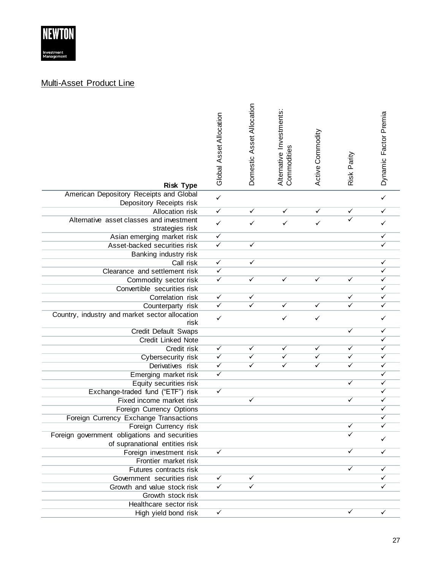

#### Multi -Asset Product Line

| <b>Risk Type</b>                                           | Global Asset Allocation      | Domestic Asset Allocation | Alternative Investments:<br>Commodities | Active Commodity | Risk Parity  | Dynamic Factor Premia |
|------------------------------------------------------------|------------------------------|---------------------------|-----------------------------------------|------------------|--------------|-----------------------|
| American Depository Receipts and Global                    | $\checkmark$                 |                           |                                         |                  |              | ✓                     |
| Depository Receipts risk                                   |                              |                           |                                         |                  |              |                       |
| Allocation risk                                            | $\checkmark$                 | ✓                         | ✓                                       | ✓                | ✓            | ✓                     |
| Alternative asset classes and investment                   | $\checkmark$                 | ✓                         | ✓                                       | $\checkmark$     | $\checkmark$ | ✓                     |
| strategies risk                                            |                              |                           |                                         |                  |              |                       |
| Asian emerging market risk<br>Asset-backed securities risk | $\checkmark$<br>$\checkmark$ | ✓                         |                                         |                  |              | ✓<br>✓                |
|                                                            |                              |                           |                                         |                  |              |                       |
| Banking industry risk<br>Call risk                         | $\checkmark$                 | ✓                         |                                         |                  |              | ✓                     |
| Clearance and settlement risk                              | $\checkmark$                 |                           |                                         |                  |              | ✓                     |
| Commodity sector risk                                      | $\checkmark$                 | ✓                         | ✓                                       | ✓                | ✓            | ✓                     |
| Convertible securities risk                                |                              |                           |                                         |                  |              | ✓                     |
| Correlation risk                                           | $\checkmark$                 | ✓                         |                                         |                  | ✓            | ✓                     |
| Counterparty risk                                          | $\checkmark$                 | ✓                         | ✓                                       | ✓                | ✓            | ✓                     |
| Country, industry and market sector allocation<br>risk     | $\checkmark$                 |                           | ✓                                       | $\checkmark$     |              | ✓                     |
| Credit Default Swaps                                       |                              |                           |                                         |                  | ✓            | ✓                     |
| <b>Credit Linked Note</b>                                  |                              |                           |                                         |                  |              | ✓                     |
| Credit risk                                                | $\checkmark$                 | ✓                         | ✓                                       | ✓                | ✓            | ✓                     |
| Cybersecurity risk                                         | $\overline{\checkmark}$      | ✓                         | ✓                                       | ✓                | ✓            | ✓                     |
| Derivatives risk                                           | $\checkmark$                 | ✓                         | $\overline{\checkmark}$                 | ✓                | ✓            | ✓                     |
| Emerging market risk                                       | $\overline{\checkmark}$      |                           |                                         |                  |              | ✓                     |
| Equity securities risk                                     |                              |                           |                                         |                  | ✓            | ✓                     |
| Exchange-traded fund ("ETF") risk                          | $\checkmark$                 |                           |                                         |                  |              | ✓                     |
| Fixed income market risk                                   |                              | ✓                         |                                         |                  | ✓            | ✓                     |
| Foreign Currency Options                                   |                              |                           |                                         |                  |              | ✓                     |
| Foreign Currency Exchange Transactions                     |                              |                           |                                         |                  |              | ✓                     |
| Foreign Currency risk                                      |                              |                           |                                         |                  | ✓            |                       |
| Foreign government obligations and securities              |                              |                           |                                         |                  |              |                       |
| of supranational entities risk                             |                              |                           |                                         |                  | ✓            |                       |
| Foreign investment risk                                    | $\checkmark$                 |                           |                                         |                  |              |                       |
| Frontier market risk<br>Futures contracts risk             |                              |                           |                                         |                  | ✓            | ✓                     |
| Government securities risk                                 | $\checkmark$                 | ✓                         |                                         |                  |              |                       |
| Growth and value stock risk                                | $\checkmark$                 |                           |                                         |                  |              |                       |
| Growth stock risk                                          |                              |                           |                                         |                  |              |                       |
| Healthcare sector risk                                     |                              |                           |                                         |                  |              |                       |
| High yield bond risk                                       | $\checkmark$                 |                           |                                         |                  | ✓            | ✓                     |
|                                                            |                              |                           |                                         |                  |              |                       |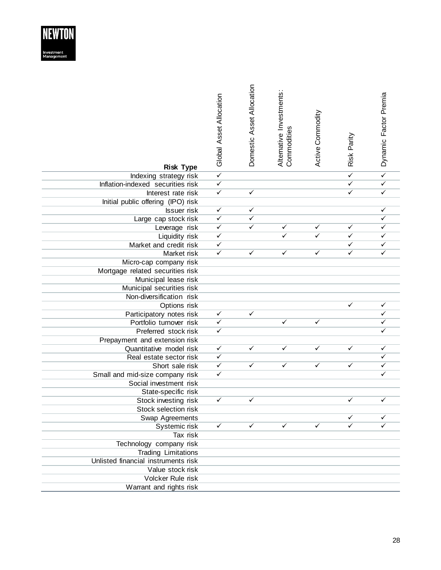

| <b>Risk Type</b>                      | Global Asset Allocation      | Domestic Asset Allocation | Alternative Investments:<br>Commodities | Active Commodity | Risk Parity             | Dynamic Factor Premia   |
|---------------------------------------|------------------------------|---------------------------|-----------------------------------------|------------------|-------------------------|-------------------------|
| Indexing strategy risk                | $\overline{\checkmark}$      |                           |                                         |                  | $\overline{\checkmark}$ | $\overline{\checkmark}$ |
| Inflation-indexed securities risk     | $\overline{\checkmark}$      |                           |                                         |                  | $\checkmark$            | $\checkmark$            |
| Interest rate risk                    | $\checkmark$                 | ✓                         |                                         |                  | ✓                       | $\checkmark$            |
| Initial public offering (IPO) risk    |                              |                           |                                         |                  |                         |                         |
| <b>Issuer</b> risk                    | $\checkmark$                 | ✓                         |                                         |                  |                         | ✓                       |
| Large cap stock risk                  | $\checkmark$                 | $\checkmark$              |                                         |                  |                         | $\checkmark$            |
| Leverage risk                         | $\checkmark$                 | $\checkmark$              | $\checkmark$                            | ✓                | ✓                       | $\checkmark$            |
| Liquidity risk                        | $\checkmark$                 |                           |                                         | ✓                | ✓<br>✓                  | ✓<br>$\checkmark$       |
| Market and credit risk<br>Market risk | $\checkmark$<br>$\checkmark$ | $\checkmark$              | ✓                                       | ✓                | ✓                       |                         |
| Micro-cap company risk                |                              |                           |                                         |                  |                         |                         |
| Mortgage related securities risk      |                              |                           |                                         |                  |                         |                         |
| Municipal lease risk                  |                              |                           |                                         |                  |                         |                         |
| Municipal securities risk             |                              |                           |                                         |                  |                         |                         |
| Non-diversification risk              |                              |                           |                                         |                  |                         |                         |
| Options risk                          |                              |                           |                                         |                  |                         | $\checkmark$            |
| Participatory notes risk              | $\checkmark$                 | $\checkmark$              |                                         |                  |                         | ✓                       |
| Portfolio turnover risk               | $\checkmark$                 |                           | ✓                                       | ✓                |                         | ✓                       |
| Preferred stock risk                  | $\checkmark$                 |                           |                                         |                  |                         |                         |
| Prepayment and extension risk         |                              |                           |                                         |                  |                         |                         |
| Quantitative model risk               | $\checkmark$                 | ✓                         | ✓                                       | ✓                | ✓                       | $\checkmark$            |
| Real estate sector risk               | $\checkmark$                 |                           |                                         |                  |                         | $\checkmark$            |
| Short sale risk                       | $\checkmark$                 | $\checkmark$              | $\checkmark$                            | $\checkmark$     | $\checkmark$            | $\checkmark$            |
| Small and mid-size company risk       | $\checkmark$                 |                           |                                         |                  |                         |                         |
| Social investment risk                |                              |                           |                                         |                  |                         |                         |
| State-specific risk                   |                              |                           |                                         |                  |                         |                         |
| Stock investing risk                  | $\checkmark$                 | ✓                         |                                         |                  | ✓                       | $\checkmark$            |
| Stock selection risk                  |                              |                           |                                         |                  |                         |                         |
| Swap Agreements                       | $\checkmark$                 | ✓                         | ✓                                       | ✓                | ✓<br>✓                  |                         |
| Systemic risk                         |                              |                           |                                         |                  |                         |                         |
| Tax risk<br>Technology company risk   |                              |                           |                                         |                  |                         |                         |
| <b>Trading Limitations</b>            |                              |                           |                                         |                  |                         |                         |
| Unlisted financial instruments risk   |                              |                           |                                         |                  |                         |                         |
| Value stock risk                      |                              |                           |                                         |                  |                         |                         |
| Volcker Rule risk                     |                              |                           |                                         |                  |                         |                         |
| Warrant and rights risk               |                              |                           |                                         |                  |                         |                         |
|                                       |                              |                           |                                         |                  |                         |                         |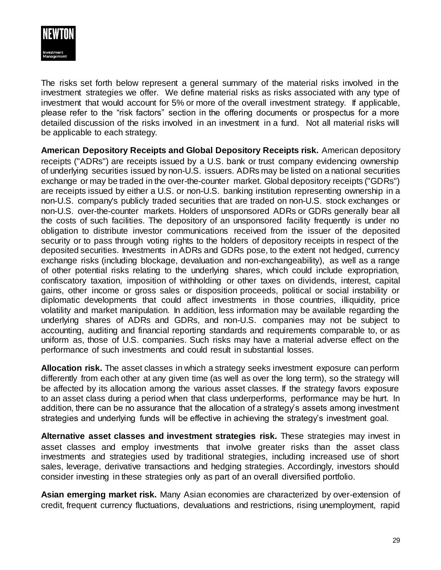

The risks set forth below represent a general summary of the material risks involved in the investment strategies we offer. We define material risks as risks associated with any type of investment that would account for 5% or more of the overall investment strategy. If applicable, please refer to the "risk factors" section in the offering documents or prospectus for a more detailed discussion of the risks involved in an investment in a fund. Not all material risks will be applicable to each strategy.

**American Depository Receipts and Global Depository Receipts risk.** American depository receipts ("ADRs") are receipts issued by a U.S. bank or trust company evidencing ownership of underlying securities issued by non-U.S. issuers. ADRs may be listed on a national securities exchange or may be traded in the over-the-counter market. Global depository receipts ("GDRs") are receipts issued by either a U.S. or non-U.S. banking institution representing ownership in a non-U.S. company's publicly traded securities that are traded on non-U.S. stock exchanges or non-U.S. over-the-counter markets. Holders of unsponsored ADRs or GDRs generally bear all the costs of such facilities. The depository of an unsponsored facility frequently is under no obligation to distribute investor communications received from the issuer of the deposited security or to pass through voting rights to the holders of depository receipts in respect of the deposited securities. Investments in ADRs and GDRs pose, to the extent not hedged, currency exchange risks (including blockage, devaluation and non-exchangeability), as well as a range of other potential risks relating to the underlying shares, which could include expropriation, confiscatory taxation, imposition of withholding or other taxes on dividends, interest, capital gains, other income or gross sales or disposition proceeds, political or social instability or diplomatic developments that could affect investments in those countries, illiquidity, price volatility and market manipulation. In addition, less information may be available regarding the underlying shares of ADRs and GDRs, and non-U.S. companies may not be subject to accounting, auditing and financial reporting standards and requirements comparable to, or as uniform as, those of U.S. companies. Such risks may have a material adverse effect on the performance of such investments and could result in substantial losses.

**Allocation risk.** The asset classes in which a strategy seeks investment exposure can perform differently from each other at any given time (as well as over the long term), so the strategy will be affected by its allocation among the various asset classes. If the strategy favors exposure to an asset class during a period when that class underperforms, performance may be hurt. In addition, there can be no assurance that the allocation of a strategy's assets among investment strategies and underlying funds will be effective in achieving the strategy's investment goal.

**Alternative asset classes and investment strategies risk.** These strategies may invest in asset classes and employ investments that involve greater risks than the asset class investments and strategies used by traditional strategies, including increased use of short sales, leverage, derivative transactions and hedging strategies. Accordingly, investors should consider investing in these strategies only as part of an overall diversified portfolio.

**Asian emerging market risk.** Many Asian economies are characterized by over-extension of credit, frequent currency fluctuations, devaluations and restrictions, rising unemployment, rapid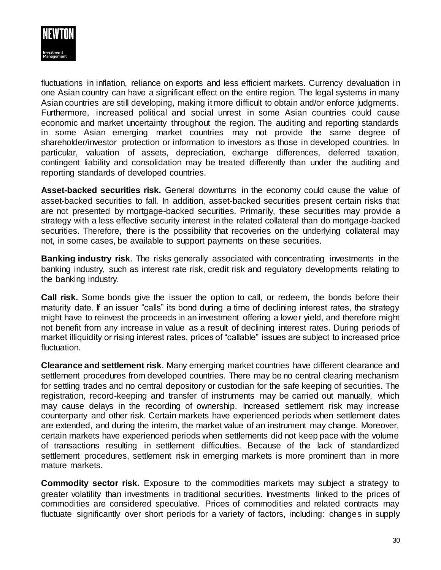

fluctuations in inflation, reliance on exports and less efficient markets. Currency devaluation in one Asian country can have a significant effect on the entire region. The legal systems in many Asian countries are still developing, making it more difficult to obtain and/or enforce judgments. Furthermore, increased political and social unrest in some Asian countries could cause economic and market uncertainty throughout the region. The auditing and reporting standards in some Asian emerging market countries may not provide the same degree of shareholder/investor protection or information to investors as those in developed countries. In particular, valuation of assets, depreciation, exchange differences, deferred taxation, contingent liability and consolidation may be treated differently than under the auditing and reporting standards of developed countries.

**Asset-backed securities risk.** General downturns in the economy could cause the value of asset-backed securities to fall. In addition, asset-backed securities present certain risks that are not presented by mortgage-backed securities. Primarily, these securities may provide a strategy with a less effective security interest in the related collateral than do mortgage-backed securities. Therefore, there is the possibility that recoveries on the underlying collateral may not, in some cases, be available to support payments on these securities.

**Banking industry risk**. The risks generally associated with concentrating investments in the banking industry, such as interest rate risk, credit risk and regulatory developments relating to the banking industry.

**Call risk.** Some bonds give the issuer the option to call, or redeem, the bonds before their maturity date. If an issuer "calls" its bond during a time of declining interest rates, the strategy might have to reinvest the proceeds in an investment offering a lower yield, and therefore might not benefit from any increase in value as a result of declining interest rates. During periods of market illiquidity or rising interest rates, prices of "callable" issues are subject to increased price fluctuation.

**Clearance and settlement risk**. Many emerging market countries have different clearance and settlement procedures from developed countries. There may be no central clearing mechanism for settling trades and no central depository or custodian for the safe keeping of securities. The registration, record-keeping and transfer of instruments may be carried out manually, which may cause delays in the recording of ownership. Increased settlement risk may increase counterparty and other risk. Certain markets have experienced periods when settlement dates are extended, and during the interim, the market value of an instrument may change. Moreover, certain markets have experienced periods when settlements did not keep pace with the volume of transactions resulting in settlement difficulties. Because of the lack of standardized settlement procedures, settlement risk in emerging markets is more prominent than in more mature markets.

**Commodity sector risk.** Exposure to the commodities markets may subject a strategy to greater volatility than investments in traditional securities. Investments linked to the prices of commodities are considered speculative. Prices of commodities and related contracts may fluctuate significantly over short periods for a variety of factors, including: changes in supply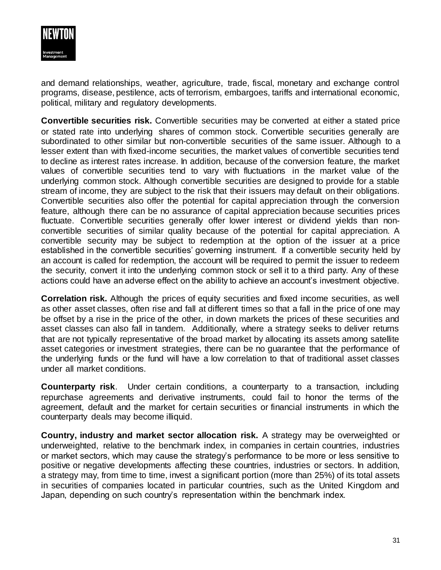

and demand relationships, weather, agriculture, trade, fiscal, monetary and exchange control programs, disease, pestilence, acts of terrorism, embargoes, tariffs and international economic, political, military and regulatory developments.

**Convertible securities risk.** Convertible securities may be converted at either a stated price or stated rate into underlying shares of common stock. Convertible securities generally are subordinated to other similar but non-convertible securities of the same issuer. Although to a lesser extent than with fixed-income securities, the market values of convertible securities tend to decline as interest rates increase. In addition, because of the conversion feature, the market values of convertible securities tend to vary with fluctuations in the market value of the underlying common stock. Although convertible securities are designed to provide for a stable stream of income, they are subject to the risk that their issuers may default on their obligations. Convertible securities also offer the potential for capital appreciation through the conversion feature, although there can be no assurance of capital appreciation because securities prices fluctuate. Convertible securities generally offer lower interest or dividend yields than nonconvertible securities of similar quality because of the potential for capital appreciation. A convertible security may be subject to redemption at the option of the issuer at a price established in the convertible securities' governing instrument. If a convertible security held by an account is called for redemption, the account will be required to permit the issuer to redeem the security, convert it into the underlying common stock or sell it to a third party. Any of these actions could have an adverse effect on the ability to achieve an account's investment objective.

**Correlation risk.** Although the prices of equity securities and fixed income securities, as well as other asset classes, often rise and fall at different times so that a fall in the price of one may be offset by a rise in the price of the other, in down markets the prices of these securities and asset classes can also fall in tandem. Additionally, where a strategy seeks to deliver returns that are not typically representative of the broad market by allocating its assets among satellite asset categories or investment strategies, there can be no guarantee that the performance of the underlying funds or the fund will have a low correlation to that of traditional asset classes under all market conditions.

**Counterparty risk**. Under certain conditions, a counterparty to a transaction, including repurchase agreements and derivative instruments, could fail to honor the terms of the agreement, default and the market for certain securities or financial instruments in which the counterparty deals may become illiquid.

**Country, industry and market sector allocation risk.** A strategy may be overweighted or underweighted, relative to the benchmark index, in companies in certain countries, industries or market sectors, which may cause the strategy's performance to be more or less sensitive to positive or negative developments affecting these countries, industries or sectors. In addition, a strategy may, from time to time, invest a significant portion (more than 25%) of its total assets in securities of companies located in particular countries, such as the United Kingdom and Japan, depending on such country's representation within the benchmark index.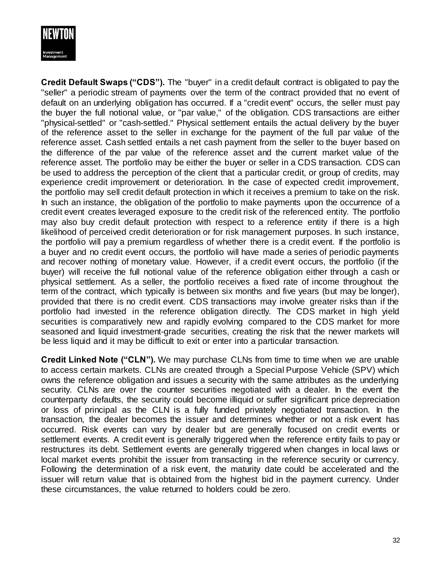

**Credit Default Swaps ("CDS").** The "buyer" in a credit default contract is obligated to pay the "seller" a periodic stream of payments over the term of the contract provided that no event of default on an underlying obligation has occurred. If a "credit event" occurs, the seller must pay the buyer the full notional value, or "par value," of the obligation. CDS transactions are either "physical-settled" or "cash-settled." Physical settlement entails the actual delivery by the buyer of the reference asset to the seller in exchange for the payment of the full par value of the reference asset. Cash settled entails a net cash payment from the seller to the buyer based on the difference of the par value of the reference asset and the current market value of the reference asset. The portfolio may be either the buyer or seller in a CDS transaction. CDS can be used to address the perception of the client that a particular credit, or group of credits, may experience credit improvement or deterioration. In the case of expected credit improvement, the portfolio may sell credit default protection in which it receives a premium to take on the risk. In such an instance, the obligation of the portfolio to make payments upon the occurrence of a credit event creates leveraged exposure to the credit risk of the referenced entity. The portfolio may also buy credit default protection with respect to a reference entity if there is a high likelihood of perceived credit deterioration or for risk management purposes. In such instance, the portfolio will pay a premium regardless of whether there is a credit event. If the portfolio is a buyer and no credit event occurs, the portfolio will have made a series of periodic payments and recover nothing of monetary value. However, if a credit event occurs, the portfolio (if the buyer) will receive the full notional value of the reference obligation either through a cash or physical settlement. As a seller, the portfolio receives a fixed rate of income throughout the term of the contract, which typically is between six months and five years (but may be longer), provided that there is no credit event. CDS transactions may involve greater risks than if the portfolio had invested in the reference obligation directly. The CDS market in high yield securities is comparatively new and rapidly evolving compared to the CDS market for more seasoned and liquid investment-grade securities, creating the risk that the newer markets will be less liquid and it may be difficult to exit or enter into a particular transaction.

**Credit Linked Note ("CLN").** We may purchase CLNs from time to time when we are unable to access certain markets. CLNs are created through a Special Purpose Vehicle (SPV) which owns the reference obligation and issues a security with the same attributes as the underlying security. CLNs are over the counter securities negotiated with a dealer. In the event the counterparty defaults, the security could become illiquid or suffer significant price depreciation or loss of principal as the CLN is a fully funded privately negotiated transaction. In the transaction, the dealer becomes the issuer and determines whether or not a risk event has occurred. Risk events can vary by dealer but are generally focused on credit events or settlement events. A credit event is generally triggered when the reference entity fails to pay or restructures its debt. Settlement events are generally triggered when changes in local laws or local market events prohibit the issuer from transacting in the reference security or currency. Following the determination of a risk event, the maturity date could be accelerated and the issuer will return value that is obtained from the highest bid in the payment currency. Under these circumstances, the value returned to holders could be zero.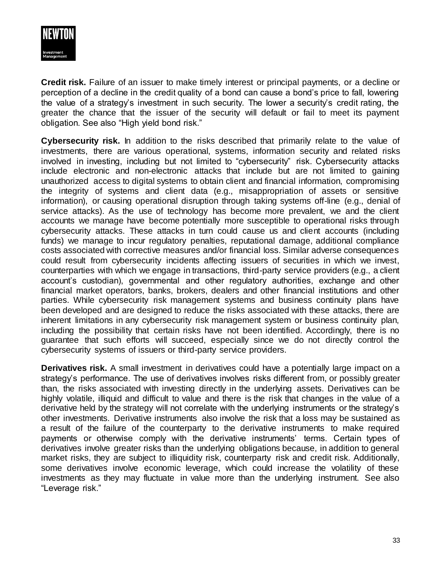

**Credit risk.** Failure of an issuer to make timely interest or principal payments, or a decline or perception of a decline in the credit quality of a bond can cause a bond's price to fall, lowering the value of a strategy's investment in such security. The lower a security's credit rating, the greater the chance that the issuer of the security will default or fail to meet its payment obligation. See also "High yield bond risk."

**Cybersecurity risk.** In addition to the risks described that primarily relate to the value of investments, there are various operational, systems, information security and related risks involved in investing, including but not limited to "cybersecurity" risk. Cybersecurity attacks include electronic and non-electronic attacks that include but are not limited to gaining unauthorized access to digital systems to obtain client and financial information, compromising the integrity of systems and client data (e.g., misappropriation of assets or sensitive information), or causing operational disruption through taking systems off-line (e.g., denial of service attacks). As the use of technology has become more prevalent, we and the client accounts we manage have become potentially more susceptible to operational risks through cybersecurity attacks. These attacks in turn could cause us and client accounts (including funds) we manage to incur regulatory penalties, reputational damage, additional compliance costs associated with corrective measures and/or financial loss. Similar adverse consequences could result from cybersecurity incidents affecting issuers of securities in which we invest, counterparties with which we engage in transactions, third-party service providers (e.g., a client account's custodian), governmental and other regulatory authorities, exchange and other financial market operators, banks, brokers, dealers and other financial institutions and other parties. While cybersecurity risk management systems and business continuity plans have been developed and are designed to reduce the risks associated with these attacks, there are inherent limitations in any cybersecurity risk management system or business continuity plan, including the possibility that certain risks have not been identified. Accordingly, there is no guarantee that such efforts will succeed, especially since we do not directly control the cybersecurity systems of issuers or third-party service providers.

**Derivatives risk.** A small investment in derivatives could have a potentially large impact on a strategy's performance. The use of derivatives involves risks different from, or possibly greater than, the risks associated with investing directly in the underlying assets. Derivatives can be highly volatile, illiquid and difficult to value and there is the risk that changes in the value of a derivative held by the strategy will not correlate with the underlying instruments or the strategy's other investments. Derivative instruments also involve the risk that a loss may be sustained as a result of the failure of the counterparty to the derivative instruments to make required payments or otherwise comply with the derivative instruments' terms. Certain types of derivatives involve greater risks than the underlying obligations because, in addition to general market risks, they are subject to illiquidity risk, counterparty risk and credit risk. Additionally, some derivatives involve economic leverage, which could increase the volatility of these investments as they may fluctuate in value more than the underlying instrument. See also "Leverage risk."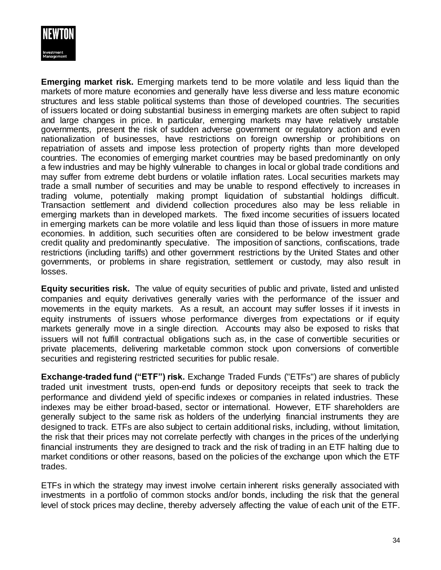

**Emerging market risk.** Emerging markets tend to be more volatile and less liquid than the markets of more mature economies and generally have less diverse and less mature economic structures and less stable political systems than those of developed countries. The securities of issuers located or doing substantial business in emerging markets are often subject to rapid and large changes in price. In particular, emerging markets may have relatively unstable governments, present the risk of sudden adverse government or regulatory action and even nationalization of businesses, have restrictions on foreign ownership or prohibitions on repatriation of assets and impose less protection of property rights than more developed countries. The economies of emerging market countries may be based predominantly on only a few industries and may be highly vulnerable to changes in local or global trade conditions and may suffer from extreme debt burdens or volatile inflation rates. Local securities markets may trade a small number of securities and may be unable to respond effectively to increases in trading volume, potentially making prompt liquidation of substantial holdings difficult. Transaction settlement and dividend collection procedures also may be less reliable in emerging markets than in developed markets. The fixed income securities of issuers located in emerging markets can be more volatile and less liquid than those of issuers in more mature economies. In addition, such securities often are considered to be below investment grade credit quality and predominantly speculative. The imposition of sanctions, confiscations, trade restrictions (including tariffs) and other government restrictions by the United States and other governments, or problems in share registration, settlement or custody, may also result in losses.

**Equity securities risk.** The value of equity securities of public and private, listed and unlisted companies and equity derivatives generally varies with the performance of the issuer and movements in the equity markets. As a result, an account may suffer losses if it invests in equity instruments of issuers whose performance diverges from expectations or if equity markets generally move in a single direction. Accounts may also be exposed to risks that issuers will not fulfill contractual obligations such as, in the case of convertible securities or private placements, delivering marketable common stock upon conversions of convertible securities and registering restricted securities for public resale.

**Exchange-traded fund ("ETF") risk.** Exchange Traded Funds ("ETFs") are shares of publicly traded unit investment trusts, open-end funds or depository receipts that seek to track the performance and dividend yield of specific indexes or companies in related industries. These indexes may be either broad-based, sector or international. However, ETF shareholders are generally subject to the same risk as holders of the underlying financial instruments they are designed to track. ETFs are also subject to certain additional risks, including, without limitation, the risk that their prices may not correlate perfectly with changes in the prices of the underlying financial instruments they are designed to track and the risk of trading in an ETF halting due to market conditions or other reasons, based on the policies of the exchange upon which the ETF trades.

ETFs in which the strategy may invest involve certain inherent risks generally associated with investments in a portfolio of common stocks and/or bonds, including the risk that the general level of stock prices may decline, thereby adversely affecting the value of each unit of the ETF.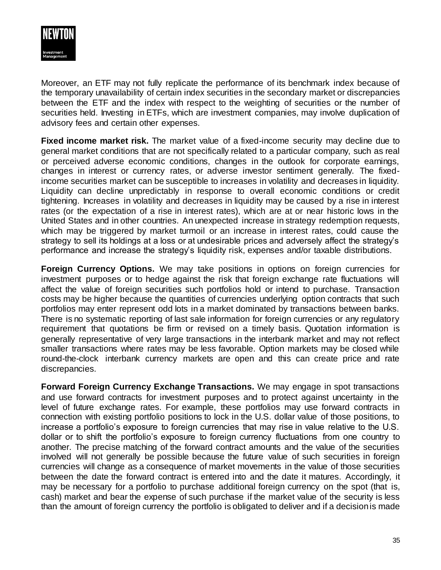

Moreover, an ETF may not fully replicate the performance of its benchmark index because of the temporary unavailability of certain index securities in the secondary market or discrepancies between the ETF and the index with respect to the weighting of securities or the number of securities held. Investing in ETFs, which are investment companies, may involve duplication of advisory fees and certain other expenses.

**Fixed income market risk.** The market value of a fixed-income security may decline due to general market conditions that are not specifically related to a particular company, such as real or perceived adverse economic conditions, changes in the outlook for corporate earnings, changes in interest or currency rates, or adverse investor sentiment generally. The fixedincome securities market can be susceptible to increases in volatility and decreases in liquidity. Liquidity can decline unpredictably in response to overall economic conditions or credit tightening. Increases in volatility and decreases in liquidity may be caused by a rise in interest rates (or the expectation of a rise in interest rates), which are at or near historic lows in the United States and in other countries. An unexpected increase in strategy redemption requests, which may be triggered by market turmoil or an increase in interest rates, could cause the strategy to sell its holdings at a loss or at undesirable prices and adversely affect the strategy's performance and increase the strategy's liquidity risk, expenses and/or taxable distributions.

**Foreign Currency Options.** We may take positions in options on foreign currencies for investment purposes or to hedge against the risk that foreign exchange rate fluctuations will affect the value of foreign securities such portfolios hold or intend to purchase. Transaction costs may be higher because the quantities of currencies underlying option contracts that such portfolios may enter represent odd lots in a market dominated by transactions between banks. There is no systematic reporting of last sale information for foreign currencies or any regulatory requirement that quotations be firm or revised on a timely basis. Quotation information is generally representative of very large transactions in the interbank market and may not reflect smaller transactions where rates may be less favorable. Option markets may be closed while round-the-clock interbank currency markets are open and this can create price and rate discrepancies.

**Forward Foreign Currency Exchange Transactions.** We may engage in spot transactions and use forward contracts for investment purposes and to protect against uncertainty in the level of future exchange rates. For example, these portfolios may use forward contracts in connection with existing portfolio positions to lock in the U.S. dollar value of those positions, to increase a portfolio's exposure to foreign currencies that may rise in value relative to the U.S. dollar or to shift the portfolio's exposure to foreign currency fluctuations from one country to another. The precise matching of the forward contract amounts and the value of the securities involved will not generally be possible because the future value of such securities in foreign currencies will change as a consequence of market movements in the value of those securities between the date the forward contract is entered into and the date it matures. Accordingly, it may be necessary for a portfolio to purchase additional foreign currency on the spot (that is, cash) market and bear the expense of such purchase if the market value of the security is less than the amount of foreign currency the portfolio is obligated to deliver and if a decision is made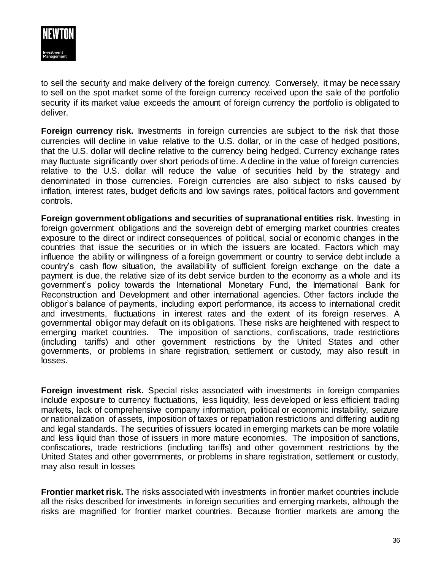

to sell the security and make delivery of the foreign currency. Conversely, it may be necessary to sell on the spot market some of the foreign currency received upon the sale of the portfolio security if its market value exceeds the amount of foreign currency the portfolio is obligated to deliver.

**Foreign currency risk.** Investments in foreign currencies are subject to the risk that those currencies will decline in value relative to the U.S. dollar, or in the case of hedged positions, that the U.S. dollar will decline relative to the currency being hedged. Currency exchange rates may fluctuate significantly over short periods of time. A decline in the value of foreign currencies relative to the U.S. dollar will reduce the value of securities held by the strategy and denominated in those currencies. Foreign currencies are also subject to risks caused by inflation, interest rates, budget deficits and low savings rates, political factors and government controls.

**Foreign government obligations and securities of supranational entities risk.** Investing in foreign government obligations and the sovereign debt of emerging market countries creates exposure to the direct or indirect consequences of political, social or economic changes in the countries that issue the securities or in which the issuers are located. Factors which may influence the ability or willingness of a foreign government or country to service debt include a country's cash flow situation, the availability of sufficient foreign exchange on the date a payment is due, the relative size of its debt service burden to the economy as a whole and its government's policy towards the International Monetary Fund, the International Bank for Reconstruction and Development and other international agencies. Other factors include the obligor's balance of payments, including export performance, its access to international credit and investments, fluctuations in interest rates and the extent of its foreign reserves. A governmental obligor may default on its obligations. These risks are heightened with respect to emerging market countries. The imposition of sanctions, confiscations, trade restrictions (including tariffs) and other government restrictions by the United States and other governments, or problems in share registration, settlement or custody, may also result in losses.

**Foreign investment risk.** Special risks associated with investments in foreign companies include exposure to currency fluctuations, less liquidity, less developed or less efficient trading markets, lack of comprehensive company information, political or economic instability, seizure or nationalization of assets, imposition of taxes or repatriation restrictions and differing auditing and legal standards. The securities of issuers located in emerging markets can be more volatile and less liquid than those of issuers in more mature economies. The imposition of sanctions, confiscations, trade restrictions (including tariffs) and other government restrictions by the United States and other governments, or problems in share registration, settlement or custody, may also result in losses

**Frontier market risk.** The risks associated with investments in frontier market countries include all the risks described for investments in foreign securities and emerging markets, although the risks are magnified for frontier market countries. Because frontier markets are among the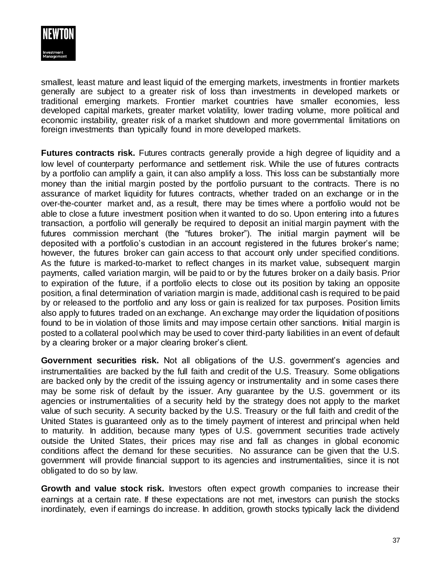

smallest, least mature and least liquid of the emerging markets, investments in frontier markets generally are subject to a greater risk of loss than investments in developed markets or traditional emerging markets. Frontier market countries have smaller economies, less developed capital markets, greater market volatility, lower trading volume, more political and economic instability, greater risk of a market shutdown and more governmental limitations on foreign investments than typically found in more developed markets.

**Futures contracts risk.** Futures contracts generally provide a high degree of liquidity and a low level of counterparty performance and settlement risk. While the use of futures contracts by a portfolio can amplify a gain, it can also amplify a loss. This loss can be substantially more money than the initial margin posted by the portfolio pursuant to the contracts. There is no assurance of market liquidity for futures contracts, whether traded on an exchange or in the over-the-counter market and, as a result, there may be times where a portfolio would not be able to close a future investment position when it wanted to do so. Upon entering into a futures transaction, a portfolio will generally be required to deposit an initial margin payment with the futures commission merchant (the "futures broker"). The initial margin payment will be deposited with a portfolio's custodian in an account registered in the futures broker's name; however, the futures broker can gain access to that account only under specified conditions. As the future is marked-to-market to reflect changes in its market value, subsequent margin payments, called variation margin, will be paid to or by the futures broker on a daily basis. Prior to expiration of the future, if a portfolio elects to close out its position by taking an opposite position, a final determination of variation margin is made, additional cash is required to be paid by or released to the portfolio and any loss or gain is realized for tax purposes. Position limits also apply to futures traded on an exchange. An exchange may order the liquidation of positions found to be in violation of those limits and may impose certain other sanctions. Initial margin is posted to a collateral pool which may be used to cover third-party liabilities in an event of default by a clearing broker or a major clearing broker's client.

**Government securities risk.** Not all obligations of the U.S. government's agencies and instrumentalities are backed by the full faith and credit of the U.S. Treasury. Some obligations are backed only by the credit of the issuing agency or instrumentality and in some cases there may be some risk of default by the issuer. Any guarantee by the U.S. government or its agencies or instrumentalities of a security held by the strategy does not apply to the market value of such security. A security backed by the U.S. Treasury or the full faith and credit of the United States is guaranteed only as to the timely payment of interest and principal when held to maturity. In addition, because many types of U.S. government securities trade actively outside the United States, their prices may rise and fall as changes in global economic conditions affect the demand for these securities. No assurance can be given that the U.S. government will provide financial support to its agencies and instrumentalities, since it is not obligated to do so by law.

**Growth and value stock risk.** Investors often expect growth companies to increase their earnings at a certain rate. If these expectations are not met, investors can punish the stocks inordinately, even if earnings do increase. In addition, growth stocks typically lack the dividend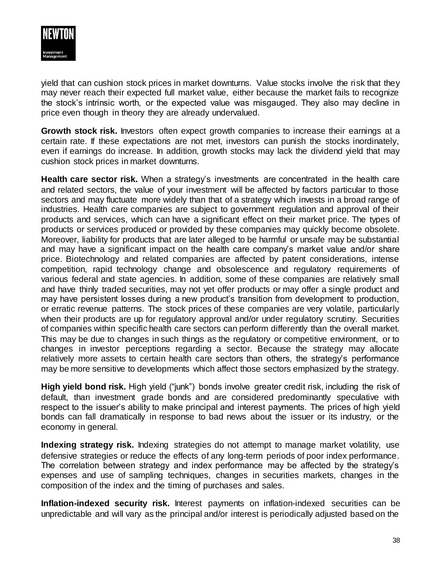

yield that can cushion stock prices in market downturns. Value stocks involve the risk that they may never reach their expected full market value, either because the market fails to recognize the stock's intrinsic worth, or the expected value was misgauged. They also may decline in price even though in theory they are already undervalued.

**Growth stock risk.** Investors often expect growth companies to increase their earnings at a certain rate. If these expectations are not met, investors can punish the stocks inordinately, even if earnings do increase. In addition, growth stocks may lack the dividend yield that may cushion stock prices in market downturns.

**Health care sector risk.** When a strategy's investments are concentrated in the health care and related sectors, the value of your investment will be affected by factors particular to those sectors and may fluctuate more widely than that of a strategy which invests in a broad range of industries. Health care companies are subject to government regulation and approval of their products and services, which can have a significant effect on their market price. The types of products or services produced or provided by these companies may quickly become obsolete. Moreover, liability for products that are later alleged to be harmful or unsafe may be substantial and may have a significant impact on the health care company's market value and/or share price. Biotechnology and related companies are affected by patent considerations, intense competition, rapid technology change and obsolescence and regulatory requirements of various federal and state agencies. In addition, some of these companies are relatively small and have thinly traded securities, may not yet offer products or may offer a single product and may have persistent losses during a new product's transition from development to production, or erratic revenue patterns. The stock prices of these companies are very volatile, particularly when their products are up for regulatory approval and/or under regulatory scrutiny. Securities of companies within specific health care sectors can perform differently than the overall market. This may be due to changes in such things as the regulatory or competitive environment, or to changes in investor perceptions regarding a sector. Because the strategy may allocate relatively more assets to certain health care sectors than others, the strategy's performance may be more sensitive to developments which affect those sectors emphasized by the strategy.

**High yield bond risk.** High yield ("junk") bonds involve greater credit risk, including the risk of default, than investment grade bonds and are considered predominantly speculative with respect to the issuer's ability to make principal and interest payments. The prices of high yield bonds can fall dramatically in response to bad news about the issuer or its industry, or the economy in general.

**Indexing strategy risk.** Indexing strategies do not attempt to manage market volatility, use defensive strategies or reduce the effects of any long-term periods of poor index performance. The correlation between strategy and index performance may be affected by the strategy's expenses and use of sampling techniques, changes in securities markets, changes in the composition of the index and the timing of purchases and sales.

**Inflation-indexed security risk.** Interest payments on inflation-indexed securities can be unpredictable and will vary as the principal and/or interest is periodically adjusted based on the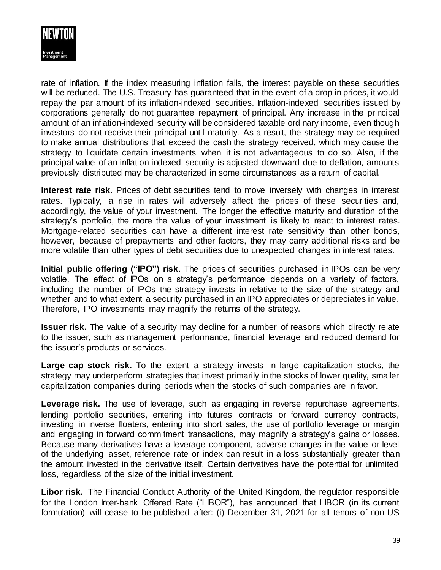

rate of inflation. If the index measuring inflation falls, the interest payable on these securities will be reduced. The U.S. Treasury has guaranteed that in the event of a drop in prices, it would repay the par amount of its inflation-indexed securities. Inflation-indexed securities issued by corporations generally do not guarantee repayment of principal. Any increase in the principal amount of an inflation-indexed security will be considered taxable ordinary income, even though investors do not receive their principal until maturity. As a result, the strategy may be required to make annual distributions that exceed the cash the strategy received, which may cause the strategy to liquidate certain investments when it is not advantageous to do so. Also, if the principal value of an inflation-indexed security is adjusted downward due to deflation, amounts previously distributed may be characterized in some circumstances as a return of capital.

**Interest rate risk.** Prices of debt securities tend to move inversely with changes in interest rates. Typically, a rise in rates will adversely affect the prices of these securities and, accordingly, the value of your investment. The longer the effective maturity and duration of the strategy's portfolio, the more the value of your investment is likely to react to interest rates. Mortgage-related securities can have a different interest rate sensitivity than other bonds, however, because of prepayments and other factors, they may carry additional risks and be more volatile than other types of debt securities due to unexpected changes in interest rates.

**Initial public offering ("IPO") risk.** The prices of securities purchased in IPOs can be very volatile. The effect of IPOs on a strategy's performance depends on a variety of factors, including the number of IPOs the strategy invests in relative to the size of the strategy and whether and to what extent a security purchased in an IPO appreciates or depreciates in value. Therefore, IPO investments may magnify the returns of the strategy.

**Issuer risk.** The value of a security may decline for a number of reasons which directly relate to the issuer, such as management performance, financial leverage and reduced demand for the issuer's products or services.

**Large cap stock risk.** To the extent a strategy invests in large capitalization stocks, the strategy may underperform strategies that invest primarily in the stocks of lower quality, smaller capitalization companies during periods when the stocks of such companies are in favor.

**Leverage risk.** The use of leverage, such as engaging in reverse repurchase agreements, lending portfolio securities, entering into futures contracts or forward currency contracts, investing in inverse floaters, entering into short sales, the use of portfolio leverage or margin and engaging in forward commitment transactions, may magnify a strategy's gains or losses. Because many derivatives have a leverage component, adverse changes in the value or level of the underlying asset, reference rate or index can result in a loss substantially greater than the amount invested in the derivative itself. Certain derivatives have the potential for unlimited loss, regardless of the size of the initial investment.

**Libor risk.** The Financial Conduct Authority of the United Kingdom, the regulator responsible for the London Inter-bank Offered Rate ("LIBOR"), has announced that LIBOR (in its current formulation) will cease to be published after: (i) December 31, 2021 for all tenors of non-US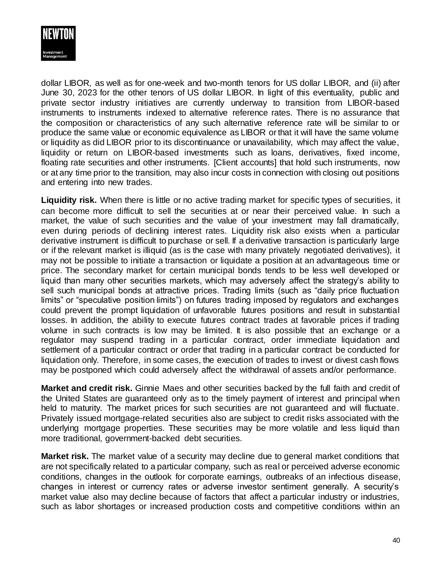

dollar LIBOR, as well as for one-week and two-month tenors for US dollar LIBOR, and (ii) after June 30, 2023 for the other tenors of US dollar LIBOR. In light of this eventuality, public and private sector industry initiatives are currently underway to transition from LIBOR-based instruments to instruments indexed to alternative reference rates. There is no assurance that the composition or characteristics of any such alternative reference rate will be similar to or produce the same value or economic equivalence as LIBOR or that it will have the same volume or liquidity as did LIBOR prior to its discontinuance or unavailability, which may affect the value, liquidity or return on LIBOR-based investments such as loans, derivatives, fixed income, floating rate securities and other instruments. [Client accounts] that hold such instruments, now or at any time prior to the transition, may also incur costs in connection with closing out positions and entering into new trades.

**Liquidity risk.** When there is little or no active trading market for specific types of securities, it can become more difficult to sell the securities at or near their perceived value. In such a market, the value of such securities and the value of your investment may fall dramatically, even during periods of declining interest rates. Liquidity risk also exists when a particular derivative instrument is difficult to purchase or sell. If a derivative transaction is particularly large or if the relevant market is illiquid (as is the case with many privately negotiated derivatives), it may not be possible to initiate a transaction or liquidate a position at an advantageous time or price. The secondary market for certain municipal bonds tends to be less well developed or liquid than many other securities markets, which may adversely affect the strategy's ability to sell such municipal bonds at attractive prices. Trading limits (such as "daily price fluctuation limits" or "speculative position limits") on futures trading imposed by regulators and exchanges could prevent the prompt liquidation of unfavorable futures positions and result in substantial losses. In addition, the ability to execute futures contract trades at favorable prices if trading volume in such contracts is low may be limited. It is also possible that an exchange or a regulator may suspend trading in a particular contract, order immediate liquidation and settlement of a particular contract or order that trading in a particular contract be conducted for liquidation only. Therefore, in some cases, the execution of trades to invest or divest cash flows may be postponed which could adversely affect the withdrawal of assets and/or performance.

**Market and credit risk.** Ginnie Maes and other securities backed by the full faith and credit of the United States are guaranteed only as to the timely payment of interest and principal when held to maturity. The market prices for such securities are not guaranteed and will fluctuate. Privately issued mortgage-related securities also are subject to credit risks associated with the underlying mortgage properties. These securities may be more volatile and less liquid than more traditional, government-backed debt securities.

**Market risk.** The market value of a security may decline due to general market conditions that are not specifically related to a particular company, such as real or perceived adverse economic conditions, changes in the outlook for corporate earnings, outbreaks of an infectious disease, changes in interest or currency rates or adverse investor sentiment generally. A security's market value also may decline because of factors that affect a particular industry or industries, such as labor shortages or increased production costs and competitive conditions within an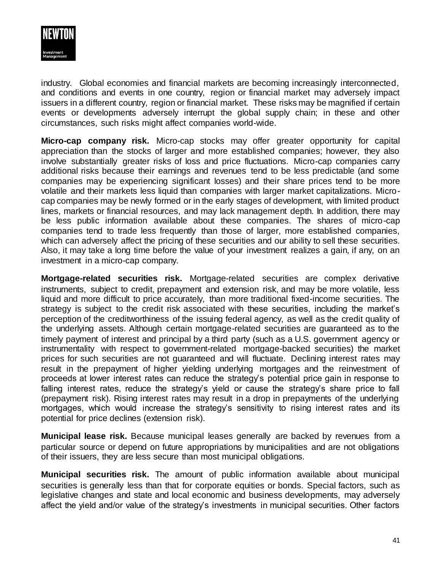

industry. Global economies and financial markets are becoming increasingly interconnected, and conditions and events in one country, region or financial market may adversely impact issuers in a different country, region or financial market. These risks may be magnified if certain events or developments adversely interrupt the global supply chain; in these and other circumstances, such risks might affect companies world-wide.

**Micro-cap company risk.** Micro-cap stocks may offer greater opportunity for capital appreciation than the stocks of larger and more established companies; however, they also involve substantially greater risks of loss and price fluctuations. Micro-cap companies carry additional risks because their earnings and revenues tend to be less predictable (and some companies may be experiencing significant losses) and their share prices tend to be more volatile and their markets less liquid than companies with larger market capitalizations. Microcap companies may be newly formed or in the early stages of development, with limited product lines, markets or financial resources, and may lack management depth. In addition, there may be less public information available about these companies. The shares of micro-cap companies tend to trade less frequently than those of larger, more established companies, which can adversely affect the pricing of these securities and our ability to sell these securities. Also, it may take a long time before the value of your investment realizes a gain, if any, on an investment in a micro-cap company.

**Mortgage-related securities risk.** Mortgage-related securities are complex derivative instruments, subject to credit, prepayment and extension risk, and may be more volatile, less liquid and more difficult to price accurately, than more traditional fixed-income securities. The strategy is subject to the credit risk associated with these securities, including the market's perception of the creditworthiness of the issuing federal agency, as well as the credit quality of the underlying assets. Although certain mortgage-related securities are guaranteed as to the timely payment of interest and principal by a third party (such as a U.S. government agency or instrumentality with respect to government-related mortgage-backed securities) the market prices for such securities are not guaranteed and will fluctuate. Declining interest rates may result in the prepayment of higher yielding underlying mortgages and the reinvestment of proceeds at lower interest rates can reduce the strategy's potential price gain in response to falling interest rates, reduce the strategy's yield or cause the strategy's share price to fall (prepayment risk). Rising interest rates may result in a drop in prepayments of the underlying mortgages, which would increase the strategy's sensitivity to rising interest rates and its potential for price declines (extension risk).

**Municipal lease risk.** Because municipal leases generally are backed by revenues from a particular source or depend on future appropriations by municipalities and are not obligations of their issuers, they are less secure than most municipal obligations.

**Municipal securities risk.** The amount of public information available about municipal securities is generally less than that for corporate equities or bonds. Special factors, such as legislative changes and state and local economic and business developments, may adversely affect the yield and/or value of the strategy's investments in municipal securities. Other factors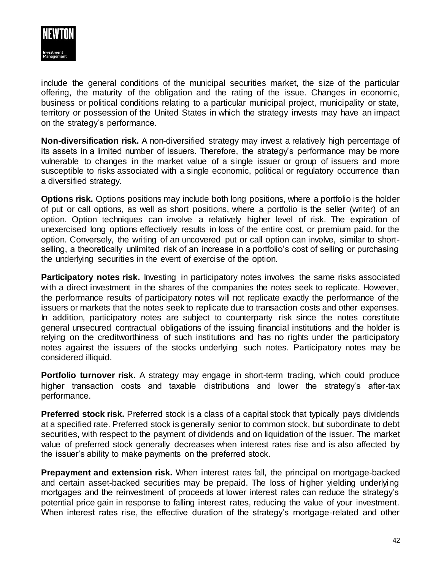

include the general conditions of the municipal securities market, the size of the particular offering, the maturity of the obligation and the rating of the issue. Changes in economic, business or political conditions relating to a particular municipal project, municipality or state, territory or possession of the United States in which the strategy invests may have an impact on the strategy's performance.

**Non-diversification risk.** A non-diversified strategy may invest a relatively high percentage of its assets in a limited number of issuers. Therefore, the strategy's performance may be more vulnerable to changes in the market value of a single issuer or group of issuers and more susceptible to risks associated with a single economic, political or regulatory occurrence than a diversified strategy.

**Options risk.** Options positions may include both long positions, where a portfolio is the holder of put or call options, as well as short positions, where a portfolio is the seller (writer) of an option. Option techniques can involve a relatively higher level of risk. The expiration of unexercised long options effectively results in loss of the entire cost, or premium paid, for the option. Conversely, the writing of an uncovered put or call option can involve, similar to shortselling, a theoretically unlimited risk of an increase in a portfolio's cost of selling or purchasing the underlying securities in the event of exercise of the option.

**Participatory notes risk.** Investing in participatory notes involves the same risks associated with a direct investment in the shares of the companies the notes seek to replicate. However, the performance results of participatory notes will not replicate exactly the performance of the issuers or markets that the notes seek to replicate due to transaction costs and other expenses. In addition, participatory notes are subject to counterparty risk since the notes constitute general unsecured contractual obligations of the issuing financial institutions and the holder is relying on the creditworthiness of such institutions and has no rights under the participatory notes against the issuers of the stocks underlying such notes. Participatory notes may be considered illiquid.

**Portfolio turnover risk.** A strategy may engage in short-term trading, which could produce higher transaction costs and taxable distributions and lower the strategy's after-tax performance.

**Preferred stock risk.** Preferred stock is a class of a capital stock that typically pays dividends at a specified rate. Preferred stock is generally senior to common stock, but subordinate to debt securities, with respect to the payment of dividends and on liquidation of the issuer. The market value of preferred stock generally decreases when interest rates rise and is also affected by the issuer's ability to make payments on the preferred stock.

**Prepayment and extension risk.** When interest rates fall, the principal on mortgage-backed and certain asset-backed securities may be prepaid. The loss of higher yielding underlying mortgages and the reinvestment of proceeds at lower interest rates can reduce the strategy's potential price gain in response to falling interest rates, reducing the value of your investment. When interest rates rise, the effective duration of the strategy's mortgage-related and other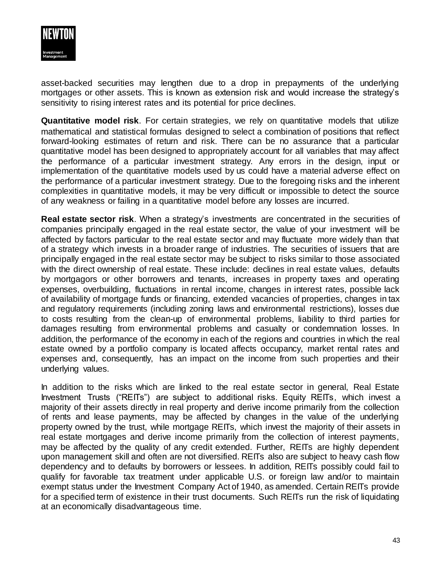

asset-backed securities may lengthen due to a drop in prepayments of the underlying mortgages or other assets. This is known as extension risk and would increase the strategy's sensitivity to rising interest rates and its potential for price declines.

**Quantitative model risk**. For certain strategies, we rely on quantitative models that utilize mathematical and statistical formulas designed to select a combination of positions that reflect forward-looking estimates of return and risk. There can be no assurance that a particular quantitative model has been designed to appropriately account for all variables that may affect the performance of a particular investment strategy. Any errors in the design, input or implementation of the quantitative models used by us could have a material adverse effect on the performance of a particular investment strategy. Due to the foregoing risks and the inherent complexities in quantitative models, it may be very difficult or impossible to detect the source of any weakness or failing in a quantitative model before any losses are incurred.

**Real estate sector risk**. When a strategy's investments are concentrated in the securities of companies principally engaged in the real estate sector, the value of your investment will be affected by factors particular to the real estate sector and may fluctuate more widely than that of a strategy which invests in a broader range of industries. The securities of issuers that are principally engaged in the real estate sector may be subject to risks similar to those associated with the direct ownership of real estate. These include: declines in real estate values, defaults by mortgagors or other borrowers and tenants, increases in property taxes and operating expenses, overbuilding, fluctuations in rental income, changes in interest rates, possible lack of availability of mortgage funds or financing, extended vacancies of properties, changes in tax and regulatory requirements (including zoning laws and environmental restrictions), losses due to costs resulting from the clean-up of environmental problems, liability to third parties for damages resulting from environmental problems and casualty or condemnation losses. In addition, the performance of the economy in each of the regions and countries in which the real estate owned by a portfolio company is located affects occupancy, market rental rates and expenses and, consequently, has an impact on the income from such properties and their underlying values.

In addition to the risks which are linked to the real estate sector in general, Real Estate Investment Trusts ("REITs") are subject to additional risks. Equity REITs, which invest a majority of their assets directly in real property and derive income primarily from the collection of rents and lease payments, may be affected by changes in the value of the underlying property owned by the trust, while mortgage REITs, which invest the majority of their assets in real estate mortgages and derive income primarily from the collection of interest payments, may be affected by the quality of any credit extended. Further, REITs are highly dependent upon management skill and often are not diversified. REITs also are subject to heavy cash flow dependency and to defaults by borrowers or lessees. In addition, REITs possibly could fail to qualify for favorable tax treatment under applicable U.S. or foreign law and/or to maintain exempt status under the Investment Company Act of 1940, as amended. Certain REITs provide for a specified term of existence in their trust documents. Such REITs run the risk of liquidating at an economically disadvantageous time.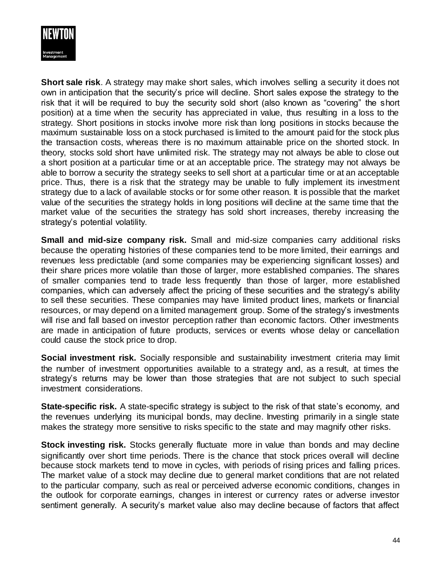

**Short sale risk**. A strategy may make short sales, which involves selling a security it does not own in anticipation that the security's price will decline. Short sales expose the strategy to the risk that it will be required to buy the security sold short (also known as "covering" the short position) at a time when the security has appreciated in value, thus resulting in a loss to the strategy. Short positions in stocks involve more risk than long positions in stocks because the maximum sustainable loss on a stock purchased is limited to the amount paid for the stock plus the transaction costs, whereas there is no maximum attainable price on the shorted stock. In theory, stocks sold short have unlimited risk. The strategy may not always be able to close out a short position at a particular time or at an acceptable price. The strategy may not always be able to borrow a security the strategy seeks to sell short at a particular time or at an acceptable price. Thus, there is a risk that the strategy may be unable to fully implement its investment strategy due to a lack of available stocks or for some other reason. It is possible that the market value of the securities the strategy holds in long positions will decline at the same time that the market value of the securities the strategy has sold short increases, thereby increasing the strategy's potential volatility.

**Small and mid-size company risk.** Small and mid-size companies carry additional risks because the operating histories of these companies tend to be more limited, their earnings and revenues less predictable (and some companies may be experiencing significant losses) and their share prices more volatile than those of larger, more established companies. The shares of smaller companies tend to trade less frequently than those of larger, more established companies, which can adversely affect the pricing of these securities and the strategy's ability to sell these securities. These companies may have limited product lines, markets or financial resources, or may depend on a limited management group. Some of the strategy's investments will rise and fall based on investor perception rather than economic factors. Other investments are made in anticipation of future products, services or events whose delay or cancellation could cause the stock price to drop.

**Social investment risk.** Socially responsible and sustainability investment criteria may limit the number of investment opportunities available to a strategy and, as a result, at times the strategy's returns may be lower than those strategies that are not subject to such special investment considerations.

**State-specific risk.** A state-specific strategy is subject to the risk of that state's economy, and the revenues underlying its municipal bonds, may decline. Investing primarily in a single state makes the strategy more sensitive to risks specific to the state and may magnify other risks.

**Stock investing risk.** Stocks generally fluctuate more in value than bonds and may decline significantly over short time periods. There is the chance that stock prices overall will decline because stock markets tend to move in cycles, with periods of rising prices and falling prices. The market value of a stock may decline due to general market conditions that are not related to the particular company, such as real or perceived adverse economic conditions, changes in the outlook for corporate earnings, changes in interest or currency rates or adverse investor sentiment generally. A security's market value also may decline because of factors that affect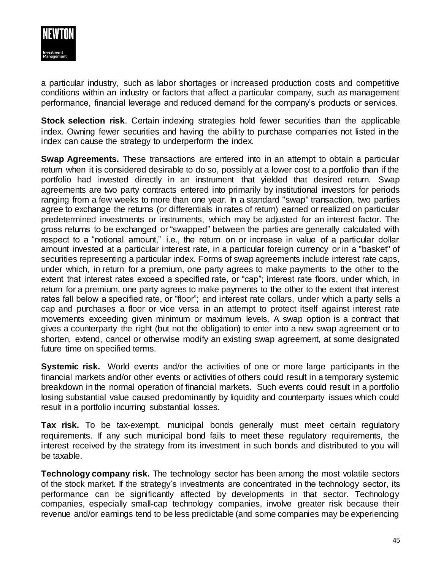

a particular industry, such as labor shortages or increased production costs and competitive conditions within an industry or factors that affect a particular company, such as management performance, financial leverage and reduced demand for the company's products or services.

**Stock selection risk**. Certain indexing strategies hold fewer securities than the applicable index. Owning fewer securities and having the ability to purchase companies not listed in the index can cause the strategy to underperform the index.

**Swap Agreements.** These transactions are entered into in an attempt to obtain a particular return when it is considered desirable to do so, possibly at a lower cost to a portfolio than if the portfolio had invested directly in an instrument that yielded that desired return. Swap agreements are two party contracts entered into primarily by institutional investors for periods ranging from a few weeks to more than one year. In a standard "swap" transaction, two parties agree to exchange the returns (or differentials in rates of return) earned or realized on particular predetermined investments or instruments, which may be adjusted for an interest factor. The gross returns to be exchanged or "swapped" between the parties are generally calculated with respect to a "notional amount," i.e., the return on or increase in value of a particular dollar amount invested at a particular interest rate, in a particular foreign currency or in a "basket" of securities representing a particular index. Forms of swap agreements include interest rate caps, under which, in return for a premium, one party agrees to make payments to the other to the extent that interest rates exceed a specified rate, or "cap"; interest rate floors, under which, in return for a premium, one party agrees to make payments to the other to the extent that interest rates fall below a specified rate, or "floor"; and interest rate collars, under which a party sells a cap and purchases a floor or vice versa in an attempt to protect itself against interest rate movements exceeding given minimum or maximum levels. A swap option is a contract that gives a counterparty the right (but not the obligation) to enter into a new swap agreement or to shorten, extend, cancel or otherwise modify an existing swap agreement, at some designated future time on specified terms.

**Systemic risk.** World events and/or the activities of one or more large participants in the financial markets and/or other events or activities of others could result in a temporary systemic breakdown in the normal operation of financial markets. Such events could result in a portfolio losing substantial value caused predominantly by liquidity and counterparty issues which could result in a portfolio incurring substantial losses.

**Tax risk.** To be tax-exempt, municipal bonds generally must meet certain regulatory requirements. If any such municipal bond fails to meet these regulatory requirements, the interest received by the strategy from its investment in such bonds and distributed to you will be taxable.

**Technology company risk.** The technology sector has been among the most volatile sectors of the stock market. If the strategy's investments are concentrated in the technology sector, its performance can be significantly affected by developments in that sector. Technology companies, especially small-cap technology companies, involve greater risk because their revenue and/or earnings tend to be less predictable (and some companies may be experiencing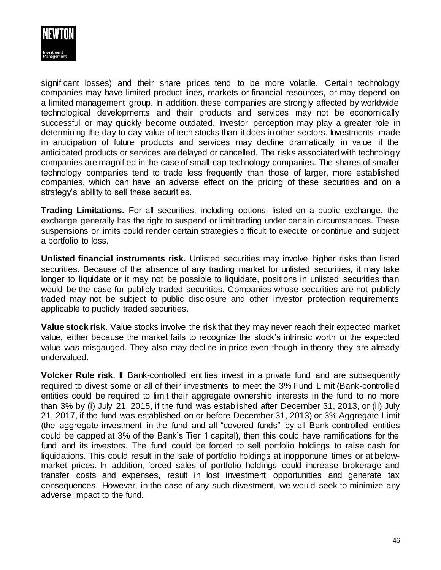

significant losses) and their share prices tend to be more volatile. Certain technology companies may have limited product lines, markets or financial resources, or may depend on a limited management group. In addition, these companies are strongly affected by worldwide technological developments and their products and services may not be economically successful or may quickly become outdated. Investor perception may play a greater role in determining the day-to-day value of tech stocks than it does in other sectors. Investments made in anticipation of future products and services may decline dramatically in value if the anticipated products or services are delayed or cancelled. The risks associated with technology companies are magnified in the case of small-cap technology companies. The shares of smaller technology companies tend to trade less frequently than those of larger, more established companies, which can have an adverse effect on the pricing of these securities and on a strategy's ability to sell these securities.

**Trading Limitations.** For all securities, including options, listed on a public exchange, the exchange generally has the right to suspend or limit trading under certain circumstances. These suspensions or limits could render certain strategies difficult to execute or continue and subject a portfolio to loss.

**Unlisted financial instruments risk.** Unlisted securities may involve higher risks than listed securities. Because of the absence of any trading market for unlisted securities, it may take longer to liquidate or it may not be possible to liquidate, positions in unlisted securities than would be the case for publicly traded securities. Companies whose securities are not publicly traded may not be subject to public disclosure and other investor protection requirements applicable to publicly traded securities.

**Value stock risk**. Value stocks involve the risk that they may never reach their expected market value, either because the market fails to recognize the stock's intrinsic worth or the expected value was misgauged. They also may decline in price even though in theory they are already undervalued.

**Volcker Rule risk**. If Bank-controlled entities invest in a private fund and are subsequently required to divest some or all of their investments to meet the 3% Fund Limit (Bank-controlled entities could be required to limit their aggregate ownership interests in the fund to no more than 3% by (i) July 21, 2015, if the fund was established after December 31, 2013, or (ii) July 21, 2017, if the fund was established on or before December 31, 2013) or 3% Aggregate Limit (the aggregate investment in the fund and all "covered funds" by all Bank-controlled entities could be capped at 3% of the Bank's Tier 1 capital), then this could have ramifications for the fund and its investors. The fund could be forced to sell portfolio holdings to raise cash for liquidations. This could result in the sale of portfolio holdings at inopportune times or at belowmarket prices. In addition, forced sales of portfolio holdings could increase brokerage and transfer costs and expenses, result in lost investment opportunities and generate tax consequences. However, in the case of any such divestment, we would seek to minimize any adverse impact to the fund.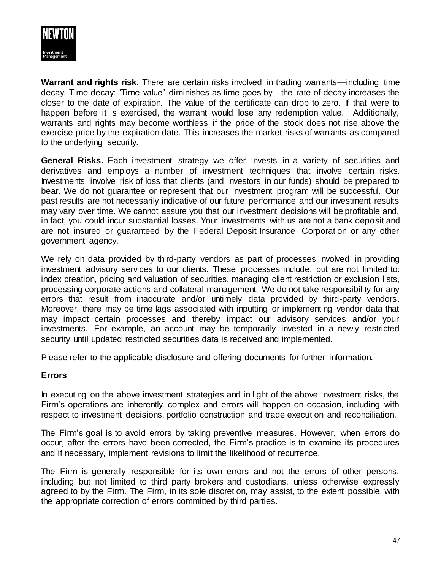

**Warrant and rights risk.** There are certain risks involved in trading warrants—including time decay. Time decay: "Time value" diminishes as time goes by—the rate of decay increases the closer to the date of expiration. The value of the certificate can drop to zero. If that were to happen before it is exercised, the warrant would lose any redemption value. Additionally, warrants and rights may become worthless if the price of the stock does not rise above the exercise price by the expiration date. This increases the market risks of warrants as compared to the underlying security.

**General Risks.** Each investment strategy we offer invests in a variety of securities and derivatives and employs a number of investment techniques that involve certain risks. Investments involve risk of loss that clients (and investors in our funds) should be prepared to bear. We do not guarantee or represent that our investment program will be successful. Our past results are not necessarily indicative of our future performance and our investment results may vary over time. We cannot assure you that our investment decisions will be profitable and, in fact, you could incur substantial losses. Your investments with us are not a bank deposit and are not insured or guaranteed by the Federal Deposit Insurance Corporation or any other government agency.

We rely on data provided by third-party vendors as part of processes involved in providing investment advisory services to our clients. These processes include, but are not limited to: index creation, pricing and valuation of securities, managing client restriction or exclusion lists, processing corporate actions and collateral management. We do not take responsibility for any errors that result from inaccurate and/or untimely data provided by third-party vendors. Moreover, there may be time lags associated with inputting or implementing vendor data that may impact certain processes and thereby impact our advisory services and/or your investments. For example, an account may be temporarily invested in a newly restricted security until updated restricted securities data is received and implemented.

Please refer to the applicable disclosure and offering documents for further information.

## **Errors**

In executing on the above investment strategies and in light of the above investment risks, the Firm's operations are inherently complex and errors will happen on occasion, including with respect to investment decisions, portfolio construction and trade execution and reconciliation.

The Firm's goal is to avoid errors by taking preventive measures. However, when errors do occur, after the errors have been corrected, the Firm's practice is to examine its procedures and if necessary, implement revisions to limit the likelihood of recurrence.

The Firm is generally responsible for its own errors and not the errors of other persons, including but not limited to third party brokers and custodians, unless otherwise expressly agreed to by the Firm. The Firm, in its sole discretion, may assist, to the extent possible, with the appropriate correction of errors committed by third parties.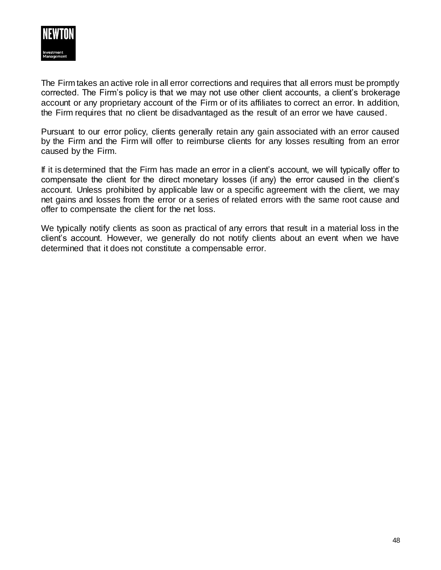

The Firm takes an active role in all error corrections and requires that all errors must be promptly corrected. The Firm's policy is that we may not use other client accounts, a client's brokerage account or any proprietary account of the Firm or of its affiliates to correct an error. In addition, the Firm requires that no client be disadvantaged as the result of an error we have caused.

Pursuant to our error policy, clients generally retain any gain associated with an error caused by the Firm and the Firm will offer to reimburse clients for any losses resulting from an error caused by the Firm.

If it is determined that the Firm has made an error in a client's account, we will typically offer to compensate the client for the direct monetary losses (if any) the error caused in the client's account. Unless prohibited by applicable law or a specific agreement with the client, we may net gains and losses from the error or a series of related errors with the same root cause and offer to compensate the client for the net loss.

We typically notify clients as soon as practical of any errors that result in a material loss in the client's account. However, we generally do not notify clients about an event when we have determined that it does not constitute a compensable error.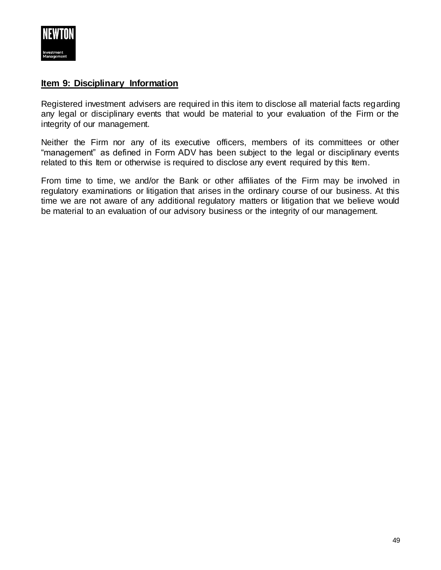

## **Item 9: Disciplinary Information**

Registered investment advisers are required in this item to disclose all material facts regarding any legal or disciplinary events that would be material to your evaluation of the Firm or the integrity of our management.

Neither the Firm nor any of its executive officers, members of its committees or other "management" as defined in Form ADV has been subject to the legal or disciplinary events related to this Item or otherwise is required to disclose any event required by this Item.

From time to time, we and/or the Bank or other affiliates of the Firm may be involved in regulatory examinations or litigation that arises in the ordinary course of our business. At this time we are not aware of any additional regulatory matters or litigation that we believe would be material to an evaluation of our advisory business or the integrity of our management.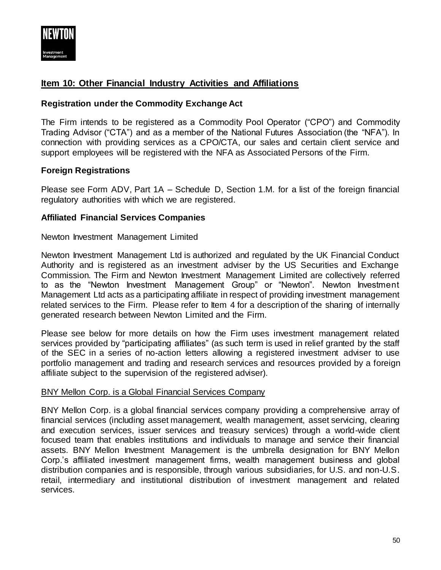

# **Item 10: Other Financial Industry Activities and Affiliations**

## **Registration under the Commodity Exchange Act**

The Firm intends to be registered as a Commodity Pool Operator ("CPO") and Commodity Trading Advisor ("CTA") and as a member of the National Futures Association (the "NFA"). In connection with providing services as a CPO/CTA, our sales and certain client service and support employees will be registered with the NFA as Associated Persons of the Firm.

#### **Foreign Registrations**

Please see Form ADV, Part 1A – Schedule D, Section 1.M. for a list of the foreign financial regulatory authorities with which we are registered.

#### **Affiliated Financial Services Companies**

Newton Investment Management Limited

Newton Investment Management Ltd is authorized and regulated by the UK Financial Conduct Authority and is registered as an investment adviser by the US Securities and Exchange Commission. The Firm and Newton Investment Management Limited are collectively referred to as the "Newton Investment Management Group" or "Newton". Newton Investment Management Ltd acts as a participating affiliate in respect of providing investment management related services to the Firm. Please refer to Item 4 for a description of the sharing of internally generated research between Newton Limited and the Firm.

Please see below for more details on how the Firm uses investment management related services provided by "participating affiliates" (as such term is used in relief granted by the staff of the SEC in a series of no-action letters allowing a registered investment adviser to use portfolio management and trading and research services and resources provided by a foreign affiliate subject to the supervision of the registered adviser).

## BNY Mellon Corp. is a Global Financial Services Company

BNY Mellon Corp. is a global financial services company providing a comprehensive array of financial services (including asset management, wealth management, asset servicing, clearing and execution services, issuer services and treasury services) through a world-wide client focused team that enables institutions and individuals to manage and service their financial assets. BNY Mellon Investment Management is the umbrella designation for BNY Mellon Corp.'s affiliated investment management firms, wealth management business and global distribution companies and is responsible, through various subsidiaries, for U.S. and non-U.S. retail, intermediary and institutional distribution of investment management and related services.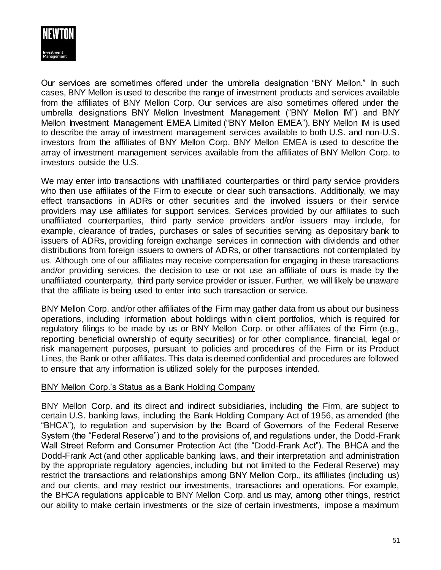

Our services are sometimes offered under the umbrella designation "BNY Mellon." In such cases, BNY Mellon is used to describe the range of investment products and services available from the affiliates of BNY Mellon Corp. Our services are also sometimes offered under the umbrella designations BNY Mellon Investment Management ("BNY Mellon IM") and BNY Mellon Investment Management EMEA Limited ("BNY Mellon EMEA"). BNY Mellon IM is used to describe the array of investment management services available to both U.S. and non-U.S. investors from the affiliates of BNY Mellon Corp. BNY Mellon EMEA is used to describe the array of investment management services available from the affiliates of BNY Mellon Corp. to investors outside the U.S.

We may enter into transactions with unaffiliated counterparties or third party service providers who then use affiliates of the Firm to execute or clear such transactions. Additionally, we may effect transactions in ADRs or other securities and the involved issuers or their service providers may use affiliates for support services. Services provided by our affiliates to such unaffiliated counterparties, third party service providers and/or issuers may include, for example, clearance of trades, purchases or sales of securities serving as depositary bank to issuers of ADRs, providing foreign exchange services in connection with dividends and other distributions from foreign issuers to owners of ADRs, or other transactions not contemplated by us. Although one of our affiliates may receive compensation for engaging in these transactions and/or providing services, the decision to use or not use an affiliate of ours is made by the unaffiliated counterparty, third party service provider or issuer. Further, we will likely be unaware that the affiliate is being used to enter into such transaction or service.

BNY Mellon Corp. and/or other affiliates of the Firm may gather data from us about our business operations, including information about holdings within client portfolios, which is required for regulatory filings to be made by us or BNY Mellon Corp. or other affiliates of the Firm (e.g., reporting beneficial ownership of equity securities) or for other compliance, financial, legal or risk management purposes, pursuant to policies and procedures of the Firm or its Product Lines, the Bank or other affiliates. This data is deemed confidential and procedures are followed to ensure that any information is utilized solely for the purposes intended.

## BNY Mellon Corp.'s Status as a Bank Holding Company

BNY Mellon Corp. and its direct and indirect subsidiaries, including the Firm, are subject to certain U.S. banking laws, including the Bank Holding Company Act of 1956, as amended (the "BHCA"), to regulation and supervision by the Board of Governors of the Federal Reserve System (the "Federal Reserve") and to the provisions of, and regulations under, the Dodd-Frank Wall Street Reform and Consumer Protection Act (the "Dodd-Frank Act"). The BHCA and the Dodd-Frank Act (and other applicable banking laws, and their interpretation and administration by the appropriate regulatory agencies, including but not limited to the Federal Reserve) may restrict the transactions and relationships among BNY Mellon Corp., its affiliates (including us) and our clients, and may restrict our investments, transactions and operations. For example, the BHCA regulations applicable to BNY Mellon Corp. and us may, among other things, restrict our ability to make certain investments or the size of certain investments, impose a maximum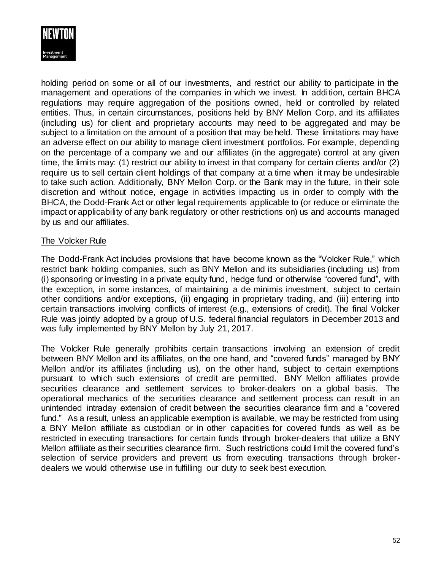

holding period on some or all of our investments, and restrict our ability to participate in the management and operations of the companies in which we invest. In addition, certain BHCA regulations may require aggregation of the positions owned, held or controlled by related entities. Thus, in certain circumstances, positions held by BNY Mellon Corp. and its affiliates (including us) for client and proprietary accounts may need to be aggregated and may be subject to a limitation on the amount of a position that may be held. These limitations may have an adverse effect on our ability to manage client investment portfolios. For example, depending on the percentage of a company we and our affiliates (in the aggregate) control at any given time, the limits may: (1) restrict our ability to invest in that company for certain clients and/or (2) require us to sell certain client holdings of that company at a time when it may be undesirable to take such action. Additionally, BNY Mellon Corp. or the Bank may in the future, in their sole discretion and without notice, engage in activities impacting us in order to comply with the BHCA, the Dodd-Frank Act or other legal requirements applicable to (or reduce or eliminate the impact or applicability of any bank regulatory or other restrictions on) us and accounts managed by us and our affiliates.

## The Volcker Rule

The Dodd-Frank Act includes provisions that have become known as the "Volcker Rule," which restrict bank holding companies, such as BNY Mellon and its subsidiaries (including us) from (i) sponsoring or investing in a private equity fund, hedge fund or otherwise "covered fund", with the exception, in some instances, of maintaining a de minimis investment, subject to certain other conditions and/or exceptions, (ii) engaging in proprietary trading, and (iii) entering into certain transactions involving conflicts of interest (e.g., extensions of credit). The final Volcker Rule was jointly adopted by a group of U.S. federal financial regulators in December 2013 and was fully implemented by BNY Mellon by July 21, 2017.

The Volcker Rule generally prohibits certain transactions involving an extension of credit between BNY Mellon and its affiliates, on the one hand, and "covered funds" managed by BNY Mellon and/or its affiliates (including us), on the other hand, subject to certain exemptions pursuant to which such extensions of credit are permitted. BNY Mellon affiliates provide securities clearance and settlement services to broker-dealers on a global basis. The operational mechanics of the securities clearance and settlement process can result in an unintended intraday extension of credit between the securities clearance firm and a "covered fund." As a result, unless an applicable exemption is available, we may be restricted from using a BNY Mellon affiliate as custodian or in other capacities for covered funds as well as be restricted in executing transactions for certain funds through broker-dealers that utilize a BNY Mellon affiliate as their securities clearance firm. Such restrictions could limit the covered fund's selection of service providers and prevent us from executing transactions through brokerdealers we would otherwise use in fulfilling our duty to seek best execution.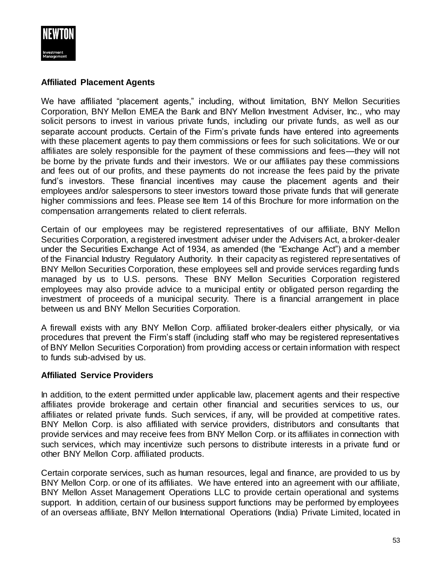

## **Affiliated Placement Agents**

We have affiliated "placement agents," including, without limitation, BNY Mellon Securities Corporation, BNY Mellon EMEA the Bank and BNY Mellon Investment Adviser, Inc., who may solicit persons to invest in various private funds, including our private funds, as well as our separate account products. Certain of the Firm's private funds have entered into agreements with these placement agents to pay them commissions or fees for such solicitations. We or our affiliates are solely responsible for the payment of these commissions and fees—they will not be borne by the private funds and their investors. We or our affiliates pay these commissions and fees out of our profits, and these payments do not increase the fees paid by the private fund's investors. These financial incentives may cause the placement agents and their employees and/or salespersons to steer investors toward those private funds that will generate higher commissions and fees. Please see Item 14 of this Brochure for more information on the compensation arrangements related to client referrals.

Certain of our employees may be registered representatives of our affiliate, BNY Mellon Securities Corporation, a registered investment adviser under the Advisers Act, a broker-dealer under the Securities Exchange Act of 1934, as amended (the "Exchange Act") and a member of the Financial Industry Regulatory Authority. In their capacity as registered representatives of BNY Mellon Securities Corporation, these employees sell and provide services regarding funds managed by us to U.S. persons. These BNY Mellon Securities Corporation registered employees may also provide advice to a municipal entity or obligated person regarding the investment of proceeds of a municipal security. There is a financial arrangement in place between us and BNY Mellon Securities Corporation.

A firewall exists with any BNY Mellon Corp. affiliated broker-dealers either physically, or via procedures that prevent the Firm's staff (including staff who may be registered representatives of BNY Mellon Securities Corporation) from providing access or certain information with respect to funds sub-advised by us.

## **Affiliated Service Providers**

In addition, to the extent permitted under applicable law, placement agents and their respective affiliates provide brokerage and certain other financial and securities services to us, our affiliates or related private funds. Such services, if any, will be provided at competitive rates. BNY Mellon Corp. is also affiliated with service providers, distributors and consultants that provide services and may receive fees from BNY Mellon Corp. or its affiliates in connection with such services, which may incentivize such persons to distribute interests in a private fund or other BNY Mellon Corp. affiliated products.

Certain corporate services, such as human resources, legal and finance, are provided to us by BNY Mellon Corp. or one of its affiliates. We have entered into an agreement with our affiliate, BNY Mellon Asset Management Operations LLC to provide certain operational and systems support. In addition, certain of our business support functions may be performed by employees of an overseas affiliate, BNY Mellon International Operations (India) Private Limited, located in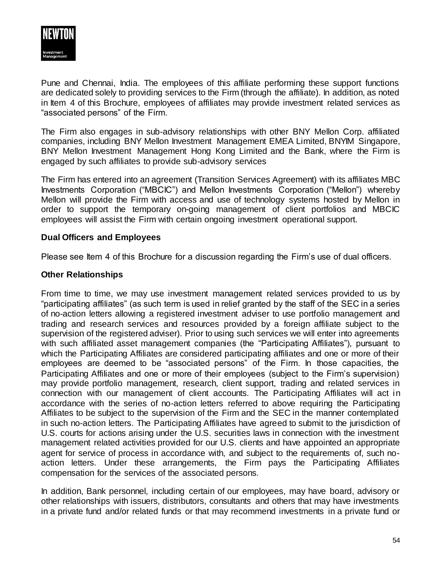

Pune and Chennai, India. The employees of this affiliate performing these support functions are dedicated solely to providing services to the Firm (through the affiliate). In addition, as noted in Item 4 of this Brochure, employees of affiliates may provide investment related services as "associated persons" of the Firm.

The Firm also engages in sub-advisory relationships with other BNY Mellon Corp. affiliated companies, including BNY Mellon Investment Management EMEA Limited, BNYIM Singapore, BNY Mellon Investment Management Hong Kong Limited and the Bank, where the Firm is engaged by such affiliates to provide sub-advisory services

The Firm has entered into an agreement (Transition Services Agreement) with its affiliates MBC Investments Corporation ("MBCIC") and Mellon Investments Corporation ("Mellon") whereby Mellon will provide the Firm with access and use of technology systems hosted by Mellon in order to support the temporary on-going management of client portfolios and MBCIC employees will assist the Firm with certain ongoing investment operational support.

## **Dual Officers and Employees**

Please see Item 4 of this Brochure for a discussion regarding the Firm's use of dual officers.

#### **Other Relationships**

From time to time, we may use investment management related services provided to us by "participating affiliates" (as such term is used in relief granted by the staff of the SEC in a series of no-action letters allowing a registered investment adviser to use portfolio management and trading and research services and resources provided by a foreign affiliate subject to the supervision of the registered adviser). Prior to using such services we will enter into agreements with such affiliated asset management companies (the "Participating Affiliates"), pursuant to which the Participating Affiliates are considered participating affiliates and one or more of their employees are deemed to be "associated persons" of the Firm. In those capacities, the Participating Affiliates and one or more of their employees (subject to the Firm's supervision) may provide portfolio management, research, client support, trading and related services in connection with our management of client accounts. The Participating Affiliates will act in accordance with the series of no-action letters referred to above requiring the Participating Affiliates to be subject to the supervision of the Firm and the SEC in the manner contemplated in such no-action letters. The Participating Affiliates have agreed to submit to the jurisdiction of U.S. courts for actions arising under the U.S. securities laws in connection with the investment management related activities provided for our U.S. clients and have appointed an appropriate agent for service of process in accordance with, and subject to the requirements of, such noaction letters. Under these arrangements, the Firm pays the Participating Affiliates compensation for the services of the associated persons.

In addition, Bank personnel, including certain of our employees, may have board, advisory or other relationships with issuers, distributors, consultants and others that may have investments in a private fund and/or related funds or that may recommend investments in a private fund or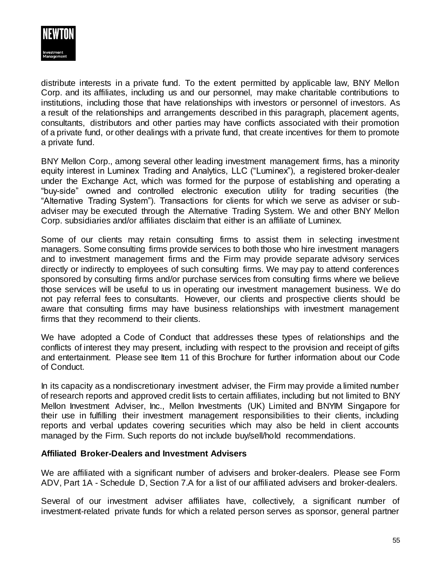

distribute interests in a private fund. To the extent permitted by applicable law, BNY Mellon Corp. and its affiliates, including us and our personnel, may make charitable contributions to institutions, including those that have relationships with investors or personnel of investors. As a result of the relationships and arrangements described in this paragraph, placement agents, consultants, distributors and other parties may have conflicts associated with their promotion of a private fund, or other dealings with a private fund, that create incentives for them to promote a private fund.

BNY Mellon Corp., among several other leading investment management firms, has a minority equity interest in Luminex Trading and Analytics, LLC ("Luminex"), a registered broker-dealer under the Exchange Act, which was formed for the purpose of establishing and operating a "buy-side" owned and controlled electronic execution utility for trading securities (the "Alternative Trading System"). Transactions for clients for which we serve as adviser or subadviser may be executed through the Alternative Trading System. We and other BNY Mellon Corp. subsidiaries and/or affiliates disclaim that either is an affiliate of Luminex.

Some of our clients may retain consulting firms to assist them in selecting investment managers. Some consulting firms provide services to both those who hire investment managers and to investment management firms and the Firm may provide separate advisory services directly or indirectly to employees of such consulting firms. We may pay to attend conferences sponsored by consulting firms and/or purchase services from consulting firms where we believe those services will be useful to us in operating our investment management business. We do not pay referral fees to consultants. However, our clients and prospective clients should be aware that consulting firms may have business relationships with investment management firms that they recommend to their clients.

We have adopted a Code of Conduct that addresses these types of relationships and the conflicts of interest they may present, including with respect to the provision and receipt of gifts and entertainment. Please see Item 11 of this Brochure for further information about our Code of Conduct.

In its capacity as a nondiscretionary investment adviser, the Firm may provide a limited number of research reports and approved credit lists to certain affiliates, including but not limited to BNY Mellon Investment Adviser, Inc., Mellon Investments (UK) Limited and BNYIM Singapore for their use in fulfilling their investment management responsibilities to their clients, including reports and verbal updates covering securities which may also be held in client accounts managed by the Firm. Such reports do not include buy/sell/hold recommendations.

## **Affiliated Broker-Dealers and Investment Advisers**

We are affiliated with a significant number of advisers and broker-dealers. Please see Form ADV, Part 1A - Schedule D, Section 7.A for a list of our affiliated advisers and broker-dealers.

Several of our investment adviser affiliates have, collectively, a significant number of investment-related private funds for which a related person serves as sponsor, general partner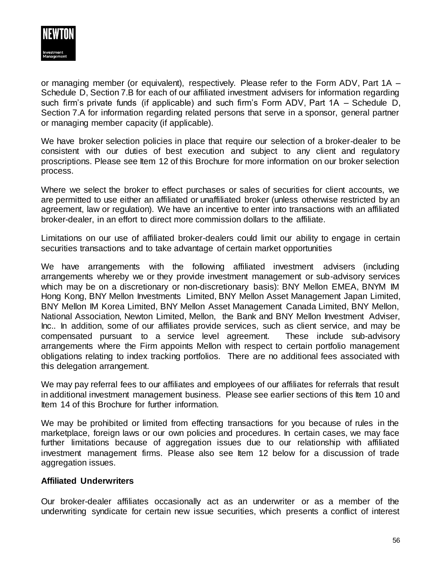

or managing member (or equivalent), respectively. Please refer to the Form ADV, Part 1A – Schedule D, Section 7.B for each of our affiliated investment advisers for information regarding such firm's private funds (if applicable) and such firm's Form ADV, Part 1A – Schedule D, Section 7.A for information regarding related persons that serve in a sponsor, general partner or managing member capacity (if applicable).

We have broker selection policies in place that require our selection of a broker-dealer to be consistent with our duties of best execution and subject to any client and regulatory proscriptions. Please see Item 12 of this Brochure for more information on our broker selection process.

Where we select the broker to effect purchases or sales of securities for client accounts, we are permitted to use either an affiliated or unaffiliated broker (unless otherwise restricted by an agreement, law or regulation). We have an incentive to enter into transactions with an affiliated broker-dealer, in an effort to direct more commission dollars to the affiliate.

Limitations on our use of affiliated broker-dealers could limit our ability to engage in certain securities transactions and to take advantage of certain market opportunities

We have arrangements with the following affiliated investment advisers (including arrangements whereby we or they provide investment management or sub-advisory services which may be on a discretionary or non-discretionary basis): BNY Mellon EMEA, BNYM IM Hong Kong, BNY Mellon Investments Limited, BNY Mellon Asset Management Japan Limited, BNY Mellon IM Korea Limited, BNY Mellon Asset Management Canada Limited, BNY Mellon, National Association, Newton Limited, Mellon, the Bank and BNY Mellon Investment Adviser, Inc.. In addition, some of our affiliates provide services, such as client service, and may be compensated pursuant to a service level agreement. These include sub-advisory arrangements where the Firm appoints Mellon with respect to certain portfolio management obligations relating to index tracking portfolios. There are no additional fees associated with this delegation arrangement.

We may pay referral fees to our affiliates and employees of our affiliates for referrals that result in additional investment management business. Please see earlier sections of this Item 10 and Item 14 of this Brochure for further information.

We may be prohibited or limited from effecting transactions for you because of rules in the marketplace, foreign laws or our own policies and procedures. In certain cases, we may face further limitations because of aggregation issues due to our relationship with affiliated investment management firms. Please also see Item 12 below for a discussion of trade aggregation issues.

## **Affiliated Underwriters**

Our broker-dealer affiliates occasionally act as an underwriter or as a member of the underwriting syndicate for certain new issue securities, which presents a conflict of interest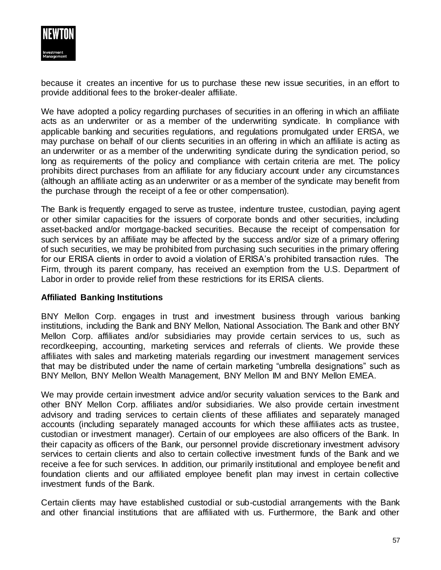

because it creates an incentive for us to purchase these new issue securities, in an effort to provide additional fees to the broker-dealer affiliate.

We have adopted a policy regarding purchases of securities in an offering in which an affiliate acts as an underwriter or as a member of the underwriting syndicate. In compliance with applicable banking and securities regulations, and regulations promulgated under ERISA, we may purchase on behalf of our clients securities in an offering in which an affiliate is acting as an underwriter or as a member of the underwriting syndicate during the syndication period, so long as requirements of the policy and compliance with certain criteria are met. The policy prohibits direct purchases from an affiliate for any fiduciary account under any circumstances (although an affiliate acting as an underwriter or as a member of the syndicate may benefit from the purchase through the receipt of a fee or other compensation).

The Bank is frequently engaged to serve as trustee, indenture trustee, custodian, paying agent or other similar capacities for the issuers of corporate bonds and other securities, including asset-backed and/or mortgage-backed securities. Because the receipt of compensation for such services by an affiliate may be affected by the success and/or size of a primary offering of such securities, we may be prohibited from purchasing such securities in the primary offering for our ERISA clients in order to avoid a violation of ERISA's prohibited transaction rules. The Firm, through its parent company, has received an exemption from the U.S. Department of Labor in order to provide relief from these restrictions for its ERISA clients.

## **Affiliated Banking Institutions**

BNY Mellon Corp. engages in trust and investment business through various banking institutions, including the Bank and BNY Mellon, National Association. The Bank and other BNY Mellon Corp. affiliates and/or subsidiaries may provide certain services to us, such as recordkeeping, accounting, marketing services and referrals of clients. We provide these affiliates with sales and marketing materials regarding our investment management services that may be distributed under the name of certain marketing "umbrella designations" such as BNY Mellon, BNY Mellon Wealth Management, BNY Mellon IM and BNY Mellon EMEA.

We may provide certain investment advice and/or security valuation services to the Bank and other BNY Mellon Corp. affiliates and/or subsidiaries. We also provide certain investment advisory and trading services to certain clients of these affiliates and separately managed accounts (including separately managed accounts for which these affiliates acts as trustee, custodian or investment manager). Certain of our employees are also officers of the Bank. In their capacity as officers of the Bank, our personnel provide discretionary investment advisory services to certain clients and also to certain collective investment funds of the Bank and we receive a fee for such services. In addition, our primarily institutional and employee benefit and foundation clients and our affiliated employee benefit plan may invest in certain collective investment funds of the Bank.

Certain clients may have established custodial or sub-custodial arrangements with the Bank and other financial institutions that are affiliated with us. Furthermore, the Bank and other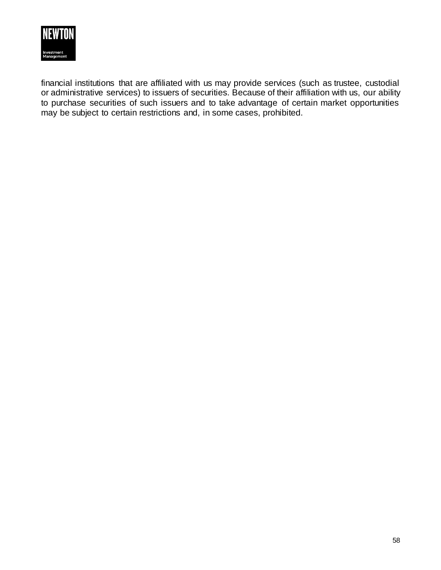

financial institutions that are affiliated with us may provide services (such as trustee, custodial or administrative services) to issuers of securities. Because of their affiliation with us, our ability to purchase securities of such issuers and to take advantage of certain market opportunities may be subject to certain restrictions and, in some cases, prohibited.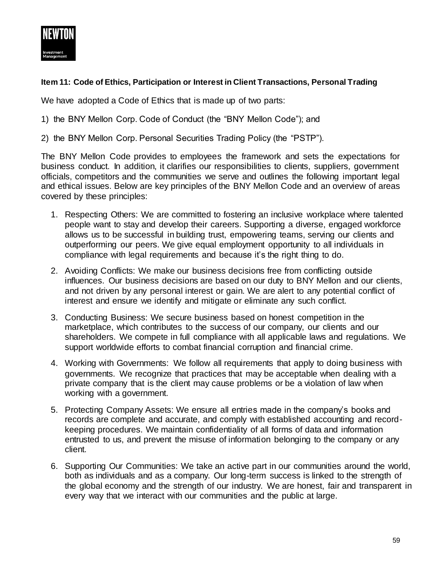

## **Item 11: Code of Ethics, Participation or Interest in Client Transactions, Personal Trading**

We have adopted a Code of Ethics that is made up of two parts:

- 1) the BNY Mellon Corp. Code of Conduct (the "BNY Mellon Code"); and
- 2) the BNY Mellon Corp. Personal Securities Trading Policy (the "PSTP").

The BNY Mellon Code provides to employees the framework and sets the expectations for business conduct. In addition, it clarifies our responsibilities to clients, suppliers, government officials, competitors and the communities we serve and outlines the following important legal and ethical issues. Below are key principles of the BNY Mellon Code and an overview of areas covered by these principles:

- 1. Respecting Others: We are committed to fostering an inclusive workplace where talented people want to stay and develop their careers. Supporting a diverse, engaged workforce allows us to be successful in building trust, empowering teams, serving our clients and outperforming our peers. We give equal employment opportunity to all individuals in compliance with legal requirements and because it's the right thing to do.
- 2. Avoiding Conflicts: We make our business decisions free from conflicting outside influences. Our business decisions are based on our duty to BNY Mellon and our clients, and not driven by any personal interest or gain. We are alert to any potential conflict of interest and ensure we identify and mitigate or eliminate any such conflict.
- 3. Conducting Business: We secure business based on honest competition in the marketplace, which contributes to the success of our company, our clients and our shareholders. We compete in full compliance with all applicable laws and regulations. We support worldwide efforts to combat financial corruption and financial crime.
- 4. Working with Governments: We follow all requirements that apply to doing business with governments. We recognize that practices that may be acceptable when dealing with a private company that is the client may cause problems or be a violation of law when working with a government.
- 5. Protecting Company Assets: We ensure all entries made in the company's books and records are complete and accurate, and comply with established accounting and recordkeeping procedures. We maintain confidentiality of all forms of data and information entrusted to us, and prevent the misuse of information belonging to the company or any client.
- 6. Supporting Our Communities: We take an active part in our communities around the world, both as individuals and as a company. Our long-term success is linked to the strength of the global economy and the strength of our industry. We are honest, fair and transparent in every way that we interact with our communities and the public at large.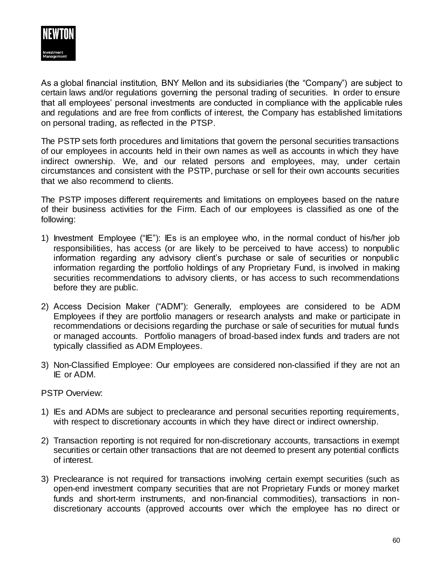

As a global financial institution, BNY Mellon and its subsidiaries (the "Company") are subject to certain laws and/or regulations governing the personal trading of securities. In order to ensure that all employees' personal investments are conducted in compliance with the applicable rules and regulations and are free from conflicts of interest, the Company has established limitations on personal trading, as reflected in the PTSP.

The PSTP sets forth procedures and limitations that govern the personal securities transactions of our employees in accounts held in their own names as well as accounts in which they have indirect ownership. We, and our related persons and employees, may, under certain circumstances and consistent with the PSTP, purchase or sell for their own accounts securities that we also recommend to clients.

The PSTP imposes different requirements and limitations on employees based on the nature of their business activities for the Firm. Each of our employees is classified as one of the following:

- 1) Investment Employee ("IE"): IEs is an employee who, in the normal conduct of his/her job responsibilities, has access (or are likely to be perceived to have access) to nonpublic information regarding any advisory client's purchase or sale of securities or nonpublic information regarding the portfolio holdings of any Proprietary Fund, is involved in making securities recommendations to advisory clients, or has access to such recommendations before they are public.
- 2) Access Decision Maker ("ADM"): Generally, employees are considered to be ADM Employees if they are portfolio managers or research analysts and make or participate in recommendations or decisions regarding the purchase or sale of securities for mutual funds or managed accounts. Portfolio managers of broad-based index funds and traders are not typically classified as ADM Employees.
- 3) Non-Classified Employee: Our employees are considered non-classified if they are not an IE or ADM.

#### PSTP Overview:

- 1) IEs and ADMs are subject to preclearance and personal securities reporting requirements, with respect to discretionary accounts in which they have direct or indirect ownership.
- 2) Transaction reporting is not required for non-discretionary accounts, transactions in exempt securities or certain other transactions that are not deemed to present any potential conflicts of interest.
- 3) Preclearance is not required for transactions involving certain exempt securities (such as open-end investment company securities that are not Proprietary Funds or money market funds and short-term instruments, and non-financial commodities), transactions in nondiscretionary accounts (approved accounts over which the employee has no direct or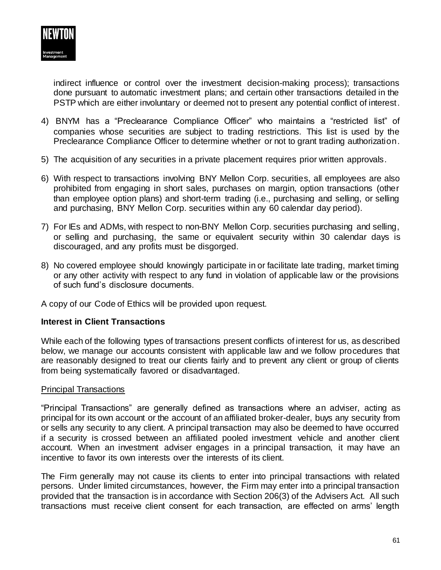

indirect influence or control over the investment decision-making process); transactions done pursuant to automatic investment plans; and certain other transactions detailed in the PSTP which are either involuntary or deemed not to present any potential conflict of interest.

- 4) BNYM has a "Preclearance Compliance Officer" who maintains a "restricted list" of companies whose securities are subject to trading restrictions. This list is used by the Preclearance Compliance Officer to determine whether or not to grant trading authorization.
- 5) The acquisition of any securities in a private placement requires prior written approvals.
- 6) With respect to transactions involving BNY Mellon Corp. securities, all employees are also prohibited from engaging in short sales, purchases on margin, option transactions (other than employee option plans) and short-term trading (i.e., purchasing and selling, or selling and purchasing, BNY Mellon Corp. securities within any 60 calendar day period).
- 7) For IEs and ADMs, with respect to non-BNY Mellon Corp. securities purchasing and selling, or selling and purchasing, the same or equivalent security within 30 calendar days is discouraged, and any profits must be disgorged.
- 8) No covered employee should knowingly participate in or facilitate late trading, market timing or any other activity with respect to any fund in violation of applicable law or the provisions of such fund's disclosure documents.
- A copy of our Code of Ethics will be provided upon request.

## **Interest in Client Transactions**

While each of the following types of transactions present conflicts of interest for us, as described below, we manage our accounts consistent with applicable law and we follow procedures that are reasonably designed to treat our clients fairly and to prevent any client or group of clients from being systematically favored or disadvantaged.

#### Principal Transactions

"Principal Transactions" are generally defined as transactions where an adviser, acting as principal for its own account or the account of an affiliated broker-dealer, buys any security from or sells any security to any client. A principal transaction may also be deemed to have occurred if a security is crossed between an affiliated pooled investment vehicle and another client account. When an investment adviser engages in a principal transaction, it may have an incentive to favor its own interests over the interests of its client.

The Firm generally may not cause its clients to enter into principal transactions with related persons. Under limited circumstances, however, the Firm may enter into a principal transaction provided that the transaction is in accordance with Section 206(3) of the Advisers Act. All such transactions must receive client consent for each transaction, are effected on arms' length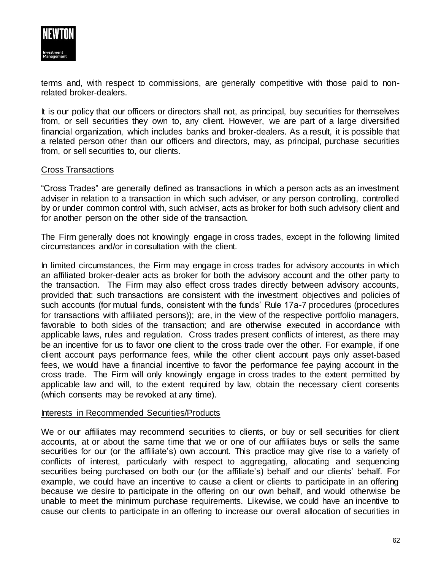

terms and, with respect to commissions, are generally competitive with those paid to nonrelated broker-dealers.

It is our policy that our officers or directors shall not, as principal, buy securities for themselves from, or sell securities they own to, any client. However, we are part of a large diversified financial organization, which includes banks and broker-dealers. As a result, it is possible that a related person other than our officers and directors, may, as principal, purchase securities from, or sell securities to, our clients.

#### Cross Transactions

"Cross Trades" are generally defined as transactions in which a person acts as an investment adviser in relation to a transaction in which such adviser, or any person controlling, controlled by or under common control with, such adviser, acts as broker for both such advisory client and for another person on the other side of the transaction.

The Firm generally does not knowingly engage in cross trades, except in the following limited circumstances and/or in consultation with the client.

In limited circumstances, the Firm may engage in cross trades for advisory accounts in which an affiliated broker-dealer acts as broker for both the advisory account and the other party to the transaction. The Firm may also effect cross trades directly between advisory accounts, provided that: such transactions are consistent with the investment objectives and policies of such accounts (for mutual funds, consistent with the funds' Rule 17a-7 procedures (procedures for transactions with affiliated persons)); are, in the view of the respective portfolio managers, favorable to both sides of the transaction; and are otherwise executed in accordance with applicable laws, rules and regulation. Cross trades present conflicts of interest, as there may be an incentive for us to favor one client to the cross trade over the other. For example, if one client account pays performance fees, while the other client account pays only asset-based fees, we would have a financial incentive to favor the performance fee paying account in the cross trade. The Firm will only knowingly engage in cross trades to the extent permitted by applicable law and will, to the extent required by law, obtain the necessary client consents (which consents may be revoked at any time).

#### Interests in Recommended Securities/Products

We or our affiliates may recommend securities to clients, or buy or sell securities for client accounts, at or about the same time that we or one of our affiliates buys or sells the same securities for our (or the affiliate's) own account. This practice may give rise to a variety of conflicts of interest, particularly with respect to aggregating, allocating and sequencing securities being purchased on both our (or the affiliate's) behalf and our clients' behalf. For example, we could have an incentive to cause a client or clients to participate in an offering because we desire to participate in the offering on our own behalf, and would otherwise be unable to meet the minimum purchase requirements. Likewise, we could have an incentive to cause our clients to participate in an offering to increase our overall allocation of securities in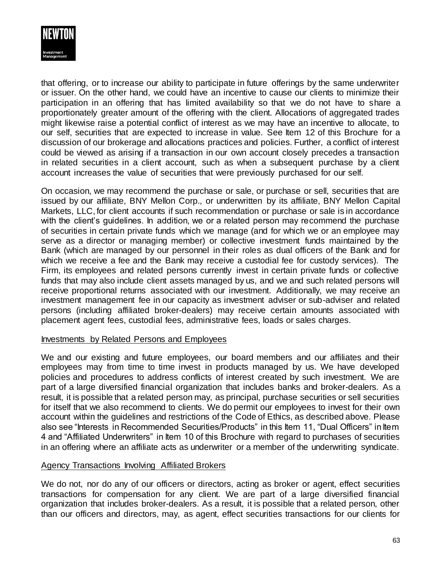

that offering, or to increase our ability to participate in future offerings by the same underwriter or issuer. On the other hand, we could have an incentive to cause our clients to minimize their participation in an offering that has limited availability so that we do not have to share a proportionately greater amount of the offering with the client. Allocations of aggregated trades might likewise raise a potential conflict of interest as we may have an incentive to allocate, to our self, securities that are expected to increase in value. See Item 12 of this Brochure for a discussion of our brokerage and allocations practices and policies. Further, a conflict of interest could be viewed as arising if a transaction in our own account closely precedes a transaction in related securities in a client account, such as when a subsequent purchase by a client account increases the value of securities that were previously purchased for our self.

On occasion, we may recommend the purchase or sale, or purchase or sell, securities that are issued by our affiliate, BNY Mellon Corp., or underwritten by its affiliate, BNY Mellon Capital Markets, LLC, for client accounts if such recommendation or purchase or sale is in accordance with the client's guidelines. In addition, we or a related person may recommend the purchase of securities in certain private funds which we manage (and for which we or an employee may serve as a director or managing member) or collective investment funds maintained by the Bank (which are managed by our personnel in their roles as dual officers of the Bank and for which we receive a fee and the Bank may receive a custodial fee for custody services). The Firm, its employees and related persons currently invest in certain private funds or collective funds that may also include client assets managed by us, and we and such related persons will receive proportional returns associated with our investment. Additionally, we may receive an investment management fee in our capacity as investment adviser or sub-adviser and related persons (including affiliated broker-dealers) may receive certain amounts associated with placement agent fees, custodial fees, administrative fees, loads or sales charges.

#### Investments by Related Persons and Employees

We and our existing and future employees, our board members and our affiliates and their employees may from time to time invest in products managed by us. We have developed policies and procedures to address conflicts of interest created by such investment. We are part of a large diversified financial organization that includes banks and broker-dealers. As a result, it is possible that a related person may, as principal, purchase securities or sell securities for itself that we also recommend to clients. We do permit our employees to invest for their own account within the guidelines and restrictions of the Code of Ethics, as described above. Please also see "Interests in Recommended Securities/Products" in this Item 11, "Dual Officers" in Item 4 and "Affiliated Underwriters" in Item 10 of this Brochure with regard to purchases of securities in an offering where an affiliate acts as underwriter or a member of the underwriting syndicate.

## Agency Transactions Involving Affiliated Brokers

We do not, nor do any of our officers or directors, acting as broker or agent, effect securities transactions for compensation for any client. We are part of a large diversified financial organization that includes broker-dealers. As a result, it is possible that a related person, other than our officers and directors, may, as agent, effect securities transactions for our clients for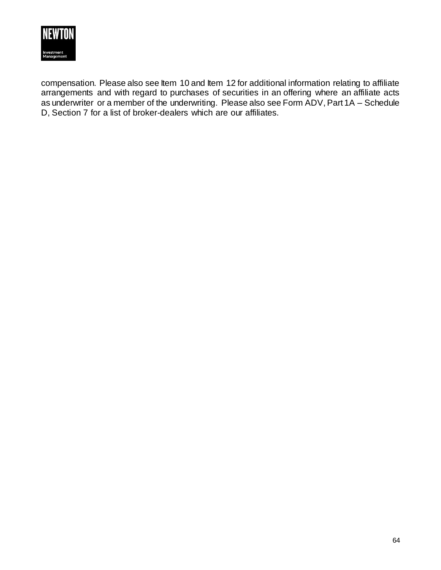

compensation. Please also see Item 10 and Item 12 for additional information relating to affiliate arrangements and with regard to purchases of securities in an offering where an affiliate acts as underwriter or a member of the underwriting. Please also see Form ADV, Part 1A – Schedule D, Section 7 for a list of broker-dealers which are our affiliates.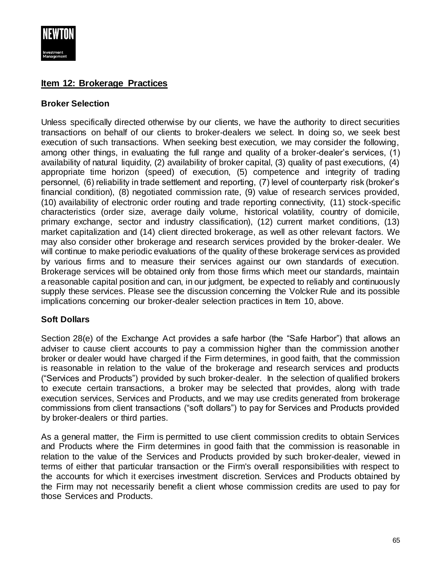

# **Item 12: Brokerage Practices**

## **Broker Selection**

Unless specifically directed otherwise by our clients, we have the authority to direct securities transactions on behalf of our clients to broker-dealers we select. In doing so, we seek best execution of such transactions. When seeking best execution, we may consider the following, among other things, in evaluating the full range and quality of a broker-dealer's services, (1) availability of natural liquidity, (2) availability of broker capital, (3) quality of past executions, (4) appropriate time horizon (speed) of execution, (5) competence and integrity of trading personnel, (6) reliability in trade settlement and reporting, (7) level of counterparty risk (broker's financial condition), (8) negotiated commission rate, (9) value of research services provided, (10) availability of electronic order routing and trade reporting connectivity, (11) stock-specific characteristics (order size, average daily volume, historical volatility, country of domicile, primary exchange, sector and industry classification), (12) current market conditions, (13) market capitalization and (14) client directed brokerage, as well as other relevant factors. We may also consider other brokerage and research services provided by the broker-dealer. We will continue to make periodic evaluations of the quality of these brokerage services as provided by various firms and to measure their services against our own standards of execution. Brokerage services will be obtained only from those firms which meet our standards, maintain a reasonable capital position and can, in our judgment, be expected to reliably and continuously supply these services. Please see the discussion concerning the Volcker Rule and its possible implications concerning our broker-dealer selection practices in Item 10, above.

# **Soft Dollars**

Section 28(e) of the Exchange Act provides a safe harbor (the "Safe Harbor") that allows an adviser to cause client accounts to pay a commission higher than the commission another broker or dealer would have charged if the Firm determines, in good faith, that the commission is reasonable in relation to the value of the brokerage and research services and products ("Services and Products") provided by such broker-dealer. In the selection of qualified brokers to execute certain transactions, a broker may be selected that provides, along with trade execution services, Services and Products, and we may use credits generated from brokerage commissions from client transactions ("soft dollars") to pay for Services and Products provided by broker-dealers or third parties.

As a general matter, the Firm is permitted to use client commission credits to obtain Services and Products where the Firm determines in good faith that the commission is reasonable in relation to the value of the Services and Products provided by such broker-dealer, viewed in terms of either that particular transaction or the Firm's overall responsibilities with respect to the accounts for which it exercises investment discretion. Services and Products obtained by the Firm may not necessarily benefit a client whose commission credits are used to pay for those Services and Products.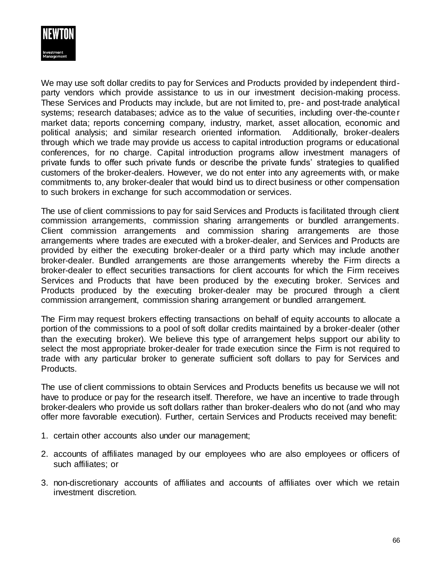

We may use soft dollar credits to pay for Services and Products provided by independent thirdparty vendors which provide assistance to us in our investment decision-making process. These Services and Products may include, but are not limited to, pre- and post-trade analytical systems; research databases; advice as to the value of securities, including over-the-counter market data; reports concerning company, industry, market, asset allocation, economic and political analysis; and similar research oriented information. Additionally, broker-dealers through which we trade may provide us access to capital introduction programs or educational conferences, for no charge. Capital introduction programs allow investment managers of private funds to offer such private funds or describe the private funds' strategies to qualified customers of the broker-dealers. However, we do not enter into any agreements with, or make commitments to, any broker-dealer that would bind us to direct business or other compensation to such brokers in exchange for such accommodation or services.

The use of client commissions to pay for said Services and Products is facilitated through client commission arrangements, commission sharing arrangements or bundled arrangements. Client commission arrangements and commission sharing arrangements are those arrangements where trades are executed with a broker-dealer, and Services and Products are provided by either the executing broker-dealer or a third party which may include another broker-dealer. Bundled arrangements are those arrangements whereby the Firm directs a broker-dealer to effect securities transactions for client accounts for which the Firm receives Services and Products that have been produced by the executing broker. Services and Products produced by the executing broker-dealer may be procured through a client commission arrangement, commission sharing arrangement or bundled arrangement.

The Firm may request brokers effecting transactions on behalf of equity accounts to allocate a portion of the commissions to a pool of soft dollar credits maintained by a broker-dealer (other than the executing broker). We believe this type of arrangement helps support our ability to select the most appropriate broker-dealer for trade execution since the Firm is not required to trade with any particular broker to generate sufficient soft dollars to pay for Services and Products.

The use of client commissions to obtain Services and Products benefits us because we will not have to produce or pay for the research itself. Therefore, we have an incentive to trade through broker-dealers who provide us soft dollars rather than broker-dealers who do not (and who may offer more favorable execution). Further, certain Services and Products received may benefit:

- 1. certain other accounts also under our management;
- 2. accounts of affiliates managed by our employees who are also employees or officers of such affiliates; or
- 3. non-discretionary accounts of affiliates and accounts of affiliates over which we retain investment discretion.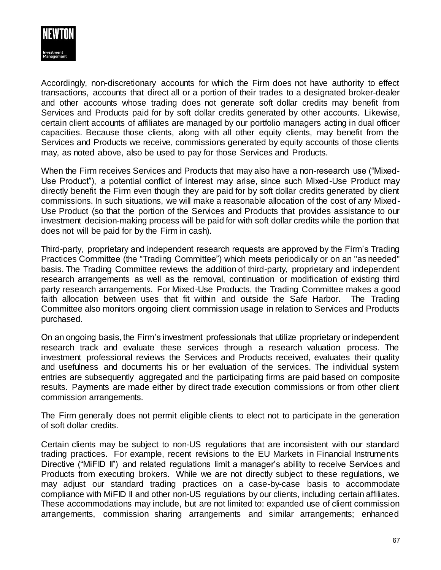

Accordingly, non-discretionary accounts for which the Firm does not have authority to effect transactions, accounts that direct all or a portion of their trades to a designated broker-dealer and other accounts whose trading does not generate soft dollar credits may benefit from Services and Products paid for by soft dollar credits generated by other accounts. Likewise, certain client accounts of affiliates are managed by our portfolio managers acting in dual officer capacities. Because those clients, along with all other equity clients, may benefit from the Services and Products we receive, commissions generated by equity accounts of those clients may, as noted above, also be used to pay for those Services and Products.

When the Firm receives Services and Products that may also have a non-research use ("Mixed-Use Product"), a potential conflict of interest may arise, since such Mixed-Use Product may directly benefit the Firm even though they are paid for by soft dollar credits generated by client commissions. In such situations, we will make a reasonable allocation of the cost of any Mixed-Use Product (so that the portion of the Services and Products that provides assistance to our investment decision-making process will be paid for with soft dollar credits while the portion that does not will be paid for by the Firm in cash).

Third-party, proprietary and independent research requests are approved by the Firm's Trading Practices Committee (the "Trading Committee") which meets periodically or on an "as needed" basis. The Trading Committee reviews the addition of third-party, proprietary and independent research arrangements as well as the removal, continuation or modification of existing third party research arrangements. For Mixed-Use Products, the Trading Committee makes a good faith allocation between uses that fit within and outside the Safe Harbor. The Trading Committee also monitors ongoing client commission usage in relation to Services and Products purchased.

On an ongoing basis, the Firm's investment professionals that utilize proprietary or independent research track and evaluate these services through a research valuation process. The investment professional reviews the Services and Products received, evaluates their quality and usefulness and documents his or her evaluation of the services. The individual system entries are subsequently aggregated and the participating firms are paid based on composite results. Payments are made either by direct trade execution commissions or from other client commission arrangements.

The Firm generally does not permit eligible clients to elect not to participate in the generation of soft dollar credits.

Certain clients may be subject to non-US regulations that are inconsistent with our standard trading practices. For example, recent revisions to the EU Markets in Financial Instruments Directive ("MiFID II") and related regulations limit a manager's ability to receive Services and Products from executing brokers. While we are not directly subject to these regulations, we may adjust our standard trading practices on a case-by-case basis to accommodate compliance with MiFID II and other non-US regulations by our clients, including certain affiliates. These accommodations may include, but are not limited to: expanded use of client commission arrangements, commission sharing arrangements and similar arrangements; enhanced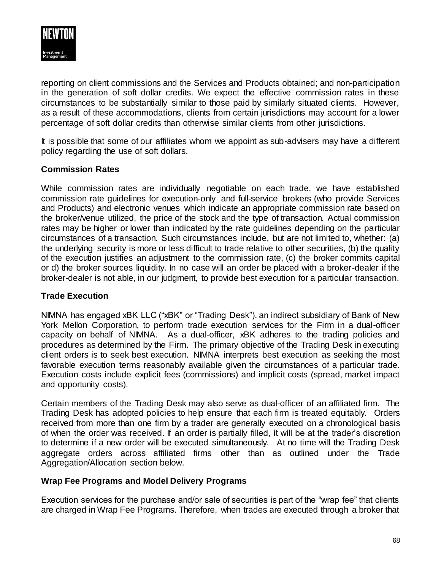

reporting on client commissions and the Services and Products obtained; and non-participation in the generation of soft dollar credits. We expect the effective commission rates in these circumstances to be substantially similar to those paid by similarly situated clients. However, as a result of these accommodations, clients from certain jurisdictions may account for a lower percentage of soft dollar credits than otherwise similar clients from other jurisdictions.

It is possible that some of our affiliates whom we appoint as sub-advisers may have a different policy regarding the use of soft dollars.

## **Commission Rates**

While commission rates are individually negotiable on each trade, we have established commission rate guidelines for execution-only and full-service brokers (who provide Services and Products) and electronic venues which indicate an appropriate commission rate based on the broker/venue utilized, the price of the stock and the type of transaction. Actual commission rates may be higher or lower than indicated by the rate guidelines depending on the particular circumstances of a transaction. Such circumstances include, but are not limited to, whether: (a) the underlying security is more or less difficult to trade relative to other securities, (b) the quality of the execution justifies an adjustment to the commission rate, (c) the broker commits capital or d) the broker sources liquidity. In no case will an order be placed with a broker-dealer if the broker-dealer is not able, in our judgment, to provide best execution for a particular transaction.

## **Trade Execution**

NIMNA has engaged xBK LLC ("xBK" or "Trading Desk"), an indirect subsidiary of Bank of New York Mellon Corporation, to perform trade execution services for the Firm in a dual-officer capacity on behalf of NIMNA. As a dual-officer, xBK adheres to the trading policies and procedures as determined by the Firm. The primary objective of the Trading Desk in executing client orders is to seek best execution. NIMNA interprets best execution as seeking the most favorable execution terms reasonably available given the circumstances of a particular trade. Execution costs include explicit fees (commissions) and implicit costs (spread, market impact and opportunity costs).

Certain members of the Trading Desk may also serve as dual-officer of an affiliated firm. The Trading Desk has adopted policies to help ensure that each firm is treated equitably. Orders received from more than one firm by a trader are generally executed on a chronological basis of when the order was received. If an order is partially filled, it will be at the trader's discretion to determine if a new order will be executed simultaneously. At no time will the Trading Desk aggregate orders across affiliated firms other than as outlined under the Trade Aggregation/Allocation section below.

## **Wrap Fee Programs and Model Delivery Programs**

Execution services for the purchase and/or sale of securities is part of the "wrap fee" that clients are charged in Wrap Fee Programs. Therefore, when trades are executed through a broker that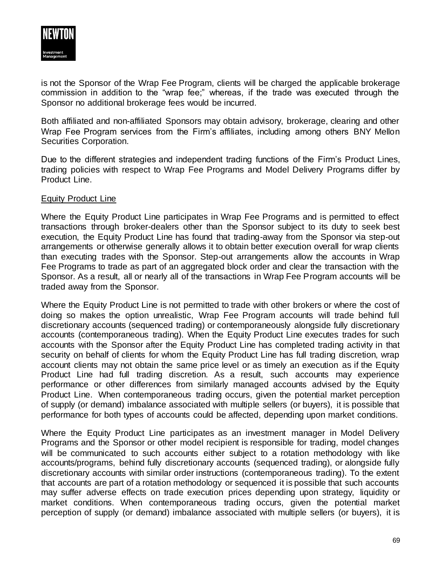

is not the Sponsor of the Wrap Fee Program, clients will be charged the applicable brokerage commission in addition to the "wrap fee;" whereas, if the trade was executed through the Sponsor no additional brokerage fees would be incurred.

Both affiliated and non-affiliated Sponsors may obtain advisory, brokerage, clearing and other Wrap Fee Program services from the Firm's affiliates, including among others BNY Mellon Securities Corporation.

Due to the different strategies and independent trading functions of the Firm's Product Lines, trading policies with respect to Wrap Fee Programs and Model Delivery Programs differ by Product Line.

## Equity Product Line

Where the Equity Product Line participates in Wrap Fee Programs and is permitted to effect transactions through broker-dealers other than the Sponsor subject to its duty to seek best execution, the Equity Product Line has found that trading-away from the Sponsor via step-out arrangements or otherwise generally allows it to obtain better execution overall for wrap clients than executing trades with the Sponsor. Step-out arrangements allow the accounts in Wrap Fee Programs to trade as part of an aggregated block order and clear the transaction with the Sponsor. As a result, all or nearly all of the transactions in Wrap Fee Program accounts will be traded away from the Sponsor.

Where the Equity Product Line is not permitted to trade with other brokers or where the cost of doing so makes the option unrealistic, Wrap Fee Program accounts will trade behind full discretionary accounts (sequenced trading) or contemporaneously alongside fully discretionary accounts (contemporaneous trading). When the Equity Product Line executes trades for such accounts with the Sponsor after the Equity Product Line has completed trading activity in that security on behalf of clients for whom the Equity Product Line has full trading discretion, wrap account clients may not obtain the same price level or as timely an execution as if the Equity Product Line had full trading discretion. As a result, such accounts may experience performance or other differences from similarly managed accounts advised by the Equity Product Line. When contemporaneous trading occurs, given the potential market perception of supply (or demand) imbalance associated with multiple sellers (or buyers), it is possible that performance for both types of accounts could be affected, depending upon market conditions.

Where the Equity Product Line participates as an investment manager in Model Delivery Programs and the Sponsor or other model recipient is responsible for trading, model changes will be communicated to such accounts either subject to a rotation methodology with like accounts/programs, behind fully discretionary accounts (sequenced trading), or alongside fully discretionary accounts with similar order instructions (contemporaneous trading). To the extent that accounts are part of a rotation methodology or sequenced it is possible that such accounts may suffer adverse effects on trade execution prices depending upon strategy, liquidity or market conditions. When contemporaneous trading occurs, given the potential market perception of supply (or demand) imbalance associated with multiple sellers (or buyers), it is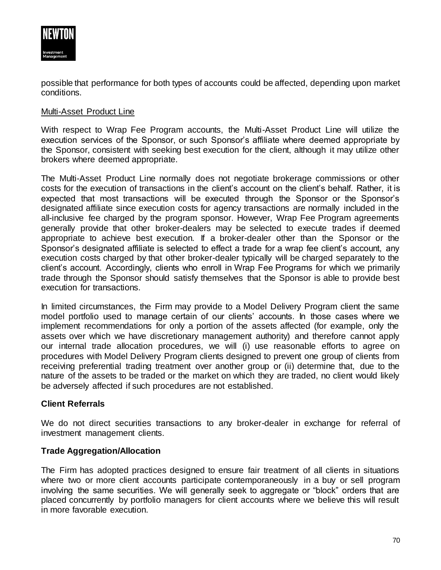

possible that performance for both types of accounts could be affected, depending upon market conditions.

## Multi-Asset Product Line

With respect to Wrap Fee Program accounts, the Multi-Asset Product Line will utilize the execution services of the Sponsor, or such Sponsor's affiliate where deemed appropriate by the Sponsor, consistent with seeking best execution for the client, although it may utilize other brokers where deemed appropriate.

The Multi-Asset Product Line normally does not negotiate brokerage commissions or other costs for the execution of transactions in the client's account on the client's behalf. Rather, it is expected that most transactions will be executed through the Sponsor or the Sponsor's designated affiliate since execution costs for agency transactions are normally included in the all-inclusive fee charged by the program sponsor. However, Wrap Fee Program agreements generally provide that other broker-dealers may be selected to execute trades if deemed appropriate to achieve best execution. If a broker-dealer other than the Sponsor or the Sponsor's designated affiliate is selected to effect a trade for a wrap fee client's account, any execution costs charged by that other broker-dealer typically will be charged separately to the client's account. Accordingly, clients who enroll in Wrap Fee Programs for which we primarily trade through the Sponsor should satisfy themselves that the Sponsor is able to provide best execution for transactions.

In limited circumstances, the Firm may provide to a Model Delivery Program client the same model portfolio used to manage certain of our clients' accounts. In those cases where we implement recommendations for only a portion of the assets affected (for example, only the assets over which we have discretionary management authority) and therefore cannot apply our internal trade allocation procedures, we will (i) use reasonable efforts to agree on procedures with Model Delivery Program clients designed to prevent one group of clients from receiving preferential trading treatment over another group or (ii) determine that, due to the nature of the assets to be traded or the market on which they are traded, no client would likely be adversely affected if such procedures are not established.

## **Client Referrals**

We do not direct securities transactions to any broker-dealer in exchange for referral of investment management clients.

## **Trade Aggregation/Allocation**

The Firm has adopted practices designed to ensure fair treatment of all clients in situations where two or more client accounts participate contemporaneously in a buy or sell program involving the same securities. We will generally seek to aggregate or "block" orders that are placed concurrently by portfolio managers for client accounts where we believe this will result in more favorable execution.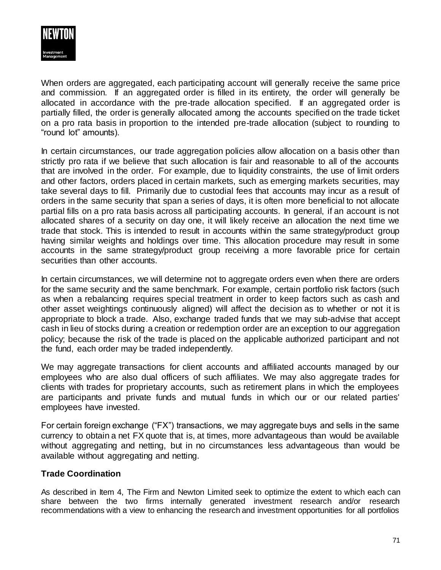

When orders are aggregated, each participating account will generally receive the same price and commission. If an aggregated order is filled in its entirety, the order will generally be allocated in accordance with the pre-trade allocation specified. If an aggregated order is partially filled, the order is generally allocated among the accounts specified on the trade ticket on a pro rata basis in proportion to the intended pre-trade allocation (subject to rounding to "round lot" amounts).

In certain circumstances, our trade aggregation policies allow allocation on a basis other than strictly pro rata if we believe that such allocation is fair and reasonable to all of the accounts that are involved in the order. For example, due to liquidity constraints, the use of limit orders and other factors, orders placed in certain markets, such as emerging markets securities, may take several days to fill. Primarily due to custodial fees that accounts may incur as a result of orders in the same security that span a series of days, it is often more beneficial to not allocate partial fills on a pro rata basis across all participating accounts. In general, if an account is not allocated shares of a security on day one, it will likely receive an allocation the next time we trade that stock. This is intended to result in accounts within the same strategy/product group having similar weights and holdings over time. This allocation procedure may result in some accounts in the same strategy/product group receiving a more favorable price for certain securities than other accounts.

In certain circumstances, we will determine not to aggregate orders even when there are orders for the same security and the same benchmark. For example, certain portfolio risk factors (such as when a rebalancing requires special treatment in order to keep factors such as cash and other asset weightings continuously aligned) will affect the decision as to whether or not it is appropriate to block a trade. Also, exchange traded funds that we may sub-advise that accept cash in lieu of stocks during a creation or redemption order are an exception to our aggregation policy; because the risk of the trade is placed on the applicable authorized participant and not the fund, each order may be traded independently.

We may aggregate transactions for client accounts and affiliated accounts managed by our employees who are also dual officers of such affiliates. We may also aggregate trades for clients with trades for proprietary accounts, such as retirement plans in which the employees are participants and private funds and mutual funds in which our or our related parties' employees have invested.

For certain foreign exchange ("FX") transactions, we may aggregate buys and sells in the same currency to obtain a net FX quote that is, at times, more advantageous than would be available without aggregating and netting, but in no circumstances less advantageous than would be available without aggregating and netting.

## **Trade Coordination**

As described in Item 4, The Firm and Newton Limited seek to optimize the extent to which each can share between the two firms internally generated investment research and/or research recommendations with a view to enhancing the research and investment opportunities for all portfolios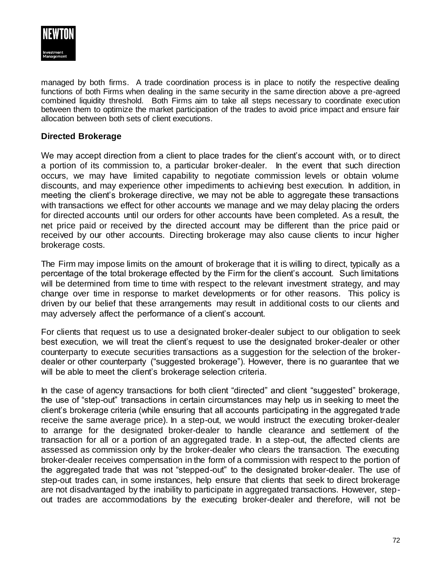

managed by both firms. A trade coordination process is in place to notify the respective dealing functions of both Firms when dealing in the same security in the same direction above a pre-agreed combined liquidity threshold. Both Firms aim to take all steps necessary to coordinate execution between them to optimize the market participation of the trades to avoid price impact and ensure fair allocation between both sets of client executions.

## **Directed Brokerage**

We may accept direction from a client to place trades for the client's account with, or to direct a portion of its commission to, a particular broker-dealer. In the event that such direction occurs, we may have limited capability to negotiate commission levels or obtain volume discounts, and may experience other impediments to achieving best execution. In addition, in meeting the client's brokerage directive, we may not be able to aggregate these transactions with transactions we effect for other accounts we manage and we may delay placing the orders for directed accounts until our orders for other accounts have been completed. As a result, the net price paid or received by the directed account may be different than the price paid or received by our other accounts. Directing brokerage may also cause clients to incur higher brokerage costs.

The Firm may impose limits on the amount of brokerage that it is willing to direct, typically as a percentage of the total brokerage effected by the Firm for the client's account. Such limitations will be determined from time to time with respect to the relevant investment strategy, and may change over time in response to market developments or for other reasons. This policy is driven by our belief that these arrangements may result in additional costs to our clients and may adversely affect the performance of a client's account.

For clients that request us to use a designated broker-dealer subject to our obligation to seek best execution, we will treat the client's request to use the designated broker-dealer or other counterparty to execute securities transactions as a suggestion for the selection of the brokerdealer or other counterparty ("suggested brokerage"). However, there is no guarantee that we will be able to meet the client's brokerage selection criteria.

In the case of agency transactions for both client "directed" and client "suggested" brokerage, the use of "step-out" transactions in certain circumstances may help us in seeking to meet the client's brokerage criteria (while ensuring that all accounts participating in the aggregated trade receive the same average price). In a step-out, we would instruct the executing broker-dealer to arrange for the designated broker-dealer to handle clearance and settlement of the transaction for all or a portion of an aggregated trade. In a step-out, the affected clients are assessed as commission only by the broker-dealer who clears the transaction. The executing broker-dealer receives compensation in the form of a commission with respect to the portion of the aggregated trade that was not "stepped-out" to the designated broker-dealer. The use of step-out trades can, in some instances, help ensure that clients that seek to direct brokerage are not disadvantaged by the inability to participate in aggregated transactions. However, stepout trades are accommodations by the executing broker-dealer and therefore, will not be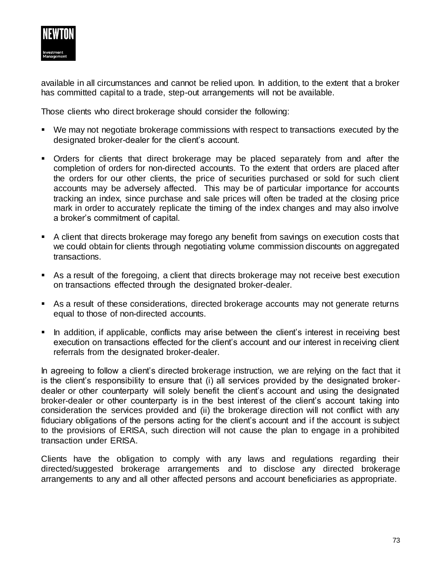

available in all circumstances and cannot be relied upon. In addition, to the extent that a broker has committed capital to a trade, step-out arrangements will not be available.

Those clients who direct brokerage should consider the following:

- We may not negotiate brokerage commissions with respect to transactions executed by the designated broker-dealer for the client's account.
- Orders for clients that direct brokerage may be placed separately from and after the completion of orders for non-directed accounts. To the extent that orders are placed after the orders for our other clients, the price of securities purchased or sold for such client accounts may be adversely affected. This may be of particular importance for accounts tracking an index, since purchase and sale prices will often be traded at the closing price mark in order to accurately replicate the timing of the index changes and may also involve a broker's commitment of capital.
- A client that directs brokerage may forego any benefit from savings on execution costs that we could obtain for clients through negotiating volume commission discounts on aggregated transactions.
- As a result of the foregoing, a client that directs brokerage may not receive best execution on transactions effected through the designated broker-dealer.
- As a result of these considerations, directed brokerage accounts may not generate returns equal to those of non-directed accounts.
- In addition, if applicable, conflicts may arise between the client's interest in receiving best execution on transactions effected for the client's account and our interest in receiving client referrals from the designated broker-dealer.

In agreeing to follow a client's directed brokerage instruction, we are relying on the fact that it is the client's responsibility to ensure that (i) all services provided by the designated brokerdealer or other counterparty will solely benefit the client's account and using the designated broker-dealer or other counterparty is in the best interest of the client's account taking into consideration the services provided and (ii) the brokerage direction will not conflict with any fiduciary obligations of the persons acting for the client's account and if the account is subject to the provisions of ERISA, such direction will not cause the plan to engage in a prohibited transaction under ERISA.

Clients have the obligation to comply with any laws and regulations regarding their directed/suggested brokerage arrangements and to disclose any directed brokerage arrangements to any and all other affected persons and account beneficiaries as appropriate.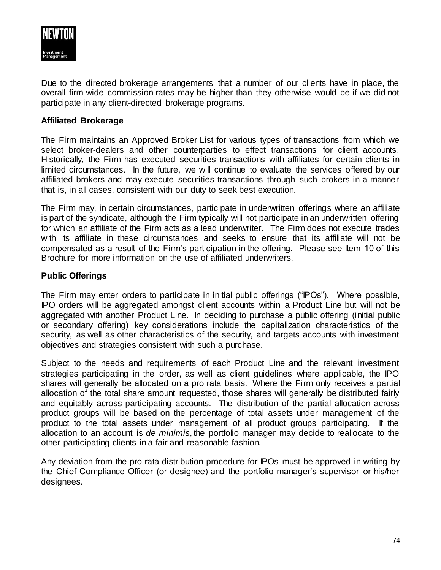

Due to the directed brokerage arrangements that a number of our clients have in place, the overall firm-wide commission rates may be higher than they otherwise would be if we did not participate in any client-directed brokerage programs.

#### **Affiliated Brokerage**

The Firm maintains an Approved Broker List for various types of transactions from which we select broker-dealers and other counterparties to effect transactions for client accounts. Historically, the Firm has executed securities transactions with affiliates for certain clients in limited circumstances. In the future, we will continue to evaluate the services offered by our affiliated brokers and may execute securities transactions through such brokers in a manner that is, in all cases, consistent with our duty to seek best execution.

The Firm may, in certain circumstances, participate in underwritten offerings where an affiliate is part of the syndicate, although the Firm typically will not participate in an underwritten offering for which an affiliate of the Firm acts as a lead underwriter. The Firm does not execute trades with its affiliate in these circumstances and seeks to ensure that its affiliate will not be compensated as a result of the Firm's participation in the offering. Please see Item 10 of this Brochure for more information on the use of affiliated underwriters.

#### **Public Offerings**

The Firm may enter orders to participate in initial public offerings ("IPOs"). Where possible, IPO orders will be aggregated amongst client accounts within a Product Line but will not be aggregated with another Product Line. In deciding to purchase a public offering (initial public or secondary offering) key considerations include the capitalization characteristics of the security, as well as other characteristics of the security, and targets accounts with investment objectives and strategies consistent with such a purchase.

Subject to the needs and requirements of each Product Line and the relevant investment strategies participating in the order, as well as client guidelines where applicable, the IPO shares will generally be allocated on a pro rata basis. Where the Firm only receives a partial allocation of the total share amount requested, those shares will generally be distributed fairly and equitably across participating accounts. The distribution of the partial allocation across product groups will be based on the percentage of total assets under management of the product to the total assets under management of all product groups participating. If the allocation to an account is *de minimis*, the portfolio manager may decide to reallocate to the other participating clients in a fair and reasonable fashion.

Any deviation from the pro rata distribution procedure for IPOs must be approved in writing by the Chief Compliance Officer (or designee) and the portfolio manager's supervisor or his/her designees.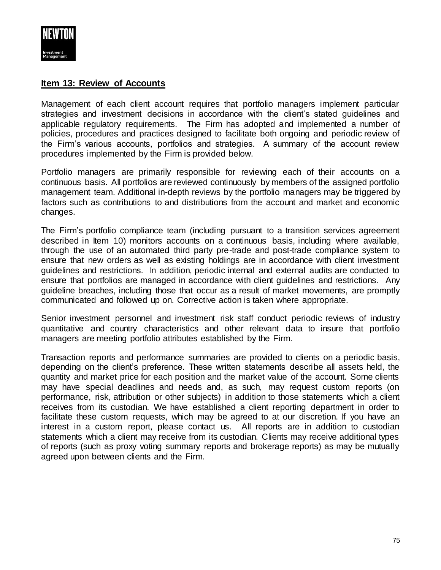

### **Item 13: Review of Accounts**

Management of each client account requires that portfolio managers implement particular strategies and investment decisions in accordance with the client's stated guidelines and applicable regulatory requirements. The Firm has adopted and implemented a number of policies, procedures and practices designed to facilitate both ongoing and periodic review of the Firm's various accounts, portfolios and strategies. A summary of the account review procedures implemented by the Firm is provided below.

Portfolio managers are primarily responsible for reviewing each of their accounts on a continuous basis. All portfolios are reviewed continuously by members of the assigned portfolio management team. Additional in-depth reviews by the portfolio managers may be triggered by factors such as contributions to and distributions from the account and market and economic changes.

The Firm's portfolio compliance team (including pursuant to a transition services agreement described in Item 10) monitors accounts on a continuous basis, including where available, through the use of an automated third party pre-trade and post-trade compliance system to ensure that new orders as well as existing holdings are in accordance with client investment guidelines and restrictions. In addition, periodic internal and external audits are conducted to ensure that portfolios are managed in accordance with client guidelines and restrictions. Any guideline breaches, including those that occur as a result of market movements, are promptly communicated and followed up on. Corrective action is taken where appropriate.

Senior investment personnel and investment risk staff conduct periodic reviews of industry quantitative and country characteristics and other relevant data to insure that portfolio managers are meeting portfolio attributes established by the Firm.

Transaction reports and performance summaries are provided to clients on a periodic basis, depending on the client's preference. These written statements describe all assets held, the quantity and market price for each position and the market value of the account. Some clients may have special deadlines and needs and, as such, may request custom reports (on performance, risk, attribution or other subjects) in addition to those statements which a client receives from its custodian. We have established a client reporting department in order to facilitate these custom requests, which may be agreed to at our discretion. If you have an interest in a custom report, please contact us. All reports are in addition to custodian statements which a client may receive from its custodian. Clients may receive additional types of reports (such as proxy voting summary reports and brokerage reports) as may be mutually agreed upon between clients and the Firm.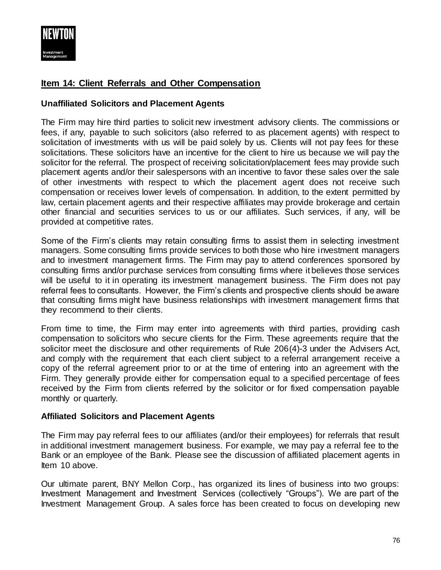

# **Item 14: Client Referrals and Other Compensation**

### **Unaffiliated Solicitors and Placement Agents**

The Firm may hire third parties to solicit new investment advisory clients. The commissions or fees, if any, payable to such solicitors (also referred to as placement agents) with respect to solicitation of investments with us will be paid solely by us. Clients will not pay fees for these solicitations. These solicitors have an incentive for the client to hire us because we will pay the solicitor for the referral. The prospect of receiving solicitation/placement fees may provide such placement agents and/or their salespersons with an incentive to favor these sales over the sale of other investments with respect to which the placement agent does not receive such compensation or receives lower levels of compensation. In addition, to the extent permitted by law, certain placement agents and their respective affiliates may provide brokerage and certain other financial and securities services to us or our affiliates. Such services, if any, will be provided at competitive rates.

Some of the Firm's clients may retain consulting firms to assist them in selecting investment managers. Some consulting firms provide services to both those who hire investment managers and to investment management firms. The Firm may pay to attend conferences sponsored by consulting firms and/or purchase services from consulting firms where it believes those services will be useful to it in operating its investment management business. The Firm does not pay referral fees to consultants. However, the Firm's clients and prospective clients should be aware that consulting firms might have business relationships with investment management firms that they recommend to their clients.

From time to time, the Firm may enter into agreements with third parties, providing cash compensation to solicitors who secure clients for the Firm. These agreements require that the solicitor meet the disclosure and other requirements of Rule 206(4)-3 under the Advisers Act, and comply with the requirement that each client subject to a referral arrangement receive a copy of the referral agreement prior to or at the time of entering into an agreement with the Firm. They generally provide either for compensation equal to a specified percentage of fees received by the Firm from clients referred by the solicitor or for fixed compensation payable monthly or quarterly.

### **Affiliated Solicitors and Placement Agents**

The Firm may pay referral fees to our affiliates (and/or their employees) for referrals that result in additional investment management business. For example, we may pay a referral fee to the Bank or an employee of the Bank. Please see the discussion of affiliated placement agents in Item 10 above.

Our ultimate parent, BNY Mellon Corp., has organized its lines of business into two groups: Investment Management and Investment Services (collectively "Groups"). We are part of the Investment Management Group. A sales force has been created to focus on developing new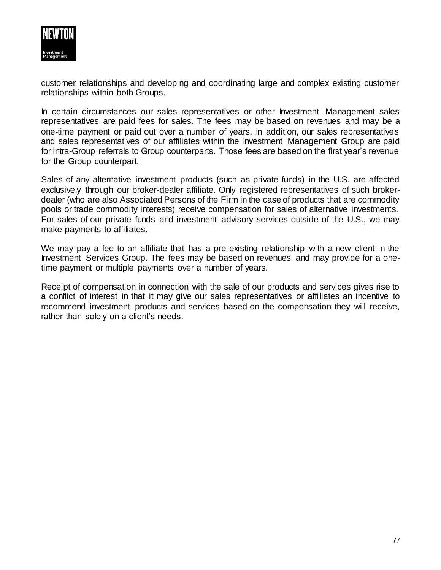

customer relationships and developing and coordinating large and complex existing customer relationships within both Groups.

In certain circumstances our sales representatives or other Investment Management sales representatives are paid fees for sales. The fees may be based on revenues and may be a one-time payment or paid out over a number of years. In addition, our sales representatives and sales representatives of our affiliates within the Investment Management Group are paid for intra-Group referrals to Group counterparts. Those fees are based on the first year's revenue for the Group counterpart.

Sales of any alternative investment products (such as private funds) in the U.S. are affected exclusively through our broker-dealer affiliate. Only registered representatives of such brokerdealer (who are also Associated Persons of the Firm in the case of products that are commodity pools or trade commodity interests) receive compensation for sales of alternative investments. For sales of our private funds and investment advisory services outside of the U.S., we may make payments to affiliates.

We may pay a fee to an affiliate that has a pre-existing relationship with a new client in the Investment Services Group. The fees may be based on revenues and may provide for a onetime payment or multiple payments over a number of years.

Receipt of compensation in connection with the sale of our products and services gives rise to a conflict of interest in that it may give our sales representatives or affiliates an incentive to recommend investment products and services based on the compensation they will receive, rather than solely on a client's needs.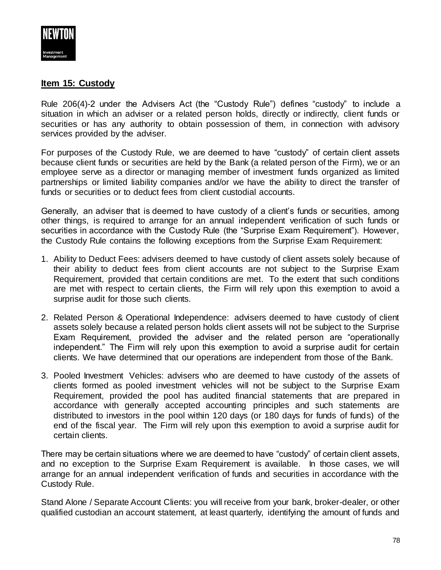

## **Item 15: Custody**

Rule 206(4)-2 under the Advisers Act (the "Custody Rule") defines "custody" to include a situation in which an adviser or a related person holds, directly or indirectly, client funds or securities or has any authority to obtain possession of them, in connection with advisory services provided by the adviser.

For purposes of the Custody Rule, we are deemed to have "custody" of certain client assets because client funds or securities are held by the Bank (a related person of the Firm), we or an employee serve as a director or managing member of investment funds organized as limited partnerships or limited liability companies and/or we have the ability to direct the transfer of funds or securities or to deduct fees from client custodial accounts.

Generally, an adviser that is deemed to have custody of a client's funds or securities, among other things, is required to arrange for an annual independent verification of such funds or securities in accordance with the Custody Rule (the "Surprise Exam Requirement"). However, the Custody Rule contains the following exceptions from the Surprise Exam Requirement:

- 1. Ability to Deduct Fees: advisers deemed to have custody of client assets solely because of their ability to deduct fees from client accounts are not subject to the Surprise Exam Requirement, provided that certain conditions are met. To the extent that such conditions are met with respect to certain clients, the Firm will rely upon this exemption to avoid a surprise audit for those such clients.
- 2. Related Person & Operational Independence: advisers deemed to have custody of client assets solely because a related person holds client assets will not be subject to the Surprise Exam Requirement, provided the adviser and the related person are "operationally independent." The Firm will rely upon this exemption to avoid a surprise audit for certain clients. We have determined that our operations are independent from those of the Bank.
- 3. Pooled Investment Vehicles: advisers who are deemed to have custody of the assets of clients formed as pooled investment vehicles will not be subject to the Surprise Exam Requirement, provided the pool has audited financial statements that are prepared in accordance with generally accepted accounting principles and such statements are distributed to investors in the pool within 120 days (or 180 days for funds of funds) of the end of the fiscal year. The Firm will rely upon this exemption to avoid a surprise audit for certain clients.

There may be certain situations where we are deemed to have "custody" of certain client assets, and no exception to the Surprise Exam Requirement is available. In those cases, we will arrange for an annual independent verification of funds and securities in accordance with the Custody Rule.

Stand Alone / Separate Account Clients: you will receive from your bank, broker-dealer, or other qualified custodian an account statement, at least quarterly, identifying the amount of funds and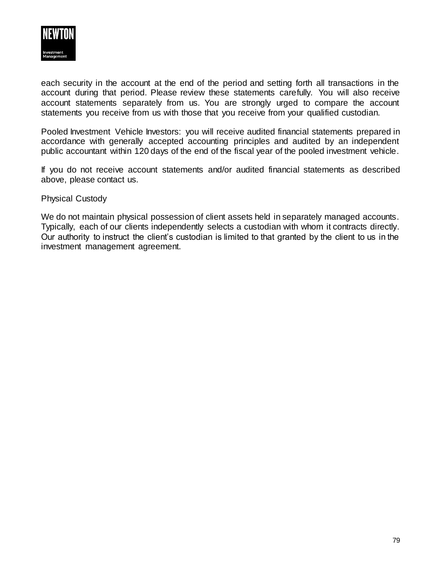

each security in the account at the end of the period and setting forth all transactions in the account during that period. Please review these statements carefully. You will also receive account statements separately from us. You are strongly urged to compare the account statements you receive from us with those that you receive from your qualified custodian.

Pooled Investment Vehicle Investors: you will receive audited financial statements prepared in accordance with generally accepted accounting principles and audited by an independent public accountant within 120 days of the end of the fiscal year of the pooled investment vehicle.

If you do not receive account statements and/or audited financial statements as described above, please contact us.

Physical Custody

We do not maintain physical possession of client assets held in separately managed accounts. Typically, each of our clients independently selects a custodian with whom it contracts directly. Our authority to instruct the client's custodian is limited to that granted by the client to us in the investment management agreement.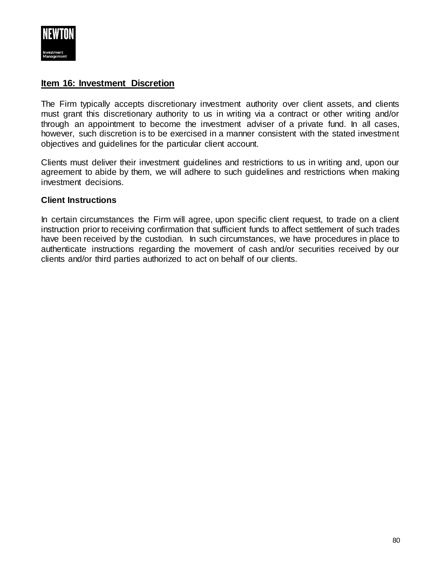

## **Item 16: Investment Discretion**

The Firm typically accepts discretionary investment authority over client assets, and clients must grant this discretionary authority to us in writing via a contract or other writing and/or through an appointment to become the investment adviser of a private fund. In all cases, however, such discretion is to be exercised in a manner consistent with the stated investment objectives and guidelines for the particular client account.

Clients must deliver their investment guidelines and restrictions to us in writing and, upon our agreement to abide by them, we will adhere to such guidelines and restrictions when making investment decisions.

### **Client Instructions**

In certain circumstances the Firm will agree, upon specific client request, to trade on a client instruction prior to receiving confirmation that sufficient funds to affect settlement of such trades have been received by the custodian. In such circumstances, we have procedures in place to authenticate instructions regarding the movement of cash and/or securities received by our clients and/or third parties authorized to act on behalf of our clients.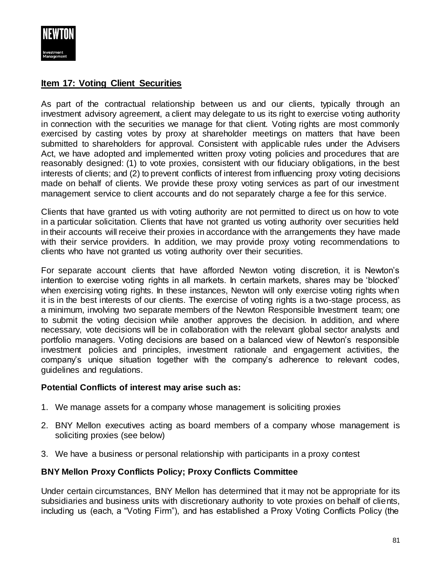

# **Item 17: Voting Client Securities**

As part of the contractual relationship between us and our clients, typically through an investment advisory agreement, a client may delegate to us its right to exercise voting authority in connection with the securities we manage for that client. Voting rights are most commonly exercised by casting votes by proxy at shareholder meetings on matters that have been submitted to shareholders for approval. Consistent with applicable rules under the Advisers Act, we have adopted and implemented written proxy voting policies and procedures that are reasonably designed: (1) to vote proxies, consistent with our fiduciary obligations, in the best interests of clients; and (2) to prevent conflicts of interest from influencing proxy voting decisions made on behalf of clients. We provide these proxy voting services as part of our investment management service to client accounts and do not separately charge a fee for this service.

Clients that have granted us with voting authority are not permitted to direct us on how to vote in a particular solicitation. Clients that have not granted us voting authority over securities held in their accounts will receive their proxies in accordance with the arrangements they have made with their service providers. In addition, we may provide proxy voting recommendations to clients who have not granted us voting authority over their securities.

For separate account clients that have afforded Newton voting discretion, it is Newton's intention to exercise voting rights in all markets. In certain markets, shares may be 'blocked' when exercising voting rights. In these instances, Newton will only exercise voting rights when it is in the best interests of our clients. The exercise of voting rights is a two-stage process, as a minimum, involving two separate members of the Newton Responsible Investment team; one to submit the voting decision while another approves the decision. In addition, and where necessary, vote decisions will be in collaboration with the relevant global sector analysts and portfolio managers. Voting decisions are based on a balanced view of Newton's responsible investment policies and principles, investment rationale and engagement activities, the company's unique situation together with the company's adherence to relevant codes, guidelines and regulations.

### **Potential Conflicts of interest may arise such as:**

- 1. We manage assets for a company whose management is soliciting proxies
- 2. BNY Mellon executives acting as board members of a company whose management is soliciting proxies (see below)
- 3. We have a business or personal relationship with participants in a proxy contest

## **BNY Mellon Proxy Conflicts Policy; Proxy Conflicts Committee**

Under certain circumstances, BNY Mellon has determined that it may not be appropriate for its subsidiaries and business units with discretionary authority to vote proxies on behalf of clients, including us (each, a "Voting Firm"), and has established a Proxy Voting Conflicts Policy (the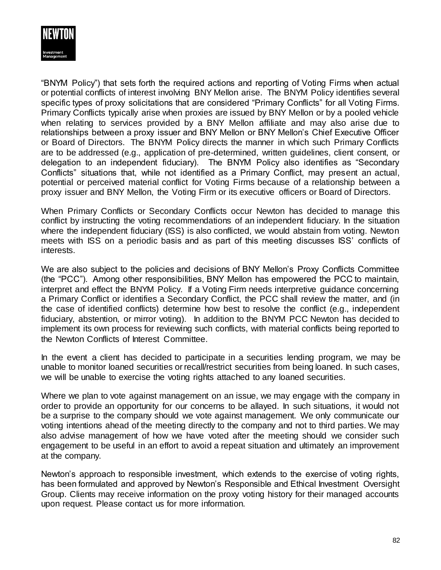

"BNYM Policy") that sets forth the required actions and reporting of Voting Firms when actual or potential conflicts of interest involving BNY Mellon arise. The BNYM Policy identifies several specific types of proxy solicitations that are considered "Primary Conflicts" for all Voting Firms. Primary Conflicts typically arise when proxies are issued by BNY Mellon or by a pooled vehicle when relating to services provided by a BNY Mellon affiliate and may also arise due to relationships between a proxy issuer and BNY Mellon or BNY Mellon's Chief Executive Officer or Board of Directors. The BNYM Policy directs the manner in which such Primary Conflicts are to be addressed (e.g., application of pre-determined, written guidelines, client consent, or delegation to an independent fiduciary). The BNYM Policy also identifies as "Secondary Conflicts" situations that, while not identified as a Primary Conflict, may present an actual, potential or perceived material conflict for Voting Firms because of a relationship between a proxy issuer and BNY Mellon, the Voting Firm or its executive officers or Board of Directors.

When Primary Conflicts or Secondary Conflicts occur Newton has decided to manage this conflict by instructing the voting recommendations of an independent fiduciary. In the situation where the independent fiduciary (ISS) is also conflicted, we would abstain from voting. Newton meets with ISS on a periodic basis and as part of this meeting discusses ISS' conflicts of interests.

We are also subject to the policies and decisions of BNY Mellon's Proxy Conflicts Committee (the "PCC"). Among other responsibilities, BNY Mellon has empowered the PCC to maintain, interpret and effect the BNYM Policy. If a Voting Firm needs interpretive guidance concerning a Primary Conflict or identifies a Secondary Conflict, the PCC shall review the matter, and (in the case of identified conflicts) determine how best to resolve the conflict (e.g., independent fiduciary, abstention, or mirror voting). In addition to the BNYM PCC Newton has decided to implement its own process for reviewing such conflicts, with material conflicts being reported to the Newton Conflicts of Interest Committee.

In the event a client has decided to participate in a securities lending program, we may be unable to monitor loaned securities or recall/restrict securities from being loaned. In such cases, we will be unable to exercise the voting rights attached to any loaned securities.

Where we plan to vote against management on an issue, we may engage with the company in order to provide an opportunity for our concerns to be allayed. In such situations, it would not be a surprise to the company should we vote against management. We only communicate our voting intentions ahead of the meeting directly to the company and not to third parties. We may also advise management of how we have voted after the meeting should we consider such engagement to be useful in an effort to avoid a repeat situation and ultimately an improvement at the company.

Newton's approach to responsible investment, which extends to the exercise of voting rights, has been formulated and approved by Newton's Responsible and Ethical Investment Oversight Group. Clients may receive information on the proxy voting history for their managed accounts upon request. Please contact us for more information.